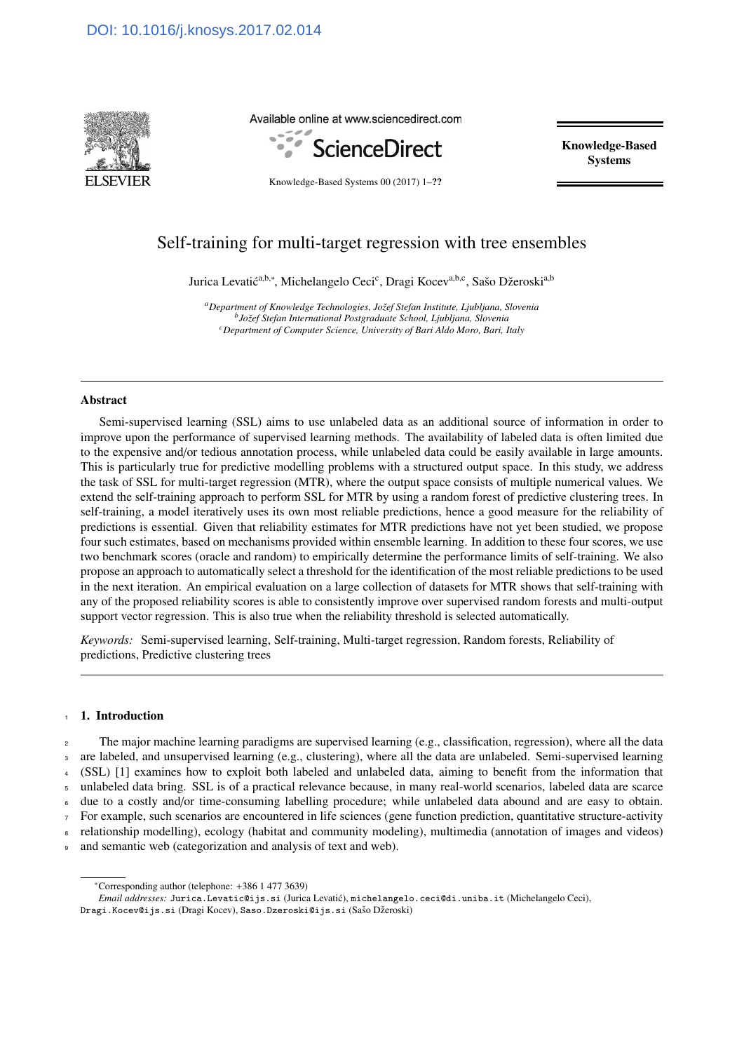<span id="page-0-0"></span>

Available online at www.sciencedirect.com



Knowledge-Based Systems

Knowledge-Based Systems 00 (2017) 1–??

# Self-training for multi-target regression with tree ensembles

Jurica Levatić<sup>a,b,∗</sup>, Michelangelo Ceci<sup>c</sup>, Dragi Kocev<sup>a,b,c</sup>, Sašo Džeroski<sup>a,b</sup>

*<sup>a</sup>Department of Knowledge Technologies, Joˇzef Stefan Institute, Ljubljana, Slovenia b Joˇzef Stefan International Postgraduate School, Ljubljana, Slovenia <sup>c</sup>Department of Computer Science, University of Bari Aldo Moro, Bari, Italy*

# Abstract

Semi-supervised learning (SSL) aims to use unlabeled data as an additional source of information in order to improve upon the performance of supervised learning methods. The availability of labeled data is often limited due to the expensive and/or tedious annotation process, while unlabeled data could be easily available in large amounts. This is particularly true for predictive modelling problems with a structured output space. In this study, we address the task of SSL for multi-target regression (MTR), where the output space consists of multiple numerical values. We extend the self-training approach to perform SSL for MTR by using a random forest of predictive clustering trees. In self-training, a model iteratively uses its own most reliable predictions, hence a good measure for the reliability of predictions is essential. Given that reliability estimates for MTR predictions have not yet been studied, we propose four such estimates, based on mechanisms provided within ensemble learning. In addition to these four scores, we use two benchmark scores (oracle and random) to empirically determine the performance limits of self-training. We also propose an approach to automatically select a threshold for the identification of the most reliable predictions to be used in the next iteration. An empirical evaluation on a large collection of datasets for MTR shows that self-training with any of the proposed reliability scores is able to consistently improve over supervised random forests and multi-output support vector regression. This is also true when the reliability threshold is selected automatically.

*Keywords:* Semi-supervised learning, Self-training, Multi-target regression, Random forests, Reliability of predictions, Predictive clustering trees

# 1. Introduction

 The major machine learning paradigms are supervised learning (e.g., classification, regression), where all the data are labeled, and unsupervised learning (e.g., clustering), where all the data are unlabeled. Semi-supervised learning (SSL) [\[1\]](#page-20-0) examines how to exploit both labeled and unlabeled data, aiming to benefit from the information that unlabeled data bring. SSL is of a practical relevance because, in many real-world scenarios, labeled data are scarce due to a costly and/or time-consuming labelling procedure; while unlabeled data abound and are easy to obtain. For example, such scenarios are encountered in life sciences (gene function prediction, quantitative structure-activity relationship modelling), ecology (habitat and community modeling), multimedia (annotation of images and videos)

<sup>9</sup> and semantic web (categorization and analysis of text and web).

<sup>∗</sup>Corresponding author (telephone: +386 1 477 3639)

*Email addresses:* Jurica.Levatic@ijs.si (Jurica Levatić), michelangelo.ceci@di.uniba.it (Michelangelo Ceci),

Dragi.Kocev@ijs.si (Dragi Kocev), Saso.Dzeroski@ijs.si (Sašo Džeroski)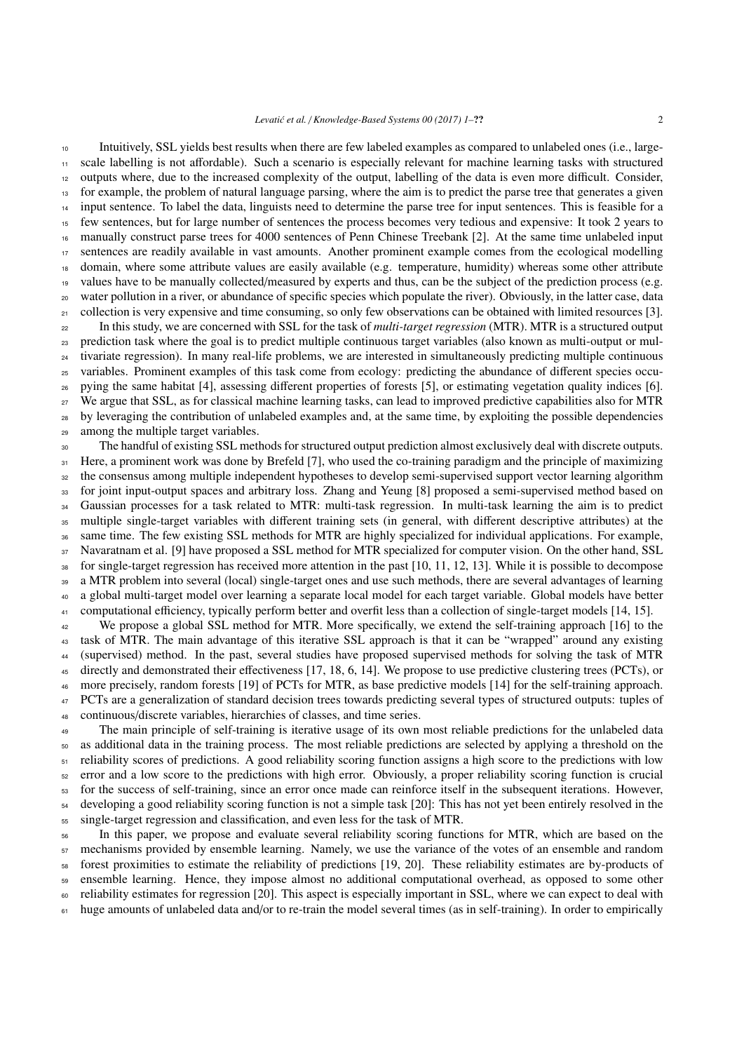Intuitively, SSL yields best results when there are few labeled examples as compared to unlabeled ones (i.e., large-

 scale labelling is not affordable). Such a scenario is especially relevant for machine learning tasks with structured outputs where, due to the increased complexity of the output, labelling of the data is even more difficult. Consider, for example, the problem of natural language parsing, where the aim is to predict the parse tree that generates a given input sentence. To label the data, linguists need to determine the parse tree for input sentences. This is feasible for a

 few sentences, but for large number of sentences the process becomes very tedious and expensive: It took 2 years to manually construct parse trees for 4000 sentences of Penn Chinese Treebank [\[2\]](#page-20-1). At the same time unlabeled input sentences are readily available in vast amounts. Another prominent example comes from the ecological modelling domain, where some attribute values are easily available (e.g. temperature, humidity) whereas some other attribute <sup>19</sup> values have to be manually collected/measured by experts and thus, can be the subject of the prediction process (e.g. water pollution in a river, or abundance of specific species which populate the river). Obviously, in the latter case, data  $_{21}$  collection is very expensive and time consuming, so only few observations can be obtained with limited resources [\[3\]](#page-20-2). In this study, we are concerned with SSL for the task of *multi-target regression* (MTR). MTR is a structured output prediction task where the goal is to predict multiple continuous target variables (also known as multi-output or mul-<sup>24</sup> tivariate regression). In many real-life problems, we are interested in simultaneously predicting multiple continuous variables. Prominent examples of this task come from ecology: predicting the abundance of different species occu- pying the same habitat [\[4\]](#page-20-3), assessing different properties of forests [\[5\]](#page-20-4), or estimating vegetation quality indices [\[6\]](#page-20-5). We argue that SSL, as for classical machine learning tasks, can lead to improved predictive capabilities also for MTR <sup>28</sup> by leveraging the contribution of unlabeled examples and, at the same time, by exploiting the possible dependencies

among the multiple target variables.

<sup>30</sup> The handful of existing SSL methods for structured output prediction almost exclusively deal with discrete outputs. <sup>31</sup> Here, a prominent work was done by Brefeld [\[7\]](#page-20-6), who used the co-training paradigm and the principle of maximizing the consensus among multiple independent hypotheses to develop semi-supervised support vector learning algorithm for joint input-output spaces and arbitrary loss. Zhang and Yeung [\[8\]](#page-21-0) proposed a semi-supervised method based on <sup>34</sup> Gaussian processes for a task related to MTR: multi-task regression. In multi-task learning the aim is to predict multiple single-target variables with different training sets (in general, with different descriptive attributes) at the same time. The few existing SSL methods for MTR are highly specialized for individual applications. For example, Navaratnam et al. [\[9\]](#page-21-1) have proposed a SSL method for MTR specialized for computer vision. On the other hand, SSL for single-target regression has received more attention in the past [\[10,](#page-21-2) [11,](#page-21-3) [12,](#page-21-4) [13\]](#page-21-5). While it is possible to decompose a MTR problem into several (local) single-target ones and use such methods, there are several advantages of learning a global multi-target model over learning a separate local model for each target variable. Global models have better <sup>41</sup> computational efficiency, typically perform better and overfit less than a collection of single-target models [\[14,](#page-21-6) [15\]](#page-21-7). We propose a global SSL method for MTR. More specifically, we extend the self-training approach [\[16\]](#page-21-8) to the

 task of MTR. The main advantage of this iterative SSL approach is that it can be "wrapped" around any existing (supervised) method. In the past, several studies have proposed supervised methods for solving the task of MTR directly and demonstrated their effectiveness [\[17,](#page-21-9) [18,](#page-21-10) [6,](#page-20-5) [14\]](#page-21-6). We propose to use predictive clustering trees (PCTs), or more precisely, random forests [\[19\]](#page-21-11) of PCTs for MTR, as base predictive models [\[14\]](#page-21-6) for the self-training approach. PCTs are a generalization of standard decision trees towards predicting several types of structured outputs: tuples of continuous/discrete variables, hierarchies of classes, and time series.

<sup>49</sup> The main principle of self-training is iterative usage of its own most reliable predictions for the unlabeled data as additional data in the training process. The most reliable predictions are selected by applying a threshold on the reliability scores of predictions. A good reliability scoring function assigns a high score to the predictions with low error and a low score to the predictions with high error. Obviously, a proper reliability scoring function is crucial for the success of self-training, since an error once made can reinforce itself in the subsequent iterations. However, developing a good reliability scoring function is not a simple task [\[20\]](#page-21-12): This has not yet been entirely resolved in the single-target regression and classification, and even less for the task of MTR.

 In this paper, we propose and evaluate several reliability scoring functions for MTR, which are based on the mechanisms provided by ensemble learning. Namely, we use the variance of the votes of an ensemble and random forest proximities to estimate the reliability of predictions [\[19,](#page-21-11) [20\]](#page-21-12). These reliability estimates are by-products of ensemble learning. Hence, they impose almost no additional computational overhead, as opposed to some other reliability estimates for regression [\[20\]](#page-21-12). This aspect is especially important in SSL, where we can expect to deal with 61 huge amounts of unlabeled data and/or to re-train the model several times (as in self-training). In order to empirically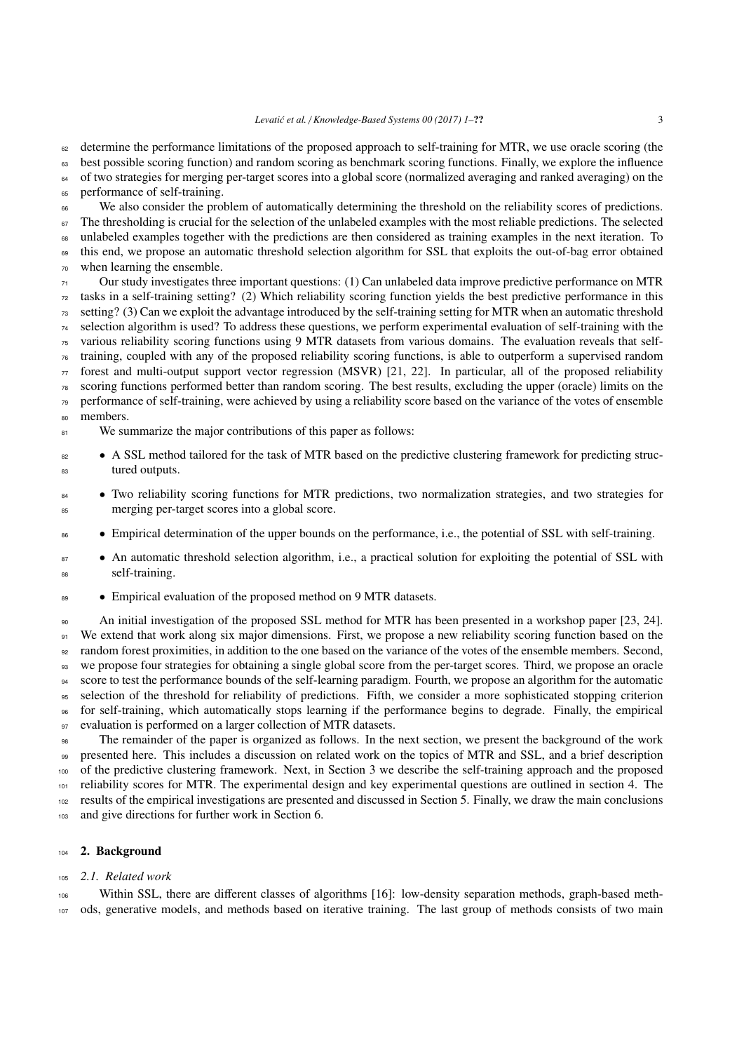determine the performance limitations of the proposed approach to self-training for MTR, we use oracle scoring (the <sup>63</sup> best possible scoring function) and random scoring as benchmark scoring functions. Finally, we explore the influence

 of two strategies for merging per-target scores into a global score (normalized averaging and ranked averaging) on the performance of self-training.

 We also consider the problem of automatically determining the threshold on the reliability scores of predictions. The thresholding is crucial for the selection of the unlabeled examples with the most reliable predictions. The selected unlabeled examples together with the predictions are then considered as training examples in the next iteration. To <sup>69</sup> this end, we propose an automatic threshold selection algorithm for SSL that exploits the out-of-bag error obtained when learning the ensemble.

 Our study investigates three important questions: (1) Can unlabeled data improve predictive performance on MTR tasks in a self-training setting? (2) Which reliability scoring function yields the best predictive performance in this setting? (3) Can we exploit the advantage introduced by the self-training setting for MTR when an automatic threshold selection algorithm is used? To address these questions, we perform experimental evaluation of self-training with the various reliability scoring functions using 9 MTR datasets from various domains. The evaluation reveals that self- training, coupled with any of the proposed reliability scoring functions, is able to outperform a supervised random forest and multi-output support vector regression (MSVR) [\[21,](#page-21-13) [22\]](#page-21-14). In particular, all of the proposed reliability scoring functions performed better than random scoring. The best results, excluding the upper (oracle) limits on the performance of self-training, were achieved by using a reliability score based on the variance of the votes of ensemble members.

<sup>81</sup> We summarize the major contributions of this paper as follows:

- <sup>82</sup> A SSL method tailored for the task of MTR based on the predictive clustering framework for predicting struc-tured outputs.
- Two reliability scoring functions for MTR predictions, two normalization strategies, and two strategies for merging per-target scores into a global score.
- Empirical determination of the upper bounds on the performance, i.e., the potential of SSL with self-training.
- An automatic threshold selection algorithm, i.e., a practical solution for exploiting the potential of SSL with self-training.
- 89 Empirical evaluation of the proposed method on 9 MTR datasets.

 An initial investigation of the proposed SSL method for MTR has been presented in a workshop paper [\[23,](#page-21-15) [24\]](#page-21-16). We extend that work along six major dimensions. First, we propose a new reliability scoring function based on the random forest proximities, in addition to the one based on the variance of the votes of the ensemble members. Second, we propose four strategies for obtaining a single global score from the per-target scores. Third, we propose an oracle score to test the performance bounds of the self-learning paradigm. Fourth, we propose an algorithm for the automatic selection of the threshold for reliability of predictions. Fifth, we consider a more sophisticated stopping criterion for self-training, which automatically stops learning if the performance begins to degrade. Finally, the empirical 97 evaluation is performed on a larger collection of MTR datasets.

 The remainder of the paper is organized as follows. In the next section, we present the background of the work presented here. This includes a discussion on related work on the topics of MTR and SSL, and a brief description of the predictive clustering framework. Next, in Section [3](#page-4-0) we describe the self-training approach and the proposed reliability scores for MTR. The experimental design and key experimental questions are outlined in section [4.](#page-10-0) The results of the empirical investigations are presented and discussed in Section [5.](#page-13-0) Finally, we draw the main conclusions 103 and give directions for further work in Section [6.](#page-19-0)

## 2. Background

## *2.1. Related work*

 Within SSL, there are different classes of algorithms [\[16\]](#page-21-8): low-density separation methods, graph-based meth-ods, generative models, and methods based on iterative training. The last group of methods consists of two main

*Levati´c et al.* / *Knowledge-Based Systems 00 (2017) 1–*?? 3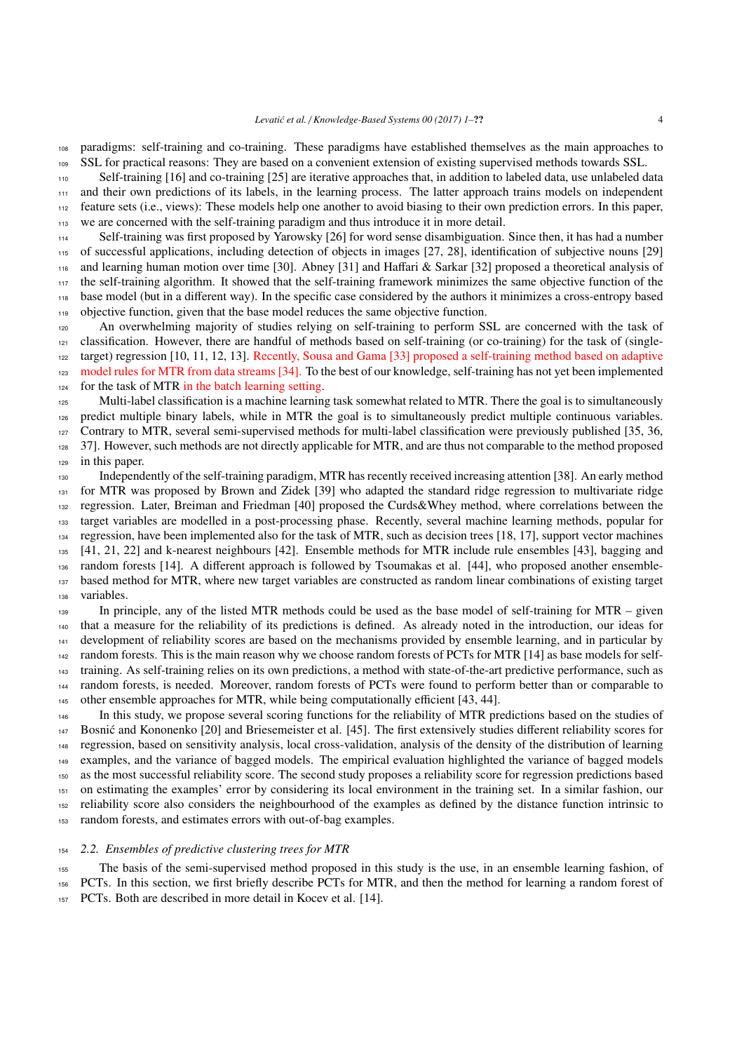paradigms: self-training and co-training. These paradigms have established themselves as the main approaches to SSL for practical reasons: They are based on a convenient extension of existing supervised methods towards SSL.

Self-training [\[16\]](#page-21-8) and co-training [\[25\]](#page-21-17) are iterative approaches that, in addition to labeled data, use unlabeled data

 and their own predictions of its labels, in the learning process. The latter approach trains models on independent feature sets (i.e., views): These models help one another to avoid biasing to their own prediction errors. In this paper, we are concerned with the self-training paradigm and thus introduce it in more detail.

 Self-training was first proposed by Yarowsky [\[26\]](#page-21-18) for word sense disambiguation. Since then, it has had a number of successful applications, including detection of objects in images [\[27,](#page-21-19) [28\]](#page-21-20), identification of subjective nouns [\[29\]](#page-21-21) and learning human motion over time [\[30\]](#page-21-22). Abney [\[31\]](#page-21-23) and Haffari & Sarkar [\[32\]](#page-21-24) proposed a theoretical analysis of the self-training algorithm. It showed that the self-training framework minimizes the same objective function of the base model (but in a different way). In the specific case considered by the authors it minimizes a cross-entropy based objective function, given that the base model reduces the same objective function.

 An overwhelming majority of studies relying on self-training to perform SSL are concerned with the task of classification. However, there are handful of methods based on self-training (or co-training) for the task of (single- target) regression [\[10,](#page-21-2) [11,](#page-21-3) [12,](#page-21-4) [13\]](#page-21-5). Recently, Sousa and Gama [\[33\]](#page-21-25) proposed a self-training method based on adaptive model rules for MTR from data streams [\[34\]](#page-21-26). To the best of our knowledge, self-training has not yet been implemented for the task of MTR in the batch learning setting.

125 Multi-label classification is a machine learning task somewhat related to MTR. There the goal is to simultaneously predict multiple binary labels, while in MTR the goal is to simultaneously predict multiple continuous variables. Contrary to MTR, several semi-supervised methods for multi-label classification were previously published [\[35,](#page-21-27) [36,](#page-21-28) [37\]](#page-21-29). However, such methods are not directly applicable for MTR, and are thus not comparable to the method proposed

in this paper.

 Independently of the self-training paradigm, MTR has recently received increasing attention [\[38\]](#page-21-30). An early method 131 for MTR was proposed by Brown and Zidek [\[39\]](#page-21-31) who adapted the standard ridge regression to multivariate ridge regression. Later, Breiman and Friedman [\[40\]](#page-21-32) proposed the Curds&Whey method, where correlations between the target variables are modelled in a post-processing phase. Recently, several machine learning methods, popular for regression, have been implemented also for the task of MTR, such as decision trees [\[18,](#page-21-10) [17\]](#page-21-9), support vector machines [\[41,](#page-21-33) [21,](#page-21-13) [22\]](#page-21-14) and k-nearest neighbours [\[42\]](#page-21-34). Ensemble methods for MTR include rule ensembles [\[43\]](#page-22-0), bagging and random forests [\[14\]](#page-21-6). A different approach is followed by Tsoumakas et al. [\[44\]](#page-22-1), who proposed another ensemble- based method for MTR, where new target variables are constructed as random linear combinations of existing target variables.

 In principle, any of the listed MTR methods could be used as the base model of self-training for MTR – given that a measure for the reliability of its predictions is defined. As already noted in the introduction, our ideas for development of reliability scores are based on the mechanisms provided by ensemble learning, and in particular by <sub>142</sub> random forests. This is the main reason why we choose random forests of PCTs for MTR [\[14\]](#page-21-6) as base models for self- training. As self-training relies on its own predictions, a method with state-of-the-art predictive performance, such as random forests, is needed. Moreover, random forests of PCTs were found to perform better than or comparable to other ensemble approaches for MTR, while being computationally efficient [\[43,](#page-22-0) [44\]](#page-22-1).

 In this study, we propose several scoring functions for the reliability of MTR predictions based on the studies of 147 Bosnić and Kononenko [\[20\]](#page-21-12) and Briesemeister et al. [\[45\]](#page-22-2). The first extensively studies different reliability scores for regression, based on sensitivity analysis, local cross-validation, analysis of the density of the distribution of learning examples, and the variance of bagged models. The empirical evaluation highlighted the variance of bagged models as the most successful reliability score. The second study proposes a reliability score for regression predictions based on estimating the examples' error by considering its local environment in the training set. In a similar fashion, our reliability score also considers the neighbourhood of the examples as defined by the distance function intrinsic to random forests, and estimates errors with out-of-bag examples.

#### *2.2. Ensembles of predictive clustering trees for MTR*

The basis of the semi-supervised method proposed in this study is the use, in an ensemble learning fashion, of

PCTs. In this section, we first briefly describe PCTs for MTR, and then the method for learning a random forest of

PCTs. Both are described in more detail in Kocev et al. [\[14\]](#page-21-6).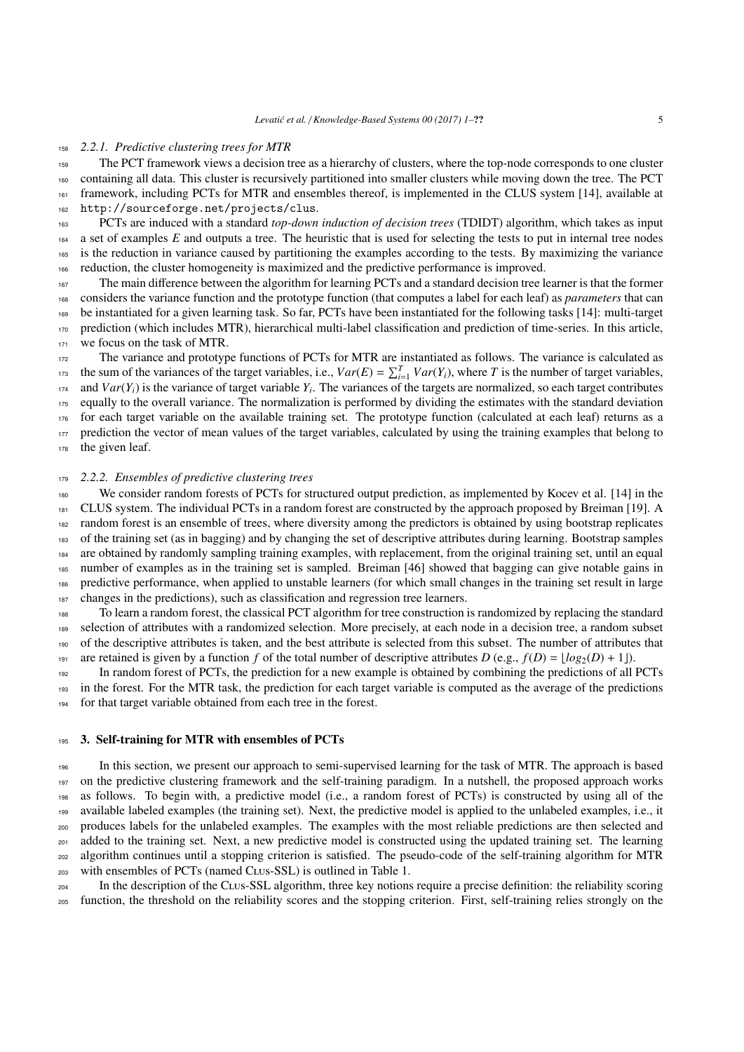#### *2.2.1. Predictive clustering trees for MTR*

 The PCT framework views a decision tree as a hierarchy of clusters, where the top-node corresponds to one cluster containing all data. This cluster is recursively partitioned into smaller clusters while moving down the tree. The PCT framework, including PCTs for MTR and ensembles thereof, is implemented in the CLUS system [\[14\]](#page-21-6), available at <http://sourceforge.net/projects/clus>.

 PCTs are induced with a standard *top-down induction of decision trees* (TDIDT) algorithm, which takes as input 164 a set of examples E and outputs a tree. The heuristic that is used for selecting the tests to put in internal tree nodes is the reduction in variance caused by partitioning the examples according to the tests. By maximizing the variance reduction, the cluster homogeneity is maximized and the predictive performance is improved.

 The main difference between the algorithm for learning PCTs and a standard decision tree learner is that the former considers the variance function and the prototype function (that computes a label for each leaf) as *parameters* that can be instantiated for a given learning task. So far, PCTs have been instantiated for the following tasks [\[14\]](#page-21-6): multi-target prediction (which includes MTR), hierarchical multi-label classification and prediction of time-series. In this article, we focus on the task of MTR.

 The variance and prototype functions of PCTs for MTR are instantiated as follows. The variance is calculated as the sum of the variances of the target variables, i.e.,  $Var(E) = \sum_{i=1}^{T} Var(Y_i)$ , where *T* is the number of target variables, and  $Var(Y_i)$  is the variance of target variable  $Y_i$ . The variances of the targets are normalized, so each target contributes equally to the overall variance. The normalization is performed by dividing the estimates with the standard deviation for each target variable on the available training set. The prototype function (calculated at each leaf) returns as a <sub>177</sub> prediction the vector of mean values of the target variables, calculated by using the training examples that belong to the given leaf.

#### *2.2.2. Ensembles of predictive clustering trees*

 We consider random forests of PCTs for structured output prediction, as implemented by Kocev et al. [\[14\]](#page-21-6) in the CLUS system. The individual PCTs in a random forest are constructed by the approach proposed by Breiman [\[19\]](#page-21-11). A 182 random forest is an ensemble of trees, where diversity among the predictors is obtained by using bootstrap replicates of the training set (as in bagging) and by changing the set of descriptive attributes during learning. Bootstrap samples are obtained by randomly sampling training examples, with replacement, from the original training set, until an equal number of examples as in the training set is sampled. Breiman [\[46\]](#page-22-3) showed that bagging can give notable gains in predictive performance, when applied to unstable learners (for which small changes in the training set result in large changes in the predictions), such as classification and regression tree learners.

 To learn a random forest, the classical PCT algorithm for tree construction is randomized by replacing the standard selection of attributes with a randomized selection. More precisely, at each node in a decision tree, a random subset of the descriptive attributes is taken, and the best attribute is selected from this subset. The number of attributes that 191 are retained is given by a function f of the total number of descriptive attributes  $D$  (e.g.,  $f(D) = |log_2(D) + 1|$ ).

 In random forest of PCTs, the prediction for a new example is obtained by combining the predictions of all PCTs in the forest. For the MTR task, the prediction for each target variable is computed as the average of the predictions for that target variable obtained from each tree in the forest.

## <span id="page-4-0"></span>195 3. Self-training for MTR with ensembles of PCTs

 In this section, we present our approach to semi-supervised learning for the task of MTR. The approach is based on the predictive clustering framework and the self-training paradigm. In a nutshell, the proposed approach works as follows. To begin with, a predictive model (i.e., a random forest of PCTs) is constructed by using all of the 199 available labeled examples (the training set). Next, the predictive model is applied to the unlabeled examples, i.e., it produces labels for the unlabeled examples. The examples with the most reliable predictions are then selected and <sup>201</sup> added to the training set. Next, a new predictive model is constructed using the updated training set. The learning algorithm continues until a stopping criterion is satisfied. The pseudo-code of the self-training algorithm for MTR with ensembles of PCTs (named Clus-SSL) is outlined in Table [1.](#page-5-0)

 In the description of the Clus-SSL algorithm, three key notions require a precise definition: the reliability scoring function, the threshold on the reliability scores and the stopping criterion. First, self-training relies strongly on the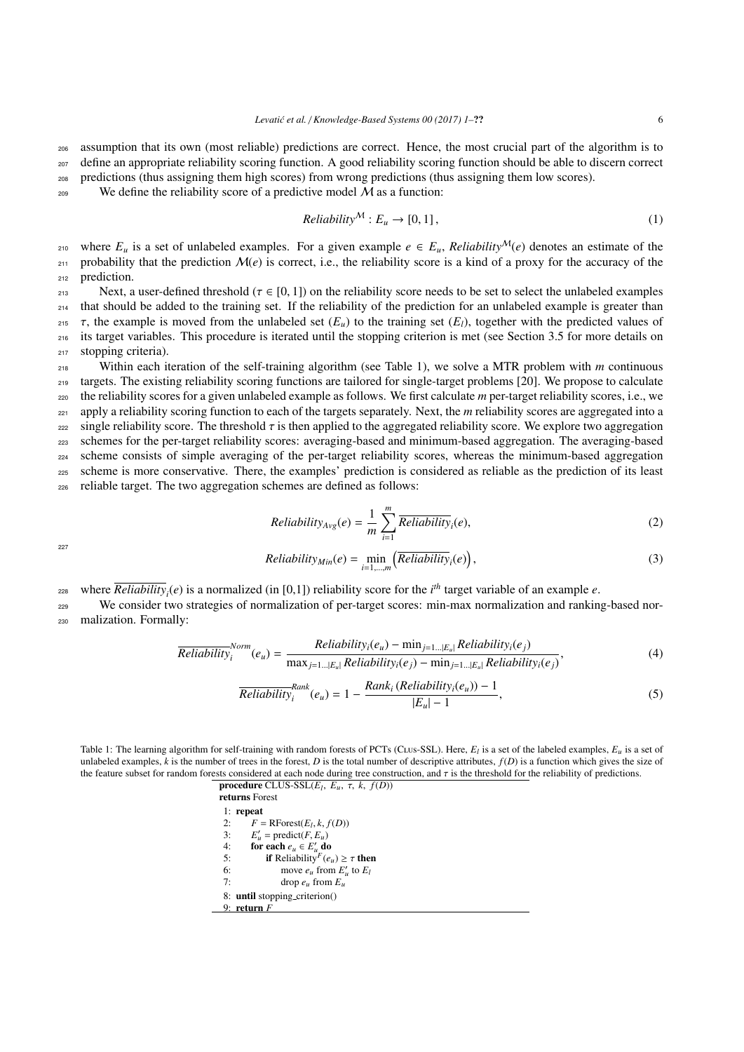<sup>206</sup> assumption that its own (most reliable) predictions are correct. Hence, the most crucial part of the algorithm is to <sup>207</sup> define an appropriate reliability scoring function. A good reliability scoring function should be able to discern correct

- <sup>208</sup> predictions (thus assigning them high scores) from wrong predictions (thus assigning them low scores).
- <sup>209</sup> We define the reliability score of a predictive model  $M$  as a function:

$$
Reliability^{\mathcal{M}}: E_u \to [0, 1], \tag{1}
$$

210 where  $E_u$  is a set of unlabeled examples. For a given example  $e \in E_u$ , Reliability<sup>M</sup>(e) denotes an estimate of the  $_{211}$  probability that the prediction  $\mathcal{M}(e)$  is correct, i.e., the reliability score is a kind of a proxy for the accuracy of the <sup>212</sup> prediction.

213 Next, a user-defined threshold ( $τ ∈ [0, 1]$ ) on the reliability score needs to be set to select the unlabeled examples than that should be added to the training set. If the reliability of the prediction for an unlabel <sup>214</sup> that should be added to the training set. If the reliability of the prediction for an unlabeled example is greater than 215 τ, the example is moved from the unlabeled set  $(E_u)$  to the training set  $(E_l)$ , together with the predicted values of the intervaluent set is intervaluent to the predicted values of the starting set (see Section 3.5 <sup>216</sup> its target variables. This procedure is iterated until the stopping criterion is met (see Section [3.5](#page-9-0) for more details on <sup>217</sup> stopping criteria).

 Within each iteration of the self-training algorithm (see Table [1\)](#page-5-0), we solve a MTR problem with *m* continuous targets. The existing reliability scoring functions are tailored for single-target problems [\[20\]](#page-21-12). We propose to calculate the reliability scores for a given unlabeled example as follows. We first calculate *m* per-target reliability scores, i.e., we <sup>221</sup> apply a reliability scoring function to each of the targets separately. Next, the *m* reliability scores are aggregated into a single reliability score. The threshold  $\tau$  is then applied to the aggregated reliability score. We explore two aggregation schemes for the per-target reliability scores: averaging-based and minimum-based aggregati schemes for the per-target reliability scores: averaging-based and minimum-based aggregation. The averaging-based scheme consists of simple averaging of the per-target reliability scores, whereas the minimum-based aggregation scheme is more conservative. There, the examples' prediction is considered as reliable as the prediction of its least reliable target. The two aggregation schemes are defined as follows:

$$
Reliability_{Avg}(e) = \frac{1}{m} \sum_{i=1}^{m} \overline{Reliability}_i(e),
$$
\n(2)

227

$$
Reliability_{Min}(e) = \min_{i=1,\dots,m} \left( \overline{Reliability}_i(e) \right),\tag{3}
$$

where  $\overline{Reliability}_i(e)$  is a normalized (in [0,1]) reliability score for the *i*<sup>th</sup> target variable of an example *e*.

<sup>229</sup> We consider two strategies of normalization of per-target scores: min-max normalization and ranking-based nor-<sup>230</sup> malization. Formally:

$$
\overline{Reliability}_{i}^{Norm}(e_{u}) = \frac{Reliability_{i}(e_{u}) - \min_{j=1...|E_{u}|} Reliability_{i}(e_{j})}{\max_{j=1...|E_{u}|} Reliability_{i}(e_{j}) - \min_{j=1...|E_{u}|} Reliability_{i}(e_{j})},
$$
\n(4)

<span id="page-5-1"></span>
$$
\overline{Reliability}_{i}^{Rank}(e_u) = 1 - \frac{Rank_i\left(Reliability_{i}(e_u)\right) - 1}{|E_u| - 1},\tag{5}
$$

<span id="page-5-0"></span>Table 1: The learning algorithm for self-training with random forests of PCTs (CLUS-SSL). Here,  $E_l$  is a set of the labeled examples,  $E_u$  is a set of unlabeled examples,  $k$  is the number of trees in the forest. *D* is the total number of descriptive attributes,  $f(D)$  is a function which gives the size of the feature subset for random forests considered at each node during tree construction, and  $\tau$  is the threshold for the reliability of predictions.

> **procedure** CLUS-SSL $(E_l, E_u, \tau, k, f(D))$ <br>**returns** Forest returns Forest 1: repeat 2:  $F = \text{RForest}(E_l, k, f(D))$ <br>
> 3:  $F' = \text{predict}(F, F)$ 3: *E*  $\mathbf{v}_u' = \text{predict}(F, E_u)$ <br>**preach**  $e \in F'$  de 4: for each  $e_u \in E'_u$  do 5: **if** Reliability<sup>F</sup>( $e_u$ )  $\geq \tau$  then<br>6: move e from F' to F<sub>r</sub> 6: move  $e_u$  from  $E'_u$  to  $E_l$ 7: drop  $e_u$  from  $E_u$ 8: until stopping\_criterion() 9: return *F*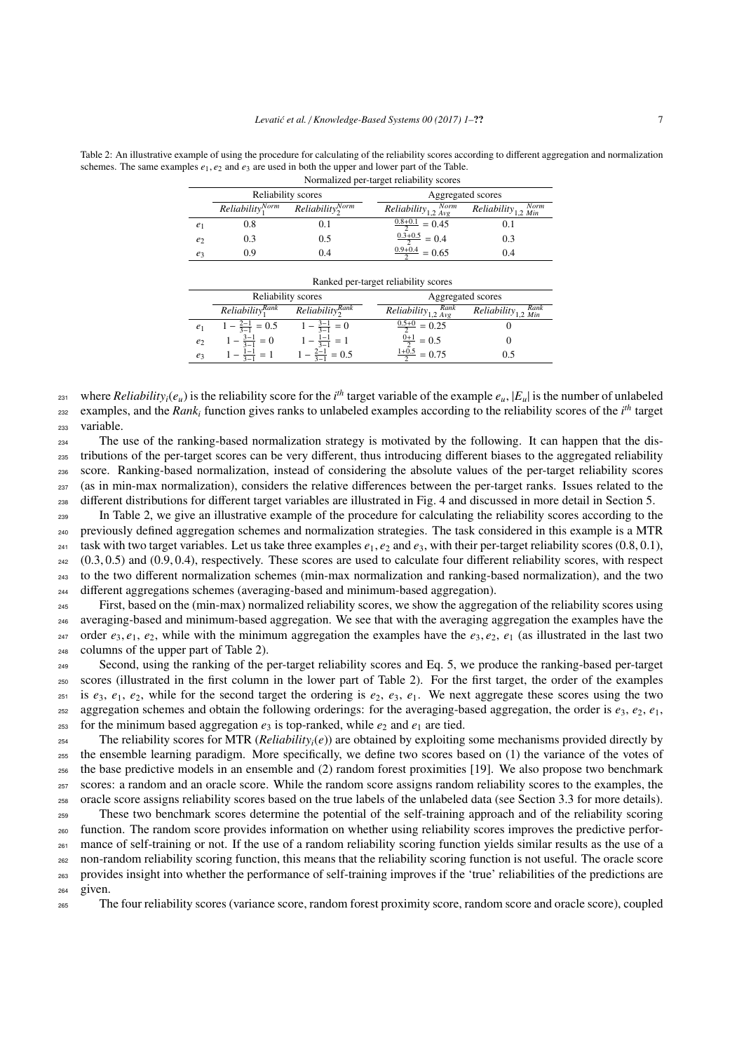<span id="page-6-0"></span>Table 2: An illustrative example of using the procedure for calculating of the reliability scores according to different aggregation and normalization schemes. The same examples  $e_1, e_2$  and  $e_3$  are used in both the upper and lower part of the Table.

|                |                        |                          | Normalized per-target reliability scores              |                          |
|----------------|------------------------|--------------------------|-------------------------------------------------------|--------------------------|
|                |                        | Reliability scores       | Aggregated scores                                     |                          |
|                | $Reliability_1^{Norm}$ | $Reliability_{2}^{Norm}$ | $\overline{Reliability}_{1,2} \overline{Norm}_{Norm}$ | $Reliability_{1,2}$ Norm |
| e <sub>1</sub> | 0.8                    | 0.1                      | $\frac{0.8+0.1}{2} = 0.45$                            | 0.1                      |
| e <sub>2</sub> | 0.3                    | 0.5                      | $\frac{0.3+0.5}{2} = 0.4$                             | 0.3                      |
| $e_3$          | 0.9                    | 0.4                      | $\frac{0.9+0.4}{2} = 0.65$                            | 0.4                      |
|                |                        |                          |                                                       |                          |

|                |                             |                           | Ranked per-target reliability scores |                                        |
|----------------|-----------------------------|---------------------------|--------------------------------------|----------------------------------------|
|                |                             | Reliability scores        | Aggregated scores                    |                                        |
|                | $Reliability1Rank$          | $Reliability_{2}^{Rank}$  | Reliability <sub>1,2</sub> Rank      | $Reliability_{1,2}$ $\frac{Rank}{Min}$ |
| e <sub>1</sub> | $1 - \frac{2-1}{3-1} = 0.5$ | $1 - \frac{3-1}{3-1} = 0$ | $\frac{0.5+0}{2} = 0.25$             |                                        |
| $e_2$          | $1 - \frac{3-1}{3-1} = 0$   | $1 - \frac{1-1}{3-1} = 1$ | $\frac{0+1}{2} = 0.5$                |                                        |
| $e_3$          | $1 - \frac{1-1}{2} = 1$     | $1 - \frac{2-1}{2} = 0.5$ | $\frac{1+0.5}{2} = 0.75$             | 0.5                                    |
|                |                             |                           |                                      |                                        |

<sup>231</sup> where *Reliability<sub>i</sub>*( $e_u$ ) is the reliability score for the *i*<sup>th</sup> target variable of the example  $e_u$ ,  $|E_u|$  is the number of unlabeled examples, and the *Rank<sub>i</sub>* function gives ranks to unlabeled examples according to the reliability scores of the  $i<sup>th</sup>$  target <sup>233</sup> variable.

 The use of the ranking-based normalization strategy is motivated by the following. It can happen that the dis- tributions of the per-target scores can be very different, thus introducing different biases to the aggregated reliability score. Ranking-based normalization, instead of considering the absolute values of the per-target reliability scores (as in min-max normalization), considers the relative differences between the per-target ranks. Issues related to the different distributions for different target variables are illustrated in Fig. [4](#page-16-0) and discussed in more detail in Section [5.](#page-13-0)

<sup>239</sup> In Table [2,](#page-6-0) we give an illustrative example of the procedure for calculating the reliability scores according to the previously defined aggregation schemes and normalization strategies. The task considered in this example is a MTR 241 task with two target variables. Let us take three examples  $e_1$ ,  $e_2$  and  $e_3$ , with their per-target reliability scores (0.8, 0.1),<br>242 (0.3, 0.5) and (0.9, 0.4), respectively. These scores are used to calculate f  $242$  (0.3, 0.5) and (0.9, 0.4), respectively. These scores are used to calculate four different reliability scores, with respect to the two different normalization schemes (min-max normalization and ranking-based normali <sup>243</sup> to the two different normalization schemes (min-max normalization and ranking-based normalization), and the two <sup>244</sup> different aggregations schemes (averaging-based and minimum-based aggregation).

<sup>245</sup> First, based on the (min-max) normalized reliability scores, we show the aggregation of the reliability scores using <sup>246</sup> averaging-based and minimum-based aggregation. We see that with the averaging aggregation the examples have the 247 order  $e_3, e_1, e_2$ , while with the minimum aggregation the examples have the  $e_3, e_2, e_1$  (as illustrated in the last two columns of the upper part of Table 2). columns of the upper part of Table [2\)](#page-6-0).

<sup>249</sup> Second, using the ranking of the per-target reliability scores and Eq. [5,](#page-5-1) we produce the ranking-based per-target <sup>250</sup> scores (illustrated in the first column in the lower part of Table [2\)](#page-6-0). For the first target, the order of the examples  $e_3$ ,  $e_1$ ,  $e_2$ , while for the second target the ordering is  $e_2$ ,  $e_3$ ,  $e_1$ . We next aggregate these scores using the two aggregation schemes and obtain the following orderings: for the averaging-based aggregation, the order is  $e_3$ ,  $e_2$ ,  $e_1$ , <sup>253</sup> for the minimum based aggregation  $e_3$  is top-ranked, while  $e_2$  and  $e_1$  are tied.

 The reliability scores for MTR (*Reliability<sub>i</sub>*(*e*)) are obtained by exploiting some mechanisms provided directly by the ensemble learning paradigm. More specifically, we define two scores based on (1) the variance of the votes of the base predictive models in an ensemble and (2) random forest proximities [\[19\]](#page-21-11). We also propose two benchmark scores: a random and an oracle score. While the random score assigns random reliability scores to the examples, the oracle score assigns reliability scores based on the true labels of the unlabeled data (see Section [3.3](#page-8-0) for more details). These two benchmark scores determine the potential of the self-training approach and of the reliability scoring function. The random score provides information on whether using reliability scores improves the predictive perfor- mance of self-training or not. If the use of a random reliability scoring function yields similar results as the use of a non-random reliability scoring function, this means that the reliability scoring function is not useful. The oracle score

<sup>263</sup> provides insight into whether the performance of self-training improves if the 'true' reliabilities of the predictions are <sup>264</sup> given.

<sup>265</sup> The four reliability scores (variance score, random forest proximity score, random score and oracle score), coupled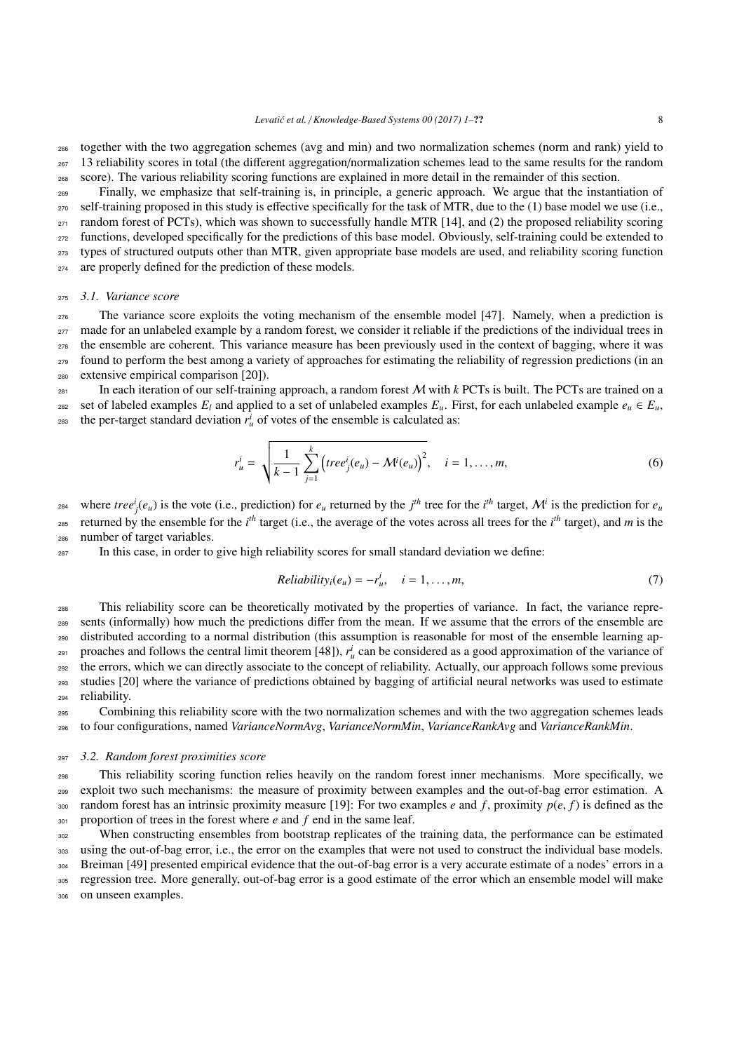<sup>266</sup> together with the two aggregation schemes (avg and min) and two normalization schemes (norm and rank) yield to  $_{267}$  13 reliability scores in total (the different aggregation/normalization schemes lead to the same results for the random

<sup>268</sup> score). The various reliability scoring functions are explained in more detail in the remainder of this section.

 Finally, we emphasize that self-training is, in principle, a generic approach. We argue that the instantiation of self-training proposed in this study is effective specifically for the task of MTR, due to the (1) base model we use (i.e., random forest of PCTs), which was shown to successfully handle MTR [\[14\]](#page-21-6), and (2) the proposed reliability scoring functions, developed specifically for the predictions of this base model. Obviously, self-training could be extended to types of structured outputs other than MTR, given appropriate base models are used, and reliability scoring function are properly defined for the prediction of these models.

#### <sup>275</sup> *3.1. Variance score*

 The variance score exploits the voting mechanism of the ensemble model [\[47\]](#page-22-4). Namely, when a prediction is <sup>277</sup> made for an unlabeled example by a random forest, we consider it reliable if the predictions of the individual trees in the ensemble are coherent. This variance measure has been previously used in the context of bagging, where it was found to perform the best among a variety of approaches for estimating the reliability of regression predictions (in an extensive empirical comparison [\[20\]](#page-21-12)).

 $_{281}$  In each iteration of our self-training approach, a random forest *M* with *k* PCTs is built. The PCTs are trained on a 282 set of labeled examples  $E_l$  and applied to a set of unlabeled examples  $E_u$ . First, for each unlabeled example  $e_u \in E_u$ , <sup>283</sup> the per-target standard deviation  $r_u^i$  of votes of the ensemble is calculated as:

$$
r_{u}^{i} = \sqrt{\frac{1}{k-1} \sum_{j=1}^{k} (tree_{j}^{i}(e_{u}) - \mathcal{M}^{i}(e_{u}))^{2}}, \quad i = 1, ..., m,
$$
 (6)

<sup>284</sup> where  $tree_j^i(e_u)$  is the vote (i.e., prediction) for  $e_u$  returned by the  $j^{th}$  tree for the  $i^{th}$  target,  $\mathcal{M}^i$  is the prediction for  $e_u$ zes returned by the ensemble for the  $i<sup>th</sup>$  target (i.e., the average of the votes across all trees for the  $i<sup>th</sup>$  target), and *m* is the <sup>286</sup> number of target variables.

<sup>287</sup> In this case, in order to give high reliability scores for small standard deviation we define:

$$
Reliability_i(e_u) = -r_u^i, \quad i = 1, \dots, m,
$$
\n<sup>(7)</sup>

 This reliability score can be theoretically motivated by the properties of variance. In fact, the variance repre- sents (informally) how much the predictions differ from the mean. If we assume that the errors of the ensemble are distributed according to a normal distribution (this assumption is reasonable for most of the ensemble learning ap-proaches and follows the central limit theorem [\[48\]](#page-22-5)),  $r_u^i$  can be considered as a good approximation of the variance of <sup>292</sup> the errors, which we can directly associate to the concept of reliability. Actually, our approach follows some previous studies [\[20\]](#page-21-12) where the variance of predictions obtained by bagging of artificial neural networks was used to estimate reliability.

<sup>295</sup> Combining this reliability score with the two normalization schemes and with the two aggregation schemes leads <sup>296</sup> to four configurations, named *VarianceNormAvg*, *VarianceNormMin*, *VarianceRankAvg* and *VarianceRankMin*.

#### <sup>297</sup> *3.2. Random forest proximities score*

<sup>298</sup> This reliability scoring function relies heavily on the random forest inner mechanisms. More specifically, we <sup>299</sup> exploit two such mechanisms: the measure of proximity between examples and the out-of-bag error estimation. A 300 random forest has an intrinsic proximity measure [\[19\]](#page-21-11): For two examples *e* and *f*, proximity  $p(e, f)$  is defined as the proportion of trees in the forest where *e* and *f* end in the same leaf. proportion of trees in the forest where *e* and *f* end in the same leaf.

<sup>302</sup> When constructing ensembles from bootstrap replicates of the training data, the performance can be estimated 303 using the out-of-bag error, i.e., the error on the examples that were not used to construct the individual base models. 304 Breiman [\[49\]](#page-22-6) presented empirical evidence that the out-of-bag error is a very accurate estimate of a nodes' errors in a <sup>305</sup> regression tree. More generally, out-of-bag error is a good estimate of the error which an ensemble model will make

<sup>306</sup> on unseen examples.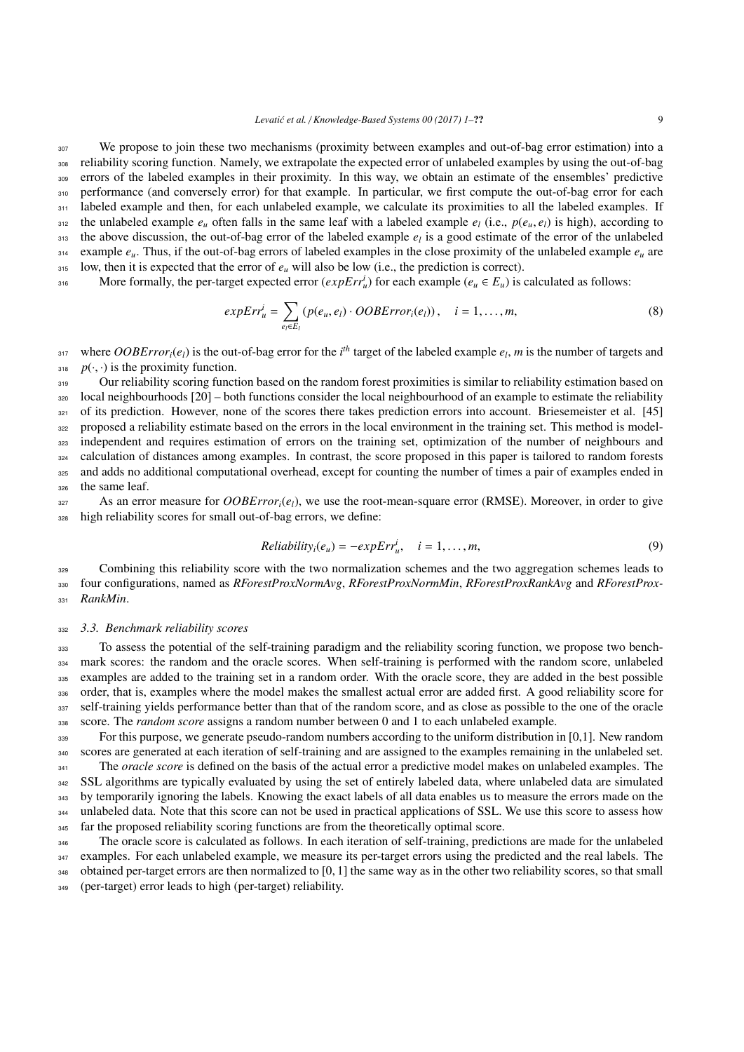<sup>307</sup> We propose to join these two mechanisms (proximity between examples and out-of-bag error estimation) into a <sup>308</sup> reliability scoring function. Namely, we extrapolate the expected error of unlabeled examples by using the out-of-bag <sup>309</sup> errors of the labeled examples in their proximity. In this way, we obtain an estimate of the ensembles' predictive 310 performance (and conversely error) for that example. In particular, we first compute the out-of-bag error for each 311 labeled example and then, for each unlabeled example, we calculate its proximities to all the labeled examples. If 312 the unlabeled example  $e_u$  often falls in the same leaf with a labeled example  $e_l$  (i.e.,  $p(e_u, e_l)$  is high), according to the above discussion, the out-of-bag error of the labeled example  $e_l$  is a good estimate of 313 the above discussion, the out-of-bag error of the labeled example  $e_l$  is a good estimate of the error of the unlabeled  $\epsilon_{\mu}$  example  $\epsilon_{\mu}$ . Thus, if the out-of-bag errors of labeled examples in the close proximity of the unlabeled example  $\epsilon_{\mu}$  are  $315$  low, then it is expected that the error of  $e_\mu$  will also be low (i.e., the prediction is correct).

More formally, the per-target expected error  $(expErr_u^i)$  for each example  $(e_u \in E_u)$  is calculated as follows:

$$
expErr_u^i = \sum_{e_i \in E_l} (p(e_u, e_l) \cdot OOBError_i(e_l)), \quad i = 1, ..., m,
$$
\n(8)

where *OOBError<sub>i</sub>*( $e_l$ ) is the out-of-bag error for the *i*<sup>th</sup> target of the labeled example  $e_l$ , *m* is the number of targets and <sup>318</sup> *p*( $\cdot$ , $\cdot$ ) is the proximity function.<br>Our reliability scoring funct

 Our reliability scoring function based on the random forest proximities is similar to reliability estimation based on local neighbourhoods  $[20]$  – both functions consider the local neighbourhood of an example to estimate the reliability <sup>321</sup> of its prediction. However, none of the scores there takes prediction errors into account. Briesemeister et al. [\[45\]](#page-22-2) proposed a reliability estimate based on the errors in the local environment in the training set. This method is model- independent and requires estimation of errors on the training set, optimization of the number of neighbours and calculation of distances among examples. In contrast, the score proposed in this paper is tailored to random forests and adds no additional computational overhead, except for counting the number of times a pair of examples ended in the same leaf.

 $327$  As an error measure for *OOBError<sub>i</sub>*(*e<sub>l</sub>*), we use the root-mean-square error (RMSE). Moreover, in order to give <sup>328</sup> high reliability scores for small out-of-bag errors, we define:

$$
Reliabilityi(eu) = -expErrui, \quad i = 1, ..., m,
$$
\n(9)

<sup>329</sup> Combining this reliability score with the two normalization schemes and the two aggregation schemes leads to <sup>330</sup> four configurations, named as *RForestProxNormAvg*, *RForestProxNormMin*, *RForestProxRankAvg* and *RForestProx-*<sup>331</sup> *RankMin*.

## <span id="page-8-0"></span><sup>332</sup> *3.3. Benchmark reliability scores*

<sup>333</sup> To assess the potential of the self-training paradigm and the reliability scoring function, we propose two bench-334 mark scores: the random and the oracle scores. When self-training is performed with the random score, unlabeled <sup>335</sup> examples are added to the training set in a random order. With the oracle score, they are added in the best possible 336 order, that is, examples where the model makes the smallest actual error are added first. A good reliability score for 337 self-training yields performance better than that of the random score, and as close as possible to the one of the oracle <sup>338</sup> score. The *random score* assigns a random number between 0 and 1 to each unlabeled example.

 For this purpose, we generate pseudo-random numbers according to the uniform distribution in [0,1]. New random scores are generated at each iteration of self-training and are assigned to the examples remaining in the unlabeled set. <sup>341</sup> The *oracle score* is defined on the basis of the actual error a predictive model makes on unlabeled examples. The <sup>342</sup> SSL algorithms are typically evaluated by using the set of entirely labeled data, where unlabeled data are simulated by temporarily ignoring the labels. Knowing the exact labels of all data enables us to measure the errors made on the unlabeled data. Note that this score can not be used in practical applications of SSL. We use this score to assess how far the proposed reliability scoring functions are from the theoretically optimal score.

<sup>346</sup> The oracle score is calculated as follows. In each iteration of self-training, predictions are made for the unlabeled 347 examples. For each unlabeled example, we measure its per-target errors using the predicted and the real labels. The 348 obtained per-target errors are then normalized to  $[0, 1]$  the same way as in the other two reliability scores, so that small (per-target) error leads to high (per-target) reliability. <sup>349</sup> (per-target) error leads to high (per-target) reliability.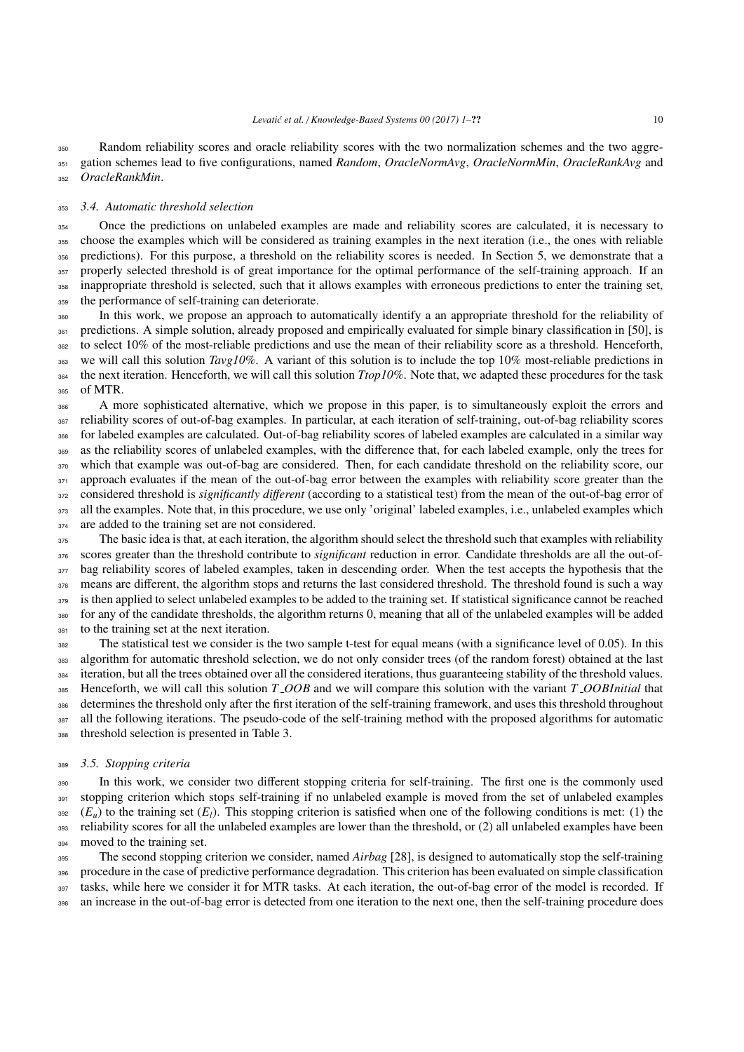Random reliability scores and oracle reliability scores with the two normalization schemes and the two aggre- gation schemes lead to five configurations, named *Random*, *OracleNormAvg*, *OracleNormMin*, *OracleRankAvg* and *OracleRankMin*.

## <span id="page-9-1"></span>*3.4. Automatic threshold selection*

 Once the predictions on unlabeled examples are made and reliability scores are calculated, it is necessary to choose the examples which will be considered as training examples in the next iteration (i.e., the ones with reliable predictions). For this purpose, a threshold on the reliability scores is needed. In Section [5,](#page-13-0) we demonstrate that a 357 properly selected threshold is of great importance for the optimal performance of the self-training approach. If an inappropriate threshold is selected, such that it allows examples with erroneous predictions to enter the training set, the performance of self-training can deteriorate.

 In this work, we propose an approach to automatically identify a an appropriate threshold for the reliability of 361 predictions. A simple solution, already proposed and empirically evaluated for simple binary classification in [\[50\]](#page-22-7), is to select 10% of the most-reliable predictions and use the mean of their reliability score as a threshold. Henceforth, we will call this solution *Tavg10%*. A variant of this solution is to include the top 10% most-reliable predictions in the next iteration. Henceforth, we will call this solution *Ttop10%*. Note that, we adapted these procedures for the task of MTR.

<sup>366</sup> A more sophisticated alternative, which we propose in this paper, is to simultaneously exploit the errors and reliability scores of out-of-bag examples. In particular, at each iteration of self-training, out-of-bag reliability scores for labeled examples are calculated. Out-of-bag reliability scores of labeled examples are calculated in a similar way as the reliability scores of unlabeled examples, with the difference that, for each labeled example, only the trees for which that example was out-of-bag are considered. Then, for each candidate threshold on the reliability score, our 371 approach evaluates if the mean of the out-of-bag error between the examples with reliability score greater than the considered threshold is *significantly di*ff*erent* (according to a statistical test) from the mean of the out-of-bag error of 373 all the examples. Note that, in this procedure, we use only 'original' labeled examples, i.e., unlabeled examples which are added to the training set are not considered.

 The basic idea is that, at each iteration, the algorithm should select the threshold such that examples with reliability scores greater than the threshold contribute to *significant* reduction in error. Candidate thresholds are all the out-of-377 bag reliability scores of labeled examples, taken in descending order. When the test accepts the hypothesis that the 378 means are different, the algorithm stops and returns the last considered threshold. The threshold found is such a way 379 is then applied to select unlabeled examples to be added to the training set. If statistical significance cannot be reached for any of the candidate thresholds, the algorithm returns 0, meaning that all of the unlabeled examples will be added to the training set at the next iteration.

 The statistical test we consider is the two sample t-test for equal means (with a significance level of 0.05). In this algorithm for automatic threshold selection, we do not only consider trees (of the random forest) obtained at the last iteration, but all the trees obtained over all the considered iterations, thus guaranteeing stability of the threshold values. Henceforth, we will call this solution *T OOB* and we will compare this solution with the variant *T OOBInitial* that determines the threshold only after the first iteration of the self-training framework, and uses this threshold throughout all the following iterations. The pseudo-code of the self-training method with the proposed algorithms for automatic threshold selection is presented in Table [3.](#page-10-1)

#### <span id="page-9-0"></span>*3.5. Stopping criteria*

 In this work, we consider two different stopping criteria for self-training. The first one is the commonly used 391 stopping criterion which stops self-training if no unlabeled example is moved from the set of unlabeled examples  $\mathcal{E}(E_u)$  to the training set  $(E_l)$ . This stopping criterion is satisfied when one of the following conditions is met: (1) the 393 reliability scores for all the unlabeled examples are lower than the threshold, or (2) all unlabeled examples have been moved to the training set.

 The second stopping criterion we consider, named *Airbag* [\[28\]](#page-21-20), is designed to automatically stop the self-training procedure in the case of predictive performance degradation. This criterion has been evaluated on simple classification tasks, while here we consider it for MTR tasks. At each iteration, the out-of-bag error of the model is recorded. If an increase in the out-of-bag error is detected from one iteration to the next one, then the self-training procedure does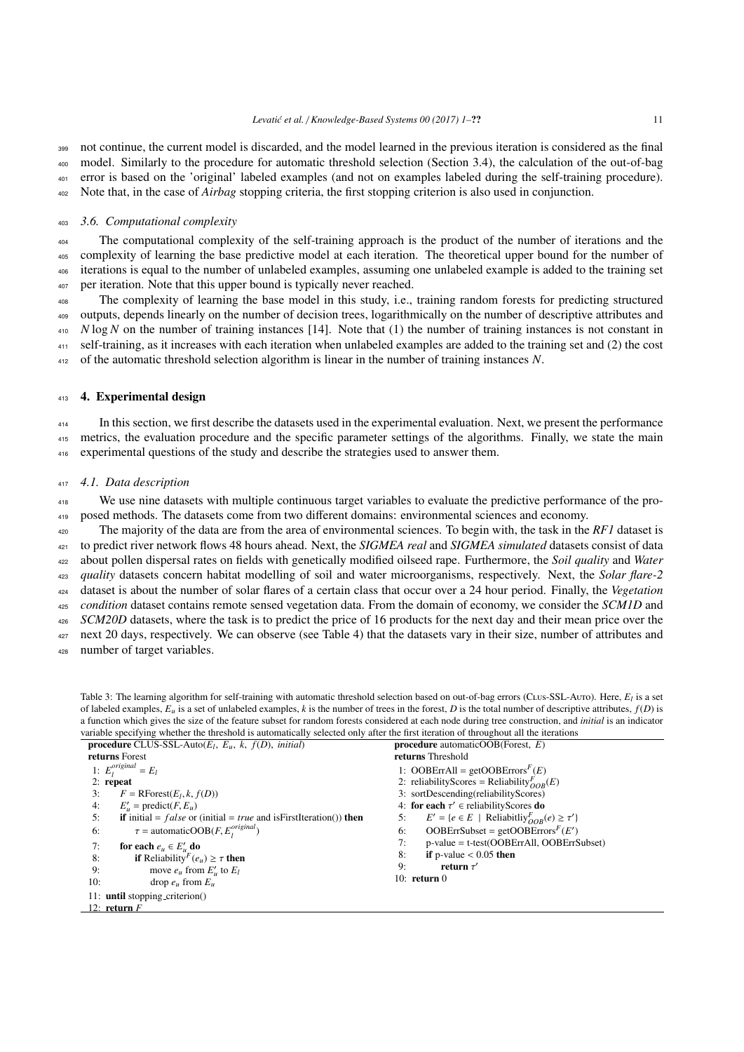<sup>399</sup> not continue, the current model is discarded, and the model learned in the previous iteration is considered as the final <sup>400</sup> model. Similarly to the procedure for automatic threshold selection (Section [3.4\)](#page-9-1), the calculation of the out-of-bag <sup>401</sup> error is based on the 'original' labeled examples (and not on examples labeled during the self-training procedure).

<sup>402</sup> Note that, in the case of *Airbag* stopping criteria, the first stopping criterion is also used in conjunction.

# <span id="page-10-2"></span><sup>403</sup> *3.6. Computational complexity*

 The computational complexity of the self-training approach is the product of the number of iterations and the complexity of learning the base predictive model at each iteration. The theoretical upper bound for the number of iterations is equal to the number of unlabeled examples, assuming one unlabeled example is added to the training set per iteration. Note that this upper bound is typically never reached.

The complexity of learning the base model in this study, i.e., training random forests for predicting structured <sup>409</sup> outputs, depends linearly on the number of decision trees, logarithmically on the number of descriptive attributes and  $\mu_{10}$  *N* log *N* on the number of training instances [\[14\]](#page-21-6). Note that (1) the number of training instances is not constant in <sup>411</sup> self-training, as it increases with each iteration when unlabeled examples are added to the training set and (2) the cost

<sup>412</sup> of the automatic threshold selection algorithm is linear in the number of training instances *N*.

# <span id="page-10-0"></span>413 **4. Experimental design**

<sup>414</sup> In this section, we first describe the datasets used in the experimental evaluation. Next, we present the performance <sup>415</sup> metrics, the evaluation procedure and the specific parameter settings of the algorithms. Finally, we state the main <sup>416</sup> experimental questions of the study and describe the strategies used to answer them.

#### <sup>417</sup> *4.1. Data description*

<sup>418</sup> We use nine datasets with multiple continuous target variables to evaluate the predictive performance of the pro-<sup>419</sup> posed methods. The datasets come from two different domains: environmental sciences and economy.

 The majority of the data are from the area of environmental sciences. To begin with, the task in the *RF1* dataset is to predict river network flows 48 hours ahead. Next, the *SIGMEA real* and *SIGMEA simulated* datasets consist of data about pollen dispersal rates on fields with genetically modified oilseed rape. Furthermore, the *Soil quality* and *Water quality* datasets concern habitat modelling of soil and water microorganisms, respectively. Next, the *Solar flare-2* dataset is about the number of solar flares of a certain class that occur over a 24 hour period. Finally, the *Vegetation condition* dataset contains remote sensed vegetation data. From the domain of economy, we consider the *SCM1D* and *SCM20D* datasets, where the task is to predict the price of 16 products for the next day and their mean price over the 427 next 20 days, respectively. We can observe (see Table [4\)](#page-11-0) that the datasets vary in their size, number of attributes and

<sup>428</sup> number of target variables.

<span id="page-10-1"></span>Table 3: The learning algorithm for self-training with automatic threshold selection based on out-of-bag errors (CLus-SSL-Auro). Here,  $E_l$  is a set of labeled examples, *E<sup>u</sup>* is a set of unlabeled examples, *k* is the number of trees in the forest, *D* is the total number of descriptive attributes, *f*(*D*) is a function which gives the size of the feature subset for random forests considered at each node during tree construction, and *initial* is an indicator variable specifying whether the threshold is automatically selected only after the first iteration of throughout all the iterations

| <b>procedure</b> CLUS-SSL-Auto( $E_l$ , $E_u$ , $k$ , $f(D)$ , <i>initial</i> )                                                                                | <b>procedure</b> automatic OOB (Forest, $E$ )                                                             |
|----------------------------------------------------------------------------------------------------------------------------------------------------------------|-----------------------------------------------------------------------------------------------------------|
| returns Forest                                                                                                                                                 | returns Threshold                                                                                         |
| 1: $E_l^{original} = E_l$                                                                                                                                      | 1: OOBErrAll = getOOBErrors <sup><math>F</math></sup> (E)                                                 |
| $2:$ repeat                                                                                                                                                    | 2: reliabilityScores = Reliability ${}_{OOB}^F(E)$                                                        |
| $F = \text{RForest}(E_l, k, f(D))$<br>3:                                                                                                                       | 3: sortDescending(reliabilityScores)                                                                      |
| $E'_{\mu}$ = predict( <i>F</i> , $E_{\mu}$ )<br>4:                                                                                                             | 4: for each $\tau' \in$ reliability Scores do                                                             |
| <b>if</b> initial = $false$ or (initial = $true$ and is First Iteration()) <b>then</b><br>5:                                                                   | $E' = \{e \in E \mid \text{Reliability}_{OOR}^{F}(e) \geq \tau'\}$<br>5:                                  |
| $\tau$ = automaticOOB( <i>F</i> , $E_l^{original}$ )<br>6:                                                                                                     | OOBErrSubset = getOOBErrors $F(E')$<br>6:                                                                 |
| 7:<br>for each $e_u \in E'_u$ do<br><b>if</b> Reliability <sup><i>F</i></sup> ( $e_u$ ) $\geq \tau$ <b>then</b><br>8:<br>9:<br>move $e_u$ from $E'_u$ to $E_l$ | p-value = t-test(OOBErrAll, OOBErrSubset)<br>7:<br>if p-value $< 0.05$ then<br>8:<br>9:<br>return $\tau'$ |
| 10:<br>drop $e_u$ from $E_u$                                                                                                                                   | 10: $return 0$                                                                                            |
| 11: until stopping_criterion()                                                                                                                                 |                                                                                                           |
| 12: return $F$                                                                                                                                                 |                                                                                                           |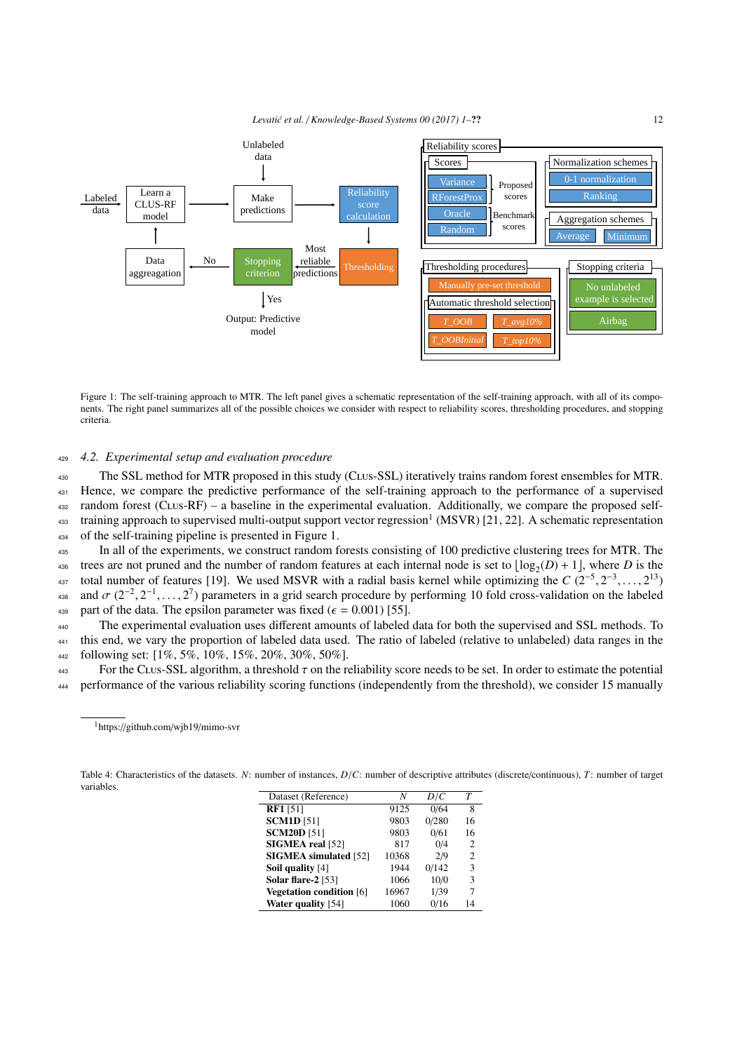<span id="page-11-1"></span>*Levati´c et al.* / *Knowledge-Based Systems 00 (2017) 1–*?? 12



Figure 1: The self-training approach to MTR. The left panel gives a schematic representation of the self-training approach, with all of its components. The right panel summarizes all of the possible choices we consider with respect to reliability scores, thresholding procedures, and stopping criteria.

# <sup>429</sup> *4.2. Experimental setup and evaluation procedure*

<sup>430</sup> The SSL method for MTR proposed in this study (Clus-SSL) iteratively trains random forest ensembles for MTR. <sup>431</sup> Hence, we compare the predictive performance of the self-training approach to the performance of a supervised <sup>432</sup> random forest (Clus-RF) – a baseline in the experimental evaluation. Additionally, we compare the proposed self-433 training approach to supervised multi-output support vector regression<sup>[1](#page-0-0)</sup> (MSVR) [\[21,](#page-21-13) [22\]](#page-21-14). A schematic representation <sup>434</sup> of the self-training pipeline is presented in Figure [1.](#page-11-1)

<sup>435</sup> In all of the experiments, we construct random forests consisting of 100 predictive clustering trees for MTR. The trees are not pruned and the number of random features at each internal node is set to  $\lfloor log_2(D) + 1 \rfloor$ , where *D* is the total number of features [\[19\]](#page-21-11). We used MSVR with a radial basis kernel while optimizing the *C* (2<sup>-5</sup>, 2<sup>-3</sup>,..., 2<sup>13</sup>)<br>and  $\sigma$  (2<sup>-2</sup>, 2<sup>-1</sup>, 2<sup>7</sup>) parameters in a grid search procedure by performing 10 fold cross-va as and  $\sigma$  (2<sup>-2</sup>, 2<sup>-1</sup>, ..., 2<sup>7</sup>) parameters in a grid search procedure by performing 10 fold cross-validation on the labeled<br>and part of the data. The ensilon parameter was fixed ( $\epsilon$  = 0.001) [55] 439 part of the data. The epsilon parameter was fixed ( $\epsilon = 0.001$ ) [\[55\]](#page-22-8).<br>The experimental evaluation uses different amounts of labeled

The experimental evaluation uses different amounts of labeled data for both the supervised and SSL methods. To <sup>441</sup> this end, we vary the proportion of labeled data used. The ratio of labeled (relative to unlabeled) data ranges in the <sup>442</sup> following set: [1%, 5%, 10%, 15%, 20%, 30%, 50%].

<sup>443</sup> For the CLus-SSL algorithm, a threshold τ on the reliability score needs to be set. In order to estimate the potential<br> *AM* performance of the various reliability scoring functions (independently from the threshol <sup>444</sup> performance of the various reliability scoring functions (independently from the threshold), we consider 15 manually

| Dataset (Reference)             | N     | D/C   | Т              |
|---------------------------------|-------|-------|----------------|
| <b>RF1</b> [51]                 | 9125  | 0/64  | 8              |
| <b>SCM1D</b> [51]               | 9803  | 0/280 | 16             |
| <b>SCM20D</b> [51]              | 9803  | 0/61  | 16             |
| SIGMEA real [52]                | 817   | 0/4   | $\overline{c}$ |
| <b>SIGMEA</b> simulated [52]    | 10368 | 2/9   | 2              |
| Soil quality [4]                | 1944  | 0/142 | 3              |
| Solar flare-2 [53]              | 1066  | 10/0  | 3              |
| <b>Vegetation condition</b> [6] | 16967 | 1/39  | 7              |
| <b>Water quality</b> [54]       | 1060  | 0/16  | 14             |

<span id="page-11-0"></span>Table 4: Characteristics of the datasets. *<sup>N</sup>*: number of instances, *<sup>D</sup>*/*C*: number of descriptive attributes (discrete/continuous), *<sup>T</sup>*: number of target variables.

<sup>1</sup>https://github.com/wjb19/mimo-svr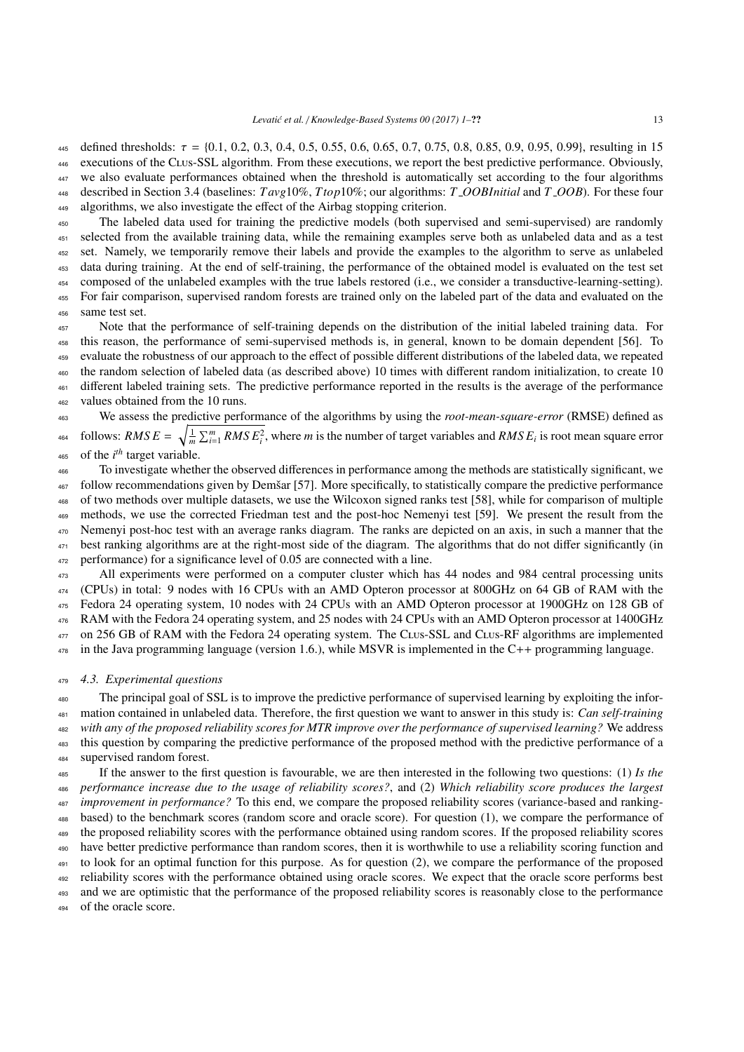445 defined thresholds:  $\tau = \{0.1, 0.2, 0.3, 0.4, 0.5, 0.55, 0.6, 0.65, 0.7, 0.75, 0.8, 0.85, 0.9, 0.95, 0.99\}$ , resulting in 15<br>executions of the CLUS-SSL algorithm. From these executions, we report the hest predictive executions of the CLus-SSL algorithm. From these executions, we report the best predictive performance. Obviously, we also evaluate performances obtained when the threshold is automatically set according to the four algorithms described in Section [3.4](#page-9-1) (baselines: *T avg*10%, *Ttop*10%; our algorithms: *T OOBInitial* and *T OOB*). For these four algorithms, we also investigate the effect of the Airbag stopping criterion.

 The labeled data used for training the predictive models (both supervised and semi-supervised) are randomly selected from the available training data, while the remaining examples serve both as unlabeled data and as a test set. Namely, we temporarily remove their labels and provide the examples to the algorithm to serve as unlabeled data during training. At the end of self-training, the performance of the obtained model is evaluated on the test set composed of the unlabeled examples with the true labels restored (i.e., we consider a transductive-learning-setting). For fair comparison, supervised random forests are trained only on the labeled part of the data and evaluated on the same test set.

 Note that the performance of self-training depends on the distribution of the initial labeled training data. For this reason, the performance of semi-supervised methods is, in general, known to be domain dependent [\[56\]](#page-22-13). To evaluate the robustness of our approach to the effect of possible different distributions of the labeled data, we repeated the random selection of labeled data (as described above) 10 times with different random initialization, to create 10 different labeled training sets. The predictive performance reported in the results is the average of the performance values obtained from the 10 runs.

 We assess the predictive performance of the algorithms by using the *root-mean-square-error* (RMSE) defined as follows: *RMS E* =  $\sqrt{\frac{1}{m} \sum_{i=1}^{m} RMS E_i^2}$ , where *m* is the number of target variables and *RMS E<sub>i</sub>* is root mean square error of the  $i<sup>th</sup>$  target variable.

 To investigate whether the observed differences in performance among the methods are statistically significant, we follow recommendations given by Demšar [\[57\]](#page-22-14). More specifically, to statistically compare the predictive performance of two methods over multiple datasets, we use the Wilcoxon signed ranks test [\[58\]](#page-22-15), while for comparison of multiple methods, we use the corrected Friedman test and the post-hoc Nemenyi test [\[59\]](#page-22-16). We present the result from the Nemenyi post-hoc test with an average ranks diagram. The ranks are depicted on an axis, in such a manner that the best ranking algorithms are at the right-most side of the diagram. The algorithms that do not differ significantly (in performance) for a significance level of 0.05 are connected with a line.

 All experiments were performed on a computer cluster which has 44 nodes and 984 central processing units (CPUs) in total: 9 nodes with 16 CPUs with an AMD Opteron processor at 800GHz on 64 GB of RAM with the Fedora 24 operating system, 10 nodes with 24 CPUs with an AMD Opteron processor at 1900GHz on 128 GB of RAM with the Fedora 24 operating system, and 25 nodes with 24 CPUs with an AMD Opteron processor at 1400GHz 477 on 256 GB of RAM with the Fedora 24 operating system. The CLus-SSL and CLus-RF algorithms are implemented in the Java programming language (version 1.6.), while MSVR is implemented in the C++ programming language.

# *4.3. Experimental questions*

 The principal goal of SSL is to improve the predictive performance of supervised learning by exploiting the infor- mation contained in unlabeled data. Therefore, the first question we want to answer in this study is: *Can self-training with any of the proposed reliability scores for MTR improve over the performance of supervised learning?* We address this question by comparing the predictive performance of the proposed method with the predictive performance of a supervised random forest.

 If the answer to the first question is favourable, we are then interested in the following two questions: (1) *Is the performance increase due to the usage of reliability scores?*, and (2) *Which reliability score produces the largest improvement in performance?* To this end, we compare the proposed reliability scores (variance-based and ranking- based) to the benchmark scores (random score and oracle score). For question (1), we compare the performance of the proposed reliability scores with the performance obtained using random scores. If the proposed reliability scores have better predictive performance than random scores, then it is worthwhile to use a reliability scoring function and to look for an optimal function for this purpose. As for question (2), we compare the performance of the proposed reliability scores with the performance obtained using oracle scores. We expect that the oracle score performs best

493 and we are optimistic that the performance of the proposed reliability scores is reasonably close to the performance

of the oracle score.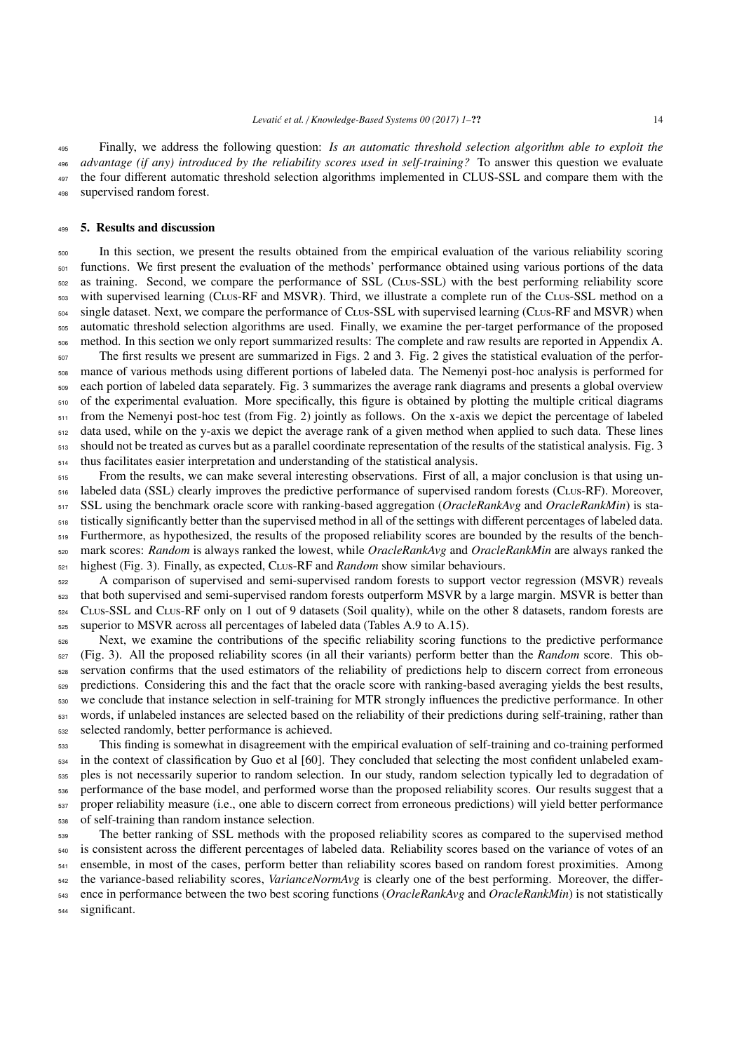Finally, we address the following question: *Is an automatic threshold selection algorithm able to exploit the advantage (if any) introduced by the reliability scores used in self-training?* To answer this question we evaluate the four different automatic threshold selection algorithms implemented in CLUS-SSL and compare them with the supervised random forest.

# <span id="page-13-0"></span>5. Results and discussion

 In this section, we present the results obtained from the empirical evaluation of the various reliability scoring <sub>501</sub> functions. We first present the evaluation of the methods' performance obtained using various portions of the data as training. Second, we compare the performance of SSL (Clus-SSL) with the best performing reliability score with supervised learning (Clus-RF and MSVR). Third, we illustrate a complete run of the Clus-SSL method on a  $_{504}$  single dataset. Next, we compare the performance of C<sub>LUS</sub>-SSL with supervised learning (C<sub>LUS</sub>-RF and MSVR) when automatic threshold selection algorithms are used. Finally, we examine the per-target performance of the proposed method. In this section we only report summarized results: The complete and raw results are reported in [Appendix A.](#page-22-17) The first results we present are summarized in Figs. [2](#page-14-0) and [3.](#page-15-0) Fig. [2](#page-14-0) gives the statistical evaluation of the perfor- mance of various methods using different portions of labeled data. The Nemenyi post-hoc analysis is performed for each portion of labeled data separately. Fig. [3](#page-15-0) summarizes the average rank diagrams and presents a global overview of the experimental evaluation. More specifically, this figure is obtained by plotting the multiple critical diagrams 511 from the Nemenyi post-hoc test (from Fig. [2\)](#page-14-0) jointly as follows. On the x-axis we depict the percentage of labeled data used, while on the y-axis we depict the average rank of a given method when applied to such data. These lines should not be treated as curves but as a parallel coordinate representation of the results of the statistical analysis. Fig. [3](#page-15-0) thus facilitates easier interpretation and understanding of the statistical analysis.

<sub>515</sub> From the results, we can make several interesting observations. First of all, a major conclusion is that using un- labeled data (SSL) clearly improves the predictive performance of supervised random forests (Clus-RF). Moreover, SSL using the benchmark oracle score with ranking-based aggregation (*OracleRankAvg* and *OracleRankMin*) is sta- tistically significantly better than the supervised method in all of the settings with different percentages of labeled data. Furthermore, as hypothesized, the results of the proposed reliability scores are bounded by the results of the bench- mark scores: *Random* is always ranked the lowest, while *OracleRankAvg* and *OracleRankMin* are always ranked the highest (Fig. [3\)](#page-15-0). Finally, as expected, Clus-RF and *Random* show similar behaviours.

 A comparison of supervised and semi-supervised random forests to support vector regression (MSVR) reveals that both supervised and semi-supervised random forests outperform MSVR by a large margin. MSVR is better than Clus-SSL and Clus-RF only on 1 out of 9 datasets (Soil quality), while on the other 8 datasets, random forests are superior to MSVR across all percentages of labeled data (Tables [A.9](#page-23-0) to [A.15\)](#page-29-0).

 Next, we examine the contributions of the specific reliability scoring functions to the predictive performance (Fig. [3\)](#page-15-0). All the proposed reliability scores (in all their variants) perform better than the *Random* score. This ob- servation confirms that the used estimators of the reliability of predictions help to discern correct from erroneous predictions. Considering this and the fact that the oracle score with ranking-based averaging yields the best results, we conclude that instance selection in self-training for MTR strongly influences the predictive performance. In other 531 words, if unlabeled instances are selected based on the reliability of their predictions during self-training, rather than selected randomly, better performance is achieved.

 This finding is somewhat in disagreement with the empirical evaluation of self-training and co-training performed in the context of classification by Guo et al [\[60\]](#page-22-18). They concluded that selecting the most confident unlabeled exam- ples is not necessarily superior to random selection. In our study, random selection typically led to degradation of <sub>536</sub> performance of the base model, and performed worse than the proposed reliability scores. Our results suggest that a proper reliability measure (i.e., one able to discern correct from erroneous predictions) will yield better performance of self-training than random instance selection.

 The better ranking of SSL methods with the proposed reliability scores as compared to the supervised method is consistent across the different percentages of labeled data. Reliability scores based on the variance of votes of an ensemble, in most of the cases, perform better than reliability scores based on random forest proximities. Among the variance-based reliability scores, *VarianceNormAvg* is clearly one of the best performing. Moreover, the differ- ence in performance between the two best scoring functions (*OracleRankAvg* and *OracleRankMin*) is not statistically significant.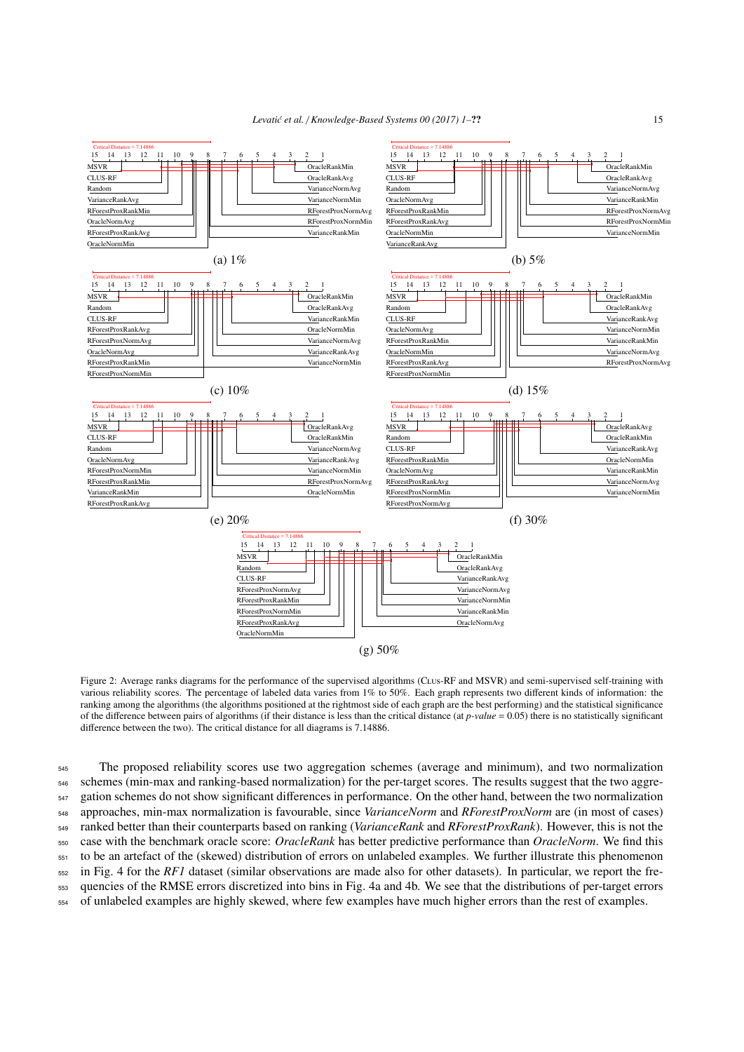

<span id="page-14-0"></span>Figure 2: Average ranks diagrams for the performance of the supervised algorithms (CLus-RF and MSVR) and semi-supervised self-training with various reliability scores. The percentage of labeled data varies from 1% to 50%. Each graph represents two different kinds of information: the ranking among the algorithms (the algorithms positioned at the rightmost side of each graph are the best performing) and the statistical significance of the difference between pairs of algorithms (if their distance is less than the critical distance (at *p-value* = 0.05) there is no statistically significant difference between the two). The critical distance for all diagrams is 7.14886.

 The proposed reliability scores use two aggregation schemes (average and minimum), and two normalization schemes (min-max and ranking-based normalization) for the per-target scores. The results suggest that the two aggre- gation schemes do not show significant differences in performance. On the other hand, between the two normalization approaches, min-max normalization is favourable, since *VarianceNorm* and *RForestProxNorm* are (in most of cases) ranked better than their counterparts based on ranking (*VarianceRank* and *RForestProxRank*). However, this is not the case with the benchmark oracle score: *OracleRank* has better predictive performance than *OracleNorm*. We find this to be an artefact of the (skewed) distribution of errors on unlabeled examples. We further illustrate this phenomenon in Fig. [4](#page-16-0) for the *RF1* dataset (similar observations are made also for other datasets). In particular, we report the fre- quencies of the RMSE errors discretized into bins in Fig. [4a](#page-16-0) and [4b](#page-16-0). We see that the distributions of per-target errors of unlabeled examples are highly skewed, where few examples have much higher errors than the rest of examples.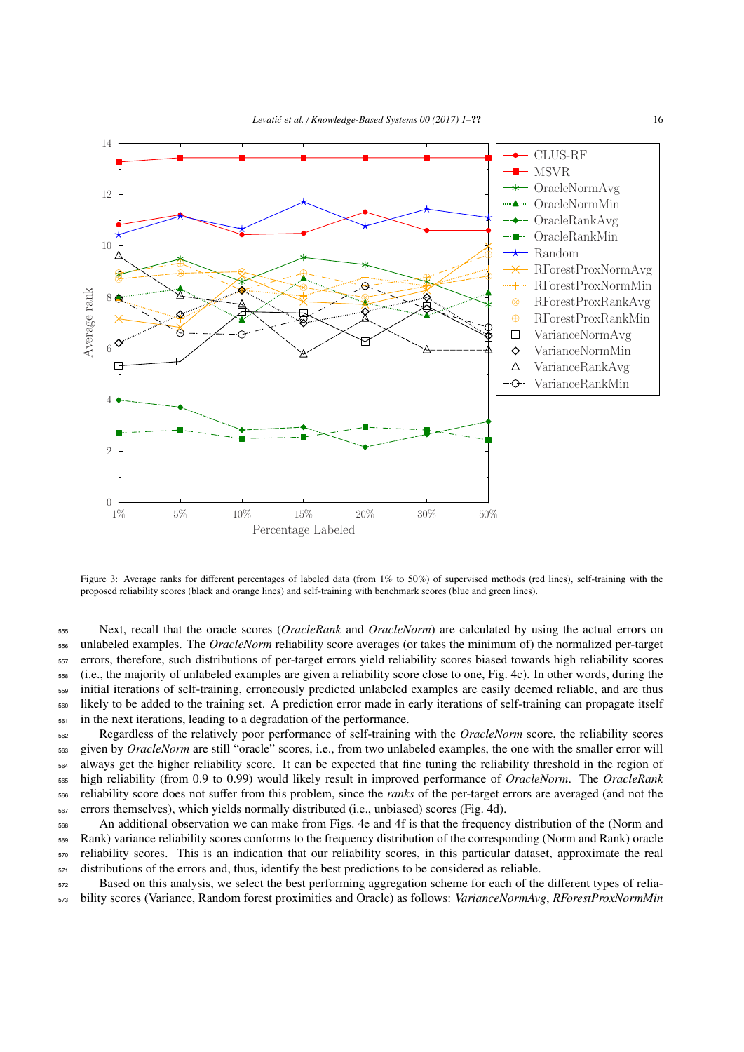

<span id="page-15-0"></span>Figure 3: Average ranks for different percentages of labeled data (from 1% to 50%) of supervised methods (red lines), self-training with the proposed reliability scores (black and orange lines) and self-training with benchmark scores (blue and green lines).

 Next, recall that the oracle scores (*OracleRank* and *OracleNorm*) are calculated by using the actual errors on unlabeled examples. The *OracleNorm* reliability score averages (or takes the minimum of) the normalized per-target errors, therefore, such distributions of per-target errors yield reliability scores biased towards high reliability scores (i.e., the majority of unlabeled examples are given a reliability score close to one, Fig. [4c](#page-16-0)). In other words, during the initial iterations of self-training, erroneously predicted unlabeled examples are easily deemed reliable, and are thus likely to be added to the training set. A prediction error made in early iterations of self-training can propagate itself in the next iterations, leading to a degradation of the performance.

 Regardless of the relatively poor performance of self-training with the *OracleNorm* score, the reliability scores given by *OracleNorm* are still "oracle" scores, i.e., from two unlabeled examples, the one with the smaller error will always get the higher reliability score. It can be expected that fine tuning the reliability threshold in the region of high reliability (from 0.9 to 0.99) would likely result in improved performance of *OracleNorm*. The *OracleRank* reliability score does not suffer from this problem, since the *ranks* of the per-target errors are averaged (and not the errors themselves), which yields normally distributed (i.e., unbiased) scores (Fig. [4d](#page-16-0)).

 An additional observation we can make from Figs. [4e](#page-16-0) and [4f](#page-16-0) is that the frequency distribution of the (Norm and Rank) variance reliability scores conforms to the frequency distribution of the corresponding (Norm and Rank) oracle reliability scores. This is an indication that our reliability scores, in this particular dataset, approximate the real distributions of the errors and, thus, identify the best predictions to be considered as reliable.

<sup>572</sup> Based on this analysis, we select the best performing aggregation scheme for each of the different types of relia-<sup>573</sup> bility scores (Variance, Random forest proximities and Oracle) as follows: *VarianceNormAvg*, *RForestProxNormMin*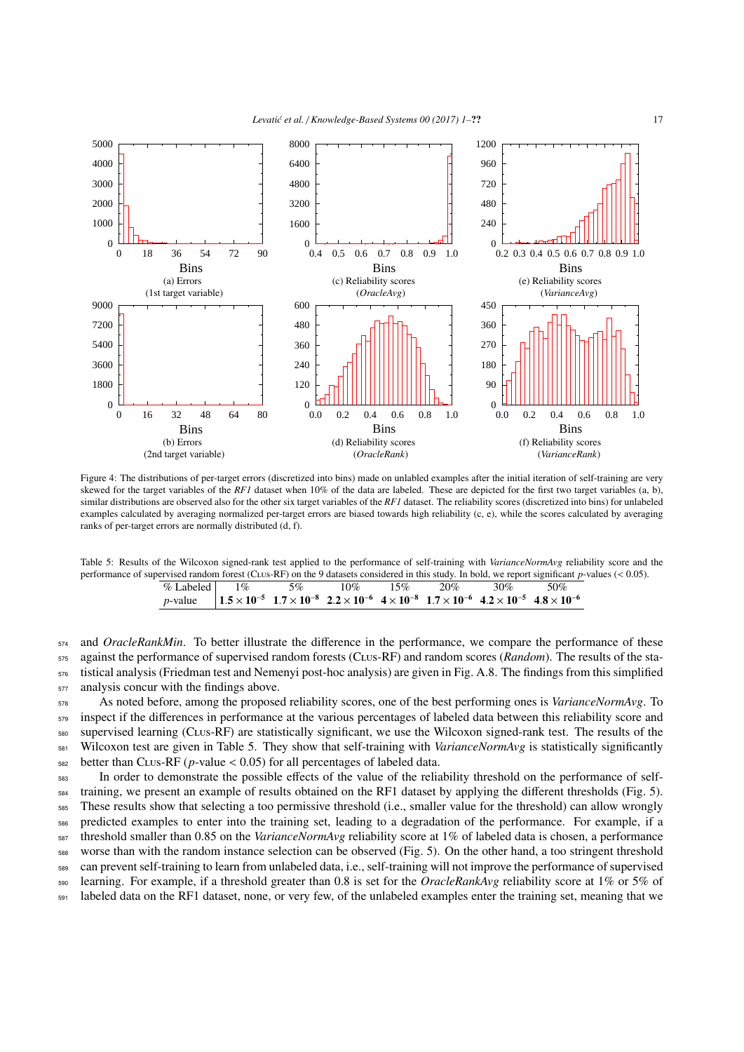

Figure 4: The distributions of per-target errors (discretized into bins) made on unlabled examples after the initial iteration of self-training are very skewed for the target variables of the *RF1* dataset when 10% of the data are labeled. These are depicted for the first two target variables (a, b), similar distributions are observed also for the other six target variables of the *RF1* dataset. The reliability scores (discretized into bins) for unlabeled examples calculated by averaging normalized per-target errors are biased towards high reliability (c, e), while the scores calculated by averaging ranks of per-target errors are normally distributed (d, f).

<span id="page-16-1"></span>Table 5: Results of the Wilcoxon signed-rank test applied to the performance of self-training with *VarianceNormAvg* reliability score and the performance of supervised random forest (Clus-RF) on the 9 datasets considered in this study. In bold, we report significant *<sup>p</sup>*-values (< 0.05).

<span id="page-16-0"></span>

|                                                                                                                                                                  |  | % Labeled $1\%$ 5% $10\%$ 15% | $20\%$ $30\%$ 50% |  |
|------------------------------------------------------------------------------------------------------------------------------------------------------------------|--|-------------------------------|-------------------|--|
| <i>p</i> -value $1.5 \times 10^{-5}$ $1.7 \times 10^{-8}$ $2.2 \times 10^{-6}$ $4 \times 10^{-8}$ $1.7 \times 10^{-6}$ $4.2 \times 10^{-5}$ $4.8 \times 10^{-6}$ |  |                               |                   |  |

 and *OracleRankMin*. To better illustrate the difference in the performance, we compare the performance of these against the performance of supervised random forests (Clus-RF) and random scores (*Random*). The results of the sta- tistical analysis (Friedman test and Nemenyi post-hoc analysis) are given in Fig. [A.8.](#page-30-0) The findings from this simplified analysis concur with the findings above.

 As noted before, among the proposed reliability scores, one of the best performing ones is *VarianceNormAvg*. To 579 inspect if the differences in performance at the various percentages of labeled data between this reliability score and supervised learning (Clus-RF) are statistically significant, we use the Wilcoxon signed-rank test. The results of the Wilcoxon test are given in Table [5.](#page-16-1) They show that self-training with *VarianceNormAvg* is statistically significantly 582 better than CLus-RF (*p*-value  $\lt 0.05$ ) for all percentages of labeled data.<br>In order to demonstrate the possible effects of the value of the relia

In order to demonstrate the possible effects of the value of the reliability threshold on the performance of self- training, we present an example of results obtained on the RF1 dataset by applying the different thresholds (Fig. [5\)](#page-17-0). These results show that selecting a too permissive threshold (i.e., smaller value for the threshold) can allow wrongly predicted examples to enter into the training set, leading to a degradation of the performance. For example, if a threshold smaller than 0.85 on the *VarianceNormAvg* reliability score at 1% of labeled data is chosen, a performance worse than with the random instance selection can be observed (Fig. [5\)](#page-17-0). On the other hand, a too stringent threshold can prevent self-training to learn from unlabeled data, i.e., self-training will not improve the performance of supervised learning. For example, if a threshold greater than 0.8 is set for the *OracleRankAvg* reliability score at 1% or 5% of labeled data on the RF1 dataset, none, or very few, of the unlabeled examples enter the training set, meaning that we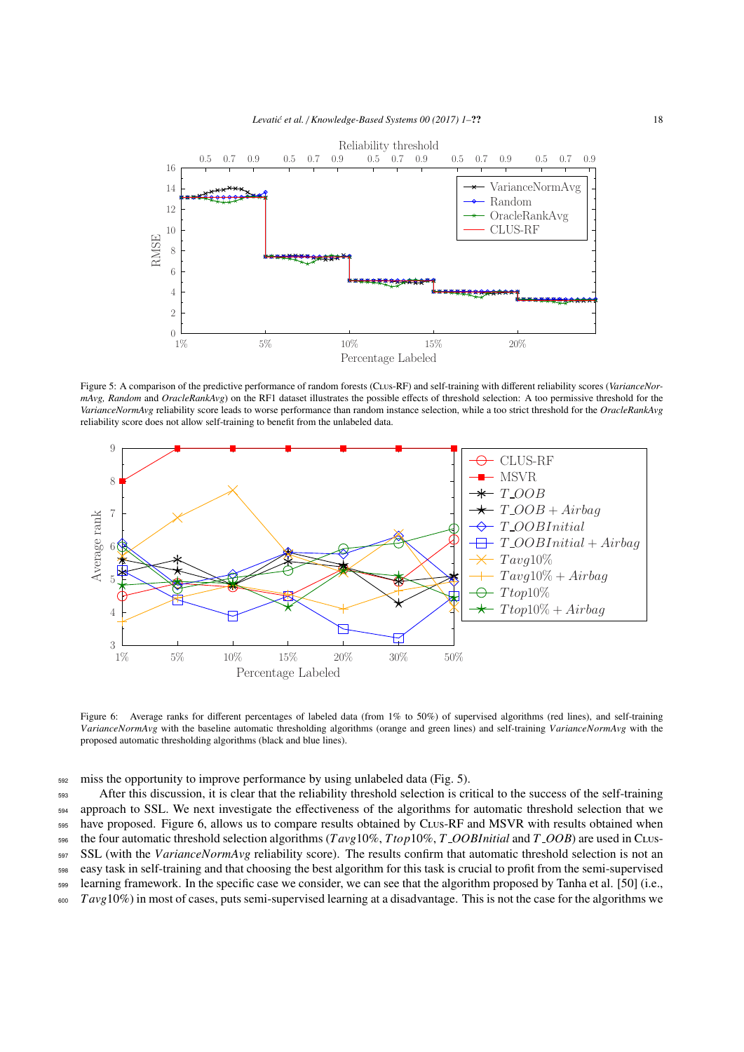<span id="page-17-0"></span>

Figure 5: A comparison of the predictive performance of random forests (Clus-RF) and self-training with different reliability scores (*VarianceNormAvg, Random* and *OracleRankAvg*) on the RF1 dataset illustrates the possible effects of threshold selection: A too permissive threshold for the *VarianceNormAvg* reliability score leads to worse performance than random instance selection, while a too strict threshold for the *OracleRankAvg* reliability score does not allow self-training to benefit from the unlabeled data.



<span id="page-17-1"></span>Figure 6: Average ranks for different percentages of labeled data (from 1% to 50%) of supervised algorithms (red lines), and self-training *VarianceNormAvg* with the baseline automatic thresholding algorithms (orange and green lines) and self-training *VarianceNormAvg* with the proposed automatic thresholding algorithms (black and blue lines).

<sup>592</sup> miss the opportunity to improve performance by using unlabeled data (Fig. [5\)](#page-17-0).

 After this discussion, it is clear that the reliability threshold selection is critical to the success of the self-training approach to SSL. We next investigate the effectiveness of the algorithms for automatic threshold selection that we <sub>595</sub> have proposed. Figure [6,](#page-17-1) allows us to compare results obtained by CLus-RF and MSVR with results obtained when the four automatic threshold selection algorithms (*T avg*10%, *Ttop*10%, *T OOBInitial* and *T OOB*) are used in Clus- SSL (with the *VarianceNormAvg* reliability score). The results confirm that automatic threshold selection is not an easy task in self-training and that choosing the best algorithm for this task is crucial to profit from the semi-supervised learning framework. In the specific case we consider, we can see that the algorithm proposed by Tanha et al. [\[50\]](#page-22-7) (i.e., *T avg*10%) in most of cases, puts semi-supervised learning at a disadvantage. This is not the case for the algorithms we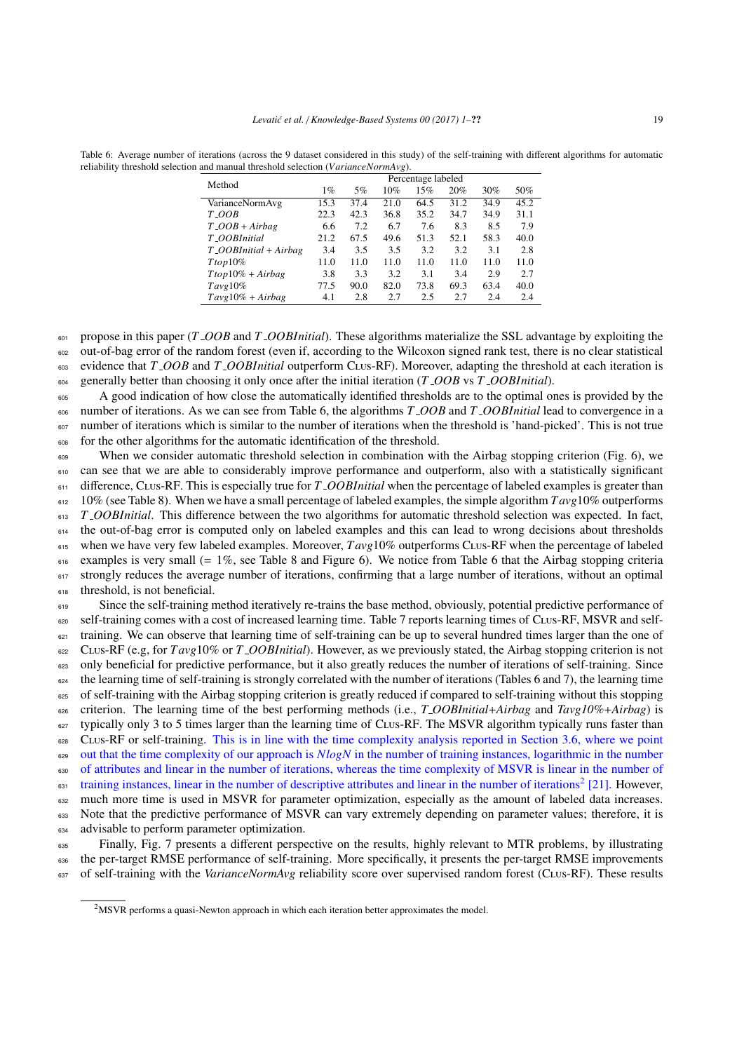| Method                          |       |      |      | Percentage labeled |      |      |      |
|---------------------------------|-------|------|------|--------------------|------|------|------|
|                                 | $1\%$ | 5%   | 10%  | 15%                | 20%  | 30%  | 50%  |
| VarianceNormAvg                 | 15.3  | 37.4 | 21.0 | 64.5               | 31.2 | 34.9 | 45.2 |
| $T_$ <i>OOB</i>                 | 22.3  | 42.3 | 36.8 | 35.2               | 34.7 | 34.9 | 31.1 |
| $T$ <sub>-OOB</sub> + Airbag    | 6.6   | 7.2  | 6.7  | 7.6                | 8.3  | 8.5  | 7.9  |
| T_OOBInitial                    | 21.2  | 67.5 | 49.6 | 51.3               | 52.1 | 58.3 | 40.0 |
| $T_$ <i>OOBInitial</i> + Airbag | 3.4   | 3.5  | 3.5  | 3.2                | 3.2  | 3.1  | 2.8  |
| $Ttop10\%$                      | 11.0  | 11.0 | 11.0 | 11.0               | 11.0 | 11.0 | 11.0 |
| $Ttop10\% + Airbag$             | 3.8   | 3.3  | 3.2  | 3.1                | 3.4  | 2.9  | 2.7  |
| Tavg10%                         | 77.5  | 90.0 | 82.0 | 73.8               | 69.3 | 63.4 | 40.0 |
| $Tavg10\% + Airbag$             | 4.1   | 2.8  | 2.7  | 2.5                | 2.7  | 2.4  | 2.4  |

<span id="page-18-0"></span>Table 6: Average number of iterations (across the 9 dataset considered in this study) of the self-training with different algorithms for automatic reliability threshold selection and manual threshold selection (*VarianceNormAvg*).

<sup>601</sup> propose in this paper (*T OOB* and *T OOBInitial*). These algorithms materialize the SSL advantage by exploiting the <sup>602</sup> out-of-bag error of the random forest (even if, according to the Wilcoxon signed rank test, there is no clear statistical <sup>603</sup> evidence that *T OOB* and *T OOBInitial* outperform Clus-RF). Moreover, adapting the threshold at each iteration is

<sup>604</sup> generally better than choosing it only once after the initial iteration (*T OOB* vs *T OOBInitial*).

<sup>605</sup> A good indication of how close the automatically identified thresholds are to the optimal ones is provided by the <sup>606</sup> number of iterations. As we can see from Table [6,](#page-18-0) the algorithms *T OOB* and *T OOBInitial* lead to convergence in a number of iterations which is similar to the number of iterations when the threshold is 'hand-picked'. This is not true <sup>608</sup> for the other algorithms for the automatic identification of the threshold.

<sup>609</sup> When we consider automatic threshold selection in combination with the Airbag stopping criterion (Fig. [6\)](#page-17-1), we 610 can see that we are able to considerably improve performance and outperform, also with a statistically significant <sup>611</sup> difference, Clus-RF. This is especially true for *T OOBInitial* when the percentage of labeled examples is greater than  $612$  10% (see Table [8\)](#page-20-7). When we have a small percentage of labeled examples, the simple algorithm  $Tavg10\%$  outperforms <sup>613</sup> *T OOBInitial*. This difference between the two algorithms for automatic threshold selection was expected. In fact, <sup>614</sup> the out-of-bag error is computed only on labeled examples and this can lead to wrong decisions about thresholds when we have very few labeled examples. Moreover,  $T \alpha v g 10\%$  outperforms C<sub>LUS</sub>-RF when the percentage of labeled  $616$  examples is very small (= 1%, see Table [8](#page-20-7) and Figure [6\)](#page-17-1). We notice from Table [6](#page-18-0) that the Airbag stopping criteria 617 strongly reduces the average number of iterations, confirming that a large number of iterations, without an optimal <sup>618</sup> threshold, is not beneficial.

619 Since the self-training method iteratively re-trains the base method, obviously, potential predictive performance of 620 self-training comes with a cost of increased learning time. Table [7](#page-19-1) reports learning times of CLus-RF, MSVR and self- $621$  training. We can observe that learning time of self-training can be up to several hundred times larger than the one of <sup>622</sup> Clus-RF (e.g, for *T avg*10% or *T OOBInitial*). However, as we previously stated, the Airbag stopping criterion is not <sup>623</sup> only beneficial for predictive performance, but it also greatly reduces the number of iterations of self-training. Since  $624$  the learning time of self-training is strongly correlated with the number of iterations (Tables [6](#page-18-0) and [7\)](#page-19-1), the learning time <sup>625</sup> of self-training with the Airbag stopping criterion is greatly reduced if compared to self-training without this stopping <sup>626</sup> criterion. The learning time of the best performing methods (i.e., *T OOBInitial*+*Airbag* and *Tavg10%*+*Airbag*) is 627 typically only 3 to 5 times larger than the learning time of CLUs-RF. The MSVR algorithm typically runs faster than 628 CLUS-RF or self-training. This is in line with the time complexity analysis reported in Section [3.6,](#page-10-2) where we point <sup>629</sup> out that the time complexity of our approach is *NlogN* in the number of training instances, logarithmic in the number <sup>630</sup> of attributes and linear in the number of iterations, whereas the time complexity of MSVR is linear in the number of  $\epsilon_{\text{31}}$  training instances, linear in the number of descriptive attributes and linear in the number of iterations<sup>[2](#page-0-0)</sup> [\[21\]](#page-21-13). However, 632 much more time is used in MSVR for parameter optimization, especially as the amount of labeled data increases. 633 Note that the predictive performance of MSVR can vary extremely depending on parameter values; therefore, it is <sup>634</sup> advisable to perform parameter optimization.

<sup>635</sup> Finally, Fig. [7](#page-19-2) presents a different perspective on the results, highly relevant to MTR problems, by illustrating <sub>636</sub> the per-target RMSE performance of self-training. More specifically, it presents the per-target RMSE improvements 637 of self-training with the *VarianceNormAvg* reliability score over supervised random forest (CLus-RF). These results

<sup>2</sup>MSVR performs a quasi-Newton approach in which each iteration better approximates the model.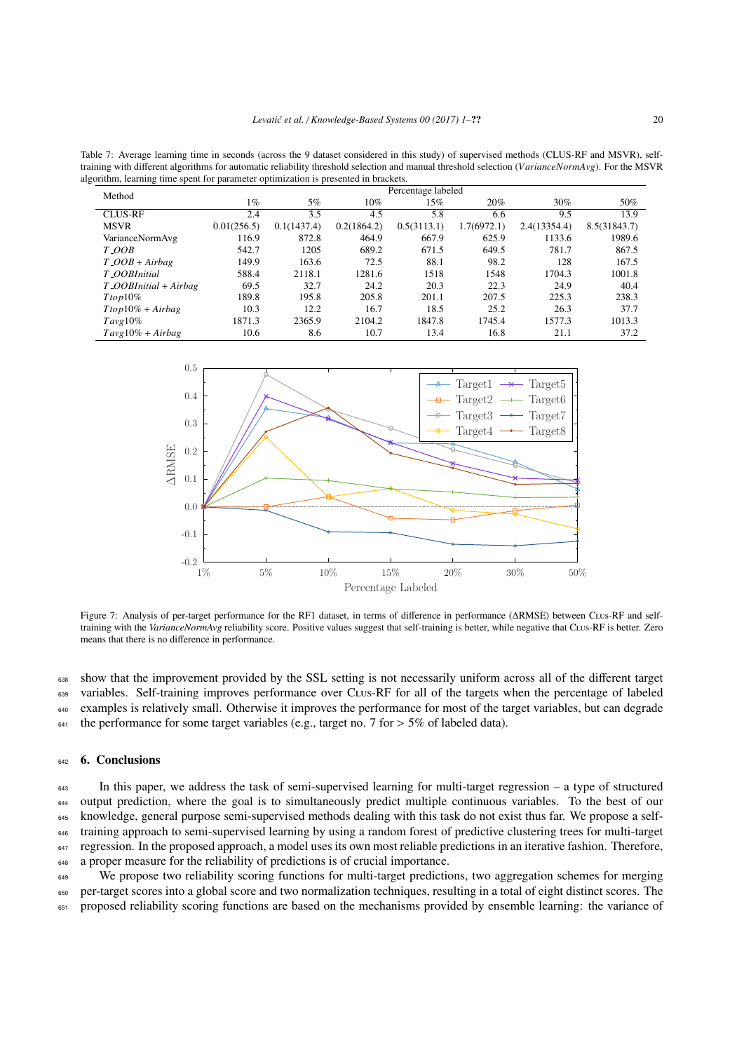<span id="page-19-1"></span>Table 7: Average learning time in seconds (across the 9 dataset considered in this study) of supervised methods (CLUS-RF and MSVR), selftraining with different algorithms for automatic reliability threshold selection and manual threshold selection (*VarianceNormAvg*). For the MSVR algorithm, learning time spent for parameter optimization is presented in brackets.

|                                 |             |             |             | Percentage labeled |             |              |              |
|---------------------------------|-------------|-------------|-------------|--------------------|-------------|--------------|--------------|
| Method                          | $1\%$       | 5%          | $10\%$      | 15%                | 20%         | $30\%$       | 50%          |
| <b>CLUS-RF</b>                  | 2.4         | 3.5         | 4.5         | 5.8                | 6.6         | 9.5          | 13.9         |
| <b>MSVR</b>                     | 0.01(256.5) | 0.1(1437.4) | 0.2(1864.2) | 0.5(3113.1)        | 1.7(6972.1) | 2.4(13354.4) | 8.5(31843.7) |
| VarianceNormAvg                 | 116.9       | 872.8       | 464.9       | 667.9              | 625.9       | 1133.6       | 1989.6       |
| $T_{.}OOB$                      | 542.7       | 1205        | 689.2       | 671.5              | 649.5       | 781.7        | 867.5        |
| $T$ <sub>-</sub> $OOB + Airbag$ | 149.9       | 163.6       | 72.5        | 88.1               | 98.2        | 128          | 167.5        |
| T_OOBInitial                    | 588.4       | 2118.1      | 1281.6      | 1518               | 1548        | 1704.3       | 1001.8       |
| $T_$ <i>OOBInitial</i> + Airbag | 69.5        | 32.7        | 24.2        | 20.3               | 22.3        | 24.9         | 40.4         |
| $Ttop10\%$                      | 189.8       | 195.8       | 205.8       | 201.1              | 207.5       | 225.3        | 238.3        |
| $Ttop10\% + Airbag$             | 10.3        | 12.2        | 16.7        | 18.5               | 25.2        | 26.3         | 37.7         |
| $Tavg10\%$                      | 1871.3      | 2365.9      | 2104.2      | 1847.8             | 1745.4      | 1577.3       | 1013.3       |
| $Tavg10\% + Airbag$             | 10.6        | 8.6         | 10.7        | 13.4               | 16.8        | 21.1         | 37.2         |

<span id="page-19-2"></span>

Figure 7: Analysis of per-target performance for the RF1 dataset, in terms of difference in performance (∆RMSE) between Clus-RF and selftraining with the *VarianceNormAvg* reliability score. Positive values suggest that self-training is better, while negative that Clus-RF is better. Zero means that there is no difference in performance.

<sup>638</sup> show that the improvement provided by the SSL setting is not necessarily uniform across all of the different target 639 variables. Self-training improves performance over CLus-RF for all of the targets when the percentage of labeled <sup>640</sup> examples is relatively small. Otherwise it improves the performance for most of the target variables, but can degrade <sup>641</sup> the performance for some target variables (e.g., target no. 7 for  $> 5\%$  of labeled data).

### <span id="page-19-0"></span><sub>642</sub> 6. Conclusions

<sup>643</sup> In this paper, we address the task of semi-supervised learning for multi-target regression – a type of structured output prediction, where the goal is to simultaneously predict multiple continuous variables. To the best of our knowledge, general purpose semi-supervised methods dealing with this task do not exist thus far. We propose a self- training approach to semi-supervised learning by using a random forest of predictive clustering trees for multi-target <sup>647</sup> regression. In the proposed approach, a model uses its own most reliable predictions in an iterative fashion. Therefore, a proper measure for the reliability of predictions is of crucial importance.

<sup>649</sup> We propose two reliability scoring functions for multi-target predictions, two aggregation schemes for merging <sup>650</sup> per-target scores into a global score and two normalization techniques, resulting in a total of eight distinct scores. The <sup>651</sup> proposed reliability scoring functions are based on the mechanisms provided by ensemble learning: the variance of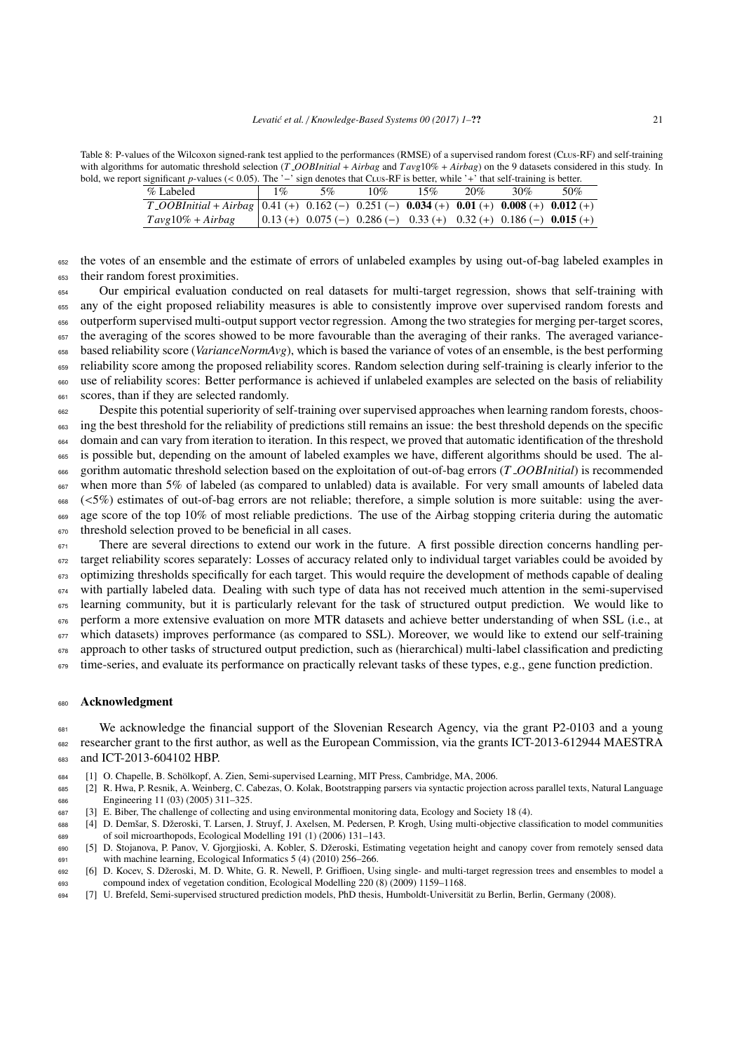<span id="page-20-7"></span>Table 8: P-values of the Wilcoxon signed-rank test applied to the performances (RMSE) of a supervised random forest (Clus-RF) and self-training with algorithms for automatic threshold selection (*T OOBInitial* + *Airbag* and *T avg*10% + *Airbag*) on the 9 datasets considered in this study. In bold, we report significant *<sup>p</sup>*-values (< 0.05). The '−' sign denotes that Clus-RF is better, while '+' that self-training is better.

| % Labeled                                                                                                                   | $\%$ | 5% | 10%                                                                   | 15% | 20% | 30% | 50% |
|-----------------------------------------------------------------------------------------------------------------------------|------|----|-----------------------------------------------------------------------|-----|-----|-----|-----|
| $T_1$ COBInitial + Airbag   0.41 (+) 0.162 (-) 0.251 (-) <b>0.034</b> (+) <b>0.01</b> (+) <b>0.008</b> (+) <b>0.012</b> (+) |      |    |                                                                       |     |     |     |     |
| $Tavg10\% + Airbag$                                                                                                         |      |    | $(0.13 (+) 0.075 (-) 0.286 (-) 0.33 (+) 0.32 (+) 0.186 (-) 0.015 (+)$ |     |     |     |     |

<sup>652</sup> the votes of an ensemble and the estimate of errors of unlabeled examples by using out-of-bag labeled examples in <sup>653</sup> their random forest proximities.

 Our empirical evaluation conducted on real datasets for multi-target regression, shows that self-training with any of the eight proposed reliability measures is able to consistently improve over supervised random forests and outperform supervised multi-output support vector regression. Among the two strategies for merging per-target scores, <sup>657</sup> the averaging of the scores showed to be more favourable than the averaging of their ranks. The averaged variance- based reliability score (*VarianceNormAvg*), which is based the variance of votes of an ensemble, is the best performing reliability score among the proposed reliability scores. Random selection during self-training is clearly inferior to the use of reliability scores: Better performance is achieved if unlabeled examples are selected on the basis of reliability scores, than if they are selected randomly.

662 Despite this potential superiority of self-training over supervised approaches when learning random forests, choos-<sup>663</sup> ing the best threshold for the reliability of predictions still remains an issue: the best threshold depends on the specific <sup>664</sup> domain and can vary from iteration to iteration. In this respect, we proved that automatic identification of the threshold <sup>665</sup> is possible but, depending on the amount of labeled examples we have, different algorithms should be used. The al-<sup>666</sup> gorithm automatic threshold selection based on the exploitation of out-of-bag errors (*T OOBInitial*) is recommended <sup>667</sup> when more than 5% of labeled (as compared to unlabled) data is available. For very small amounts of labeled data  $\frac{668}{668}$  (<5%) estimates of out-of-bag errors are not reliable; therefore, a simple solution is more suitable: using the aver-<br> $\frac{668}{668}$  age score of the top 10% of most reliable predictions. The use of the Airba age score of the top 10% of most reliable predictions. The use of the Airbag stopping criteria during the automatic 670 threshold selection proved to be beneficial in all cases.

There are several directions to extend our work in the future. A first possible direction concerns handling per-<sup>672</sup> target reliability scores separately: Losses of accuracy related only to individual target variables could be avoided by 673 optimizing thresholds specifically for each target. This would require the development of methods capable of dealing <sup>674</sup> with partially labeled data. Dealing with such type of data has not received much attention in the semi-supervised <sup>675</sup> learning community, but it is particularly relevant for the task of structured output prediction. We would like to 676 perform a more extensive evaluation on more MTR datasets and achieve better understanding of when SSL (i.e., at 677 which datasets) improves performance (as compared to SSL). Moreover, we would like to extend our self-training approach to other tasks of structured output prediction, such as (hierarchical) multi-label classification and predicting 679 time-series, and evaluate its performance on practically relevant tasks of these types, e.g., gene function prediction.

#### <sup>680</sup> Acknowledgment

<sup>681</sup> We acknowledge the financial support of the Slovenian Research Agency, via the grant P2-0103 and a young <sup>682</sup> researcher grant to the first author, as well as the European Commission, via the grants ICT-2013-612944 MAESTRA 683 and ICT-2013-604102 HBP.

- <span id="page-20-0"></span><sup>684</sup> [1] O. Chapelle, B. Scholkopf, A. Zien, Semi-supervised Learning, MIT Press, Cambridge, MA, 2006. ¨
- <span id="page-20-1"></span><sup>685</sup> [2] R. Hwa, P. Resnik, A. Weinberg, C. Cabezas, O. Kolak, Bootstrapping parsers via syntactic projection across parallel texts, Natural Language <sup>686</sup> Engineering 11 (03) (2005) 311–325.
- <span id="page-20-2"></span><sup>687</sup> [3] E. Biber, The challenge of collecting and using environmental monitoring data, Ecology and Society 18 (4).
- <span id="page-20-3"></span>688 [4] D. Demšar, S. Džeroski, T. Larsen, J. Struyf, J. Axelsen, M. Pedersen, P. Krogh, Using multi-objective classification to model communities <sup>689</sup> of soil microarthopods, Ecological Modelling 191 (1) (2006) 131–143.
- <span id="page-20-4"></span><sup>690</sup> [5] D. Stojanova, P. Panov, V. Gjorgjioski, A. Kobler, S. Dzeroski, Estimating vegetation height and canopy cover from remotely sensed data ˇ <sup>691</sup> with machine learning, Ecological Informatics 5 (4) (2010) 256–266.
- <span id="page-20-5"></span>692 [6] D. Kocev, S. Džeroski, M. D. White, G. R. Newell, P. Griffioen, Using single- and multi-target regression trees and ensembles to model a <sup>693</sup> compound index of vegetation condition, Ecological Modelling 220 (8) (2009) 1159–1168.
- <span id="page-20-6"></span><sup>694</sup> [7] U. Brefeld, Semi-supervised structured prediction models, PhD thesis, Humboldt-Universitat zu Berlin, Berlin, Germany (2008). ¨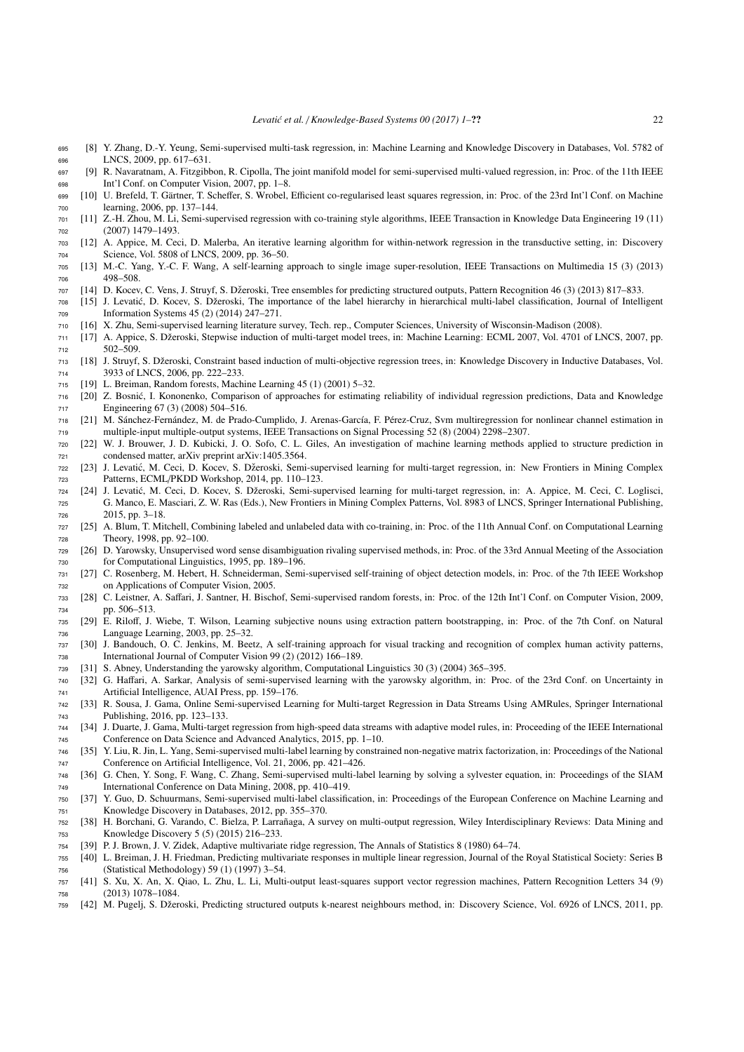- <span id="page-21-0"></span> [8] Y. Zhang, D.-Y. Yeung, Semi-supervised multi-task regression, in: Machine Learning and Knowledge Discovery in Databases, Vol. 5782 of LNCS, 2009, pp. 617–631.
- <span id="page-21-1"></span> [9] R. Navaratnam, A. Fitzgibbon, R. Cipolla, The joint manifold model for semi-supervised multi-valued regression, in: Proc. of the 11th IEEE Int'l Conf. on Computer Vision, 2007, pp. 1–8.
- <span id="page-21-2"></span>699 [10] U. Brefeld, T. Gärtner, T. Scheffer, S. Wrobel, Efficient co-regularised least squares regression, in: Proc. of the 23rd Int'l Conf. on Machine learning, 2006, pp. 137–144.
- <span id="page-21-3"></span> [11] Z.-H. Zhou, M. Li, Semi-supervised regression with co-training style algorithms, IEEE Transaction in Knowledge Data Engineering 19 (11) (2007) 1479–1493.
- <span id="page-21-4"></span> [12] A. Appice, M. Ceci, D. Malerba, An iterative learning algorithm for within-network regression in the transductive setting, in: Discovery Science, Vol. 5808 of LNCS, 2009, pp. 36–50.
- <span id="page-21-5"></span> [13] M.-C. Yang, Y.-C. F. Wang, A self-learning approach to single image super-resolution, IEEE Transactions on Multimedia 15 (3) (2013) 706 498-508
- <span id="page-21-6"></span>[14] D. Kocev, C. Vens, J. Struyf, S. Dzeroski, Tree ensembles for predicting structured outputs, Pattern Recognition 46 (3) (2013) 817–833. ˇ
- <span id="page-21-7"></span> [15] J. Levatić, D. Kocev, S. Džeroski, The importance of the label hierarchy in hierarchical multi-label classification, Journal of Intelligent Information Systems 45 (2) (2014) 247–271.
- <span id="page-21-8"></span>[16] X. Zhu, Semi-supervised learning literature survey, Tech. rep., Computer Sciences, University of Wisconsin-Madison (2008).
- <span id="page-21-9"></span> [17] A. Appice, S. Dzeroski, Stepwise induction of multi-target model trees, in: Machine Learning: ECML 2007, Vol. 4701 of LNCS, 2007, pp. ˇ 502–509.
- <span id="page-21-10"></span> [18] J. Struyf, S. Dzeroski, Constraint based induction of multi-objective regression trees, in: Knowledge Discovery in Inductive Databases, Vol. ˇ 3933 of LNCS, 2006, pp. 222–233.
- <span id="page-21-11"></span>[19] L. Breiman, Random forests, Machine Learning 45 (1) (2001) 5–32.
- <span id="page-21-12"></span> [20] Z. Bosnic, I. Kononenko, Comparison of approaches for estimating reliability of individual regression predictions, Data and Knowledge ´ Engineering 67 (3) (2008) 504–516.
- <span id="page-21-13"></span>718 [21] M. Sánchez-Fernández, M. de Prado-Cumplido, J. Arenas-García, F. Pérez-Cruz, Svm multiregression for nonlinear channel estimation in multiple-input multiple-output systems, IEEE Transactions on Signal Processing 52 (8) (2004) 2298–2307.
- <span id="page-21-14"></span> [22] W. J. Brouwer, J. D. Kubicki, J. O. Sofo, C. L. Giles, An investigation of machine learning methods applied to structure prediction in condensed matter, arXiv preprint arXiv:1405.3564.
- <span id="page-21-15"></span>722 [23] J. Levatić, M. Ceci, D. Kocev, S. Džeroski, Semi-supervised learning for multi-target regression, in: New Frontiers in Mining Complex Patterns, ECML/PKDD Workshop, 2014, pp. 110–123.
- <span id="page-21-16"></span>724 [24] J. Levatić, M. Ceci, D. Kocev, S. Džeroski, Semi-supervised learning for multi-target regression, in: A. Appice, M. Ceci, C. Loglisci, G. Manco, E. Masciari, Z. W. Ras (Eds.), New Frontiers in Mining Complex Patterns, Vol. 8983 of LNCS, Springer International Publishing, 2015, pp. 3–18.
- <span id="page-21-17"></span> [25] A. Blum, T. Mitchell, Combining labeled and unlabeled data with co-training, in: Proc. of the 11th Annual Conf. on Computational Learning Theory, 1998, pp. 92–100.
- <span id="page-21-18"></span> [26] D. Yarowsky, Unsupervised word sense disambiguation rivaling supervised methods, in: Proc. of the 33rd Annual Meeting of the Association for Computational Linguistics, 1995, pp. 189–196.
- <span id="page-21-19"></span> [27] C. Rosenberg, M. Hebert, H. Schneiderman, Semi-supervised self-training of object detection models, in: Proc. of the 7th IEEE Workshop on Applications of Computer Vision, 2005.
- <span id="page-21-20"></span> [28] C. Leistner, A. Saffari, J. Santner, H. Bischof, Semi-supervised random forests, in: Proc. of the 12th Int'l Conf. on Computer Vision, 2009, pp. 506–513.
- <span id="page-21-21"></span> [29] E. Riloff, J. Wiebe, T. Wilson, Learning subjective nouns using extraction pattern bootstrapping, in: Proc. of the 7th Conf. on Natural Language Learning, 2003, pp. 25–32.
- <span id="page-21-22"></span> [30] J. Bandouch, O. C. Jenkins, M. Beetz, A self-training approach for visual tracking and recognition of complex human activity patterns, International Journal of Computer Vision 99 (2) (2012) 166–189.
- <span id="page-21-23"></span>[31] S. Abney, Understanding the yarowsky algorithm, Computational Linguistics 30 (3) (2004) 365–395.
- <span id="page-21-24"></span> [32] G. Haffari, A. Sarkar, Analysis of semi-supervised learning with the yarowsky algorithm, in: Proc. of the 23rd Conf. on Uncertainty in Artificial Intelligence, AUAI Press, pp. 159–176.
- <span id="page-21-25"></span> [33] R. Sousa, J. Gama, Online Semi-supervised Learning for Multi-target Regression in Data Streams Using AMRules, Springer International Publishing, 2016, pp. 123–133.
- <span id="page-21-26"></span> [34] J. Duarte, J. Gama, Multi-target regression from high-speed data streams with adaptive model rules, in: Proceeding of the IEEE International Conference on Data Science and Advanced Analytics, 2015, pp. 1–10.
- <span id="page-21-27"></span> [35] Y. Liu, R. Jin, L. Yang, Semi-supervised multi-label learning by constrained non-negative matrix factorization, in: Proceedings of the National Conference on Artificial Intelligence, Vol. 21, 2006, pp. 421–426.
- <span id="page-21-28"></span> [36] G. Chen, Y. Song, F. Wang, C. Zhang, Semi-supervised multi-label learning by solving a sylvester equation, in: Proceedings of the SIAM International Conference on Data Mining, 2008, pp. 410–419.
- <span id="page-21-29"></span> [37] Y. Guo, D. Schuurmans, Semi-supervised multi-label classification, in: Proceedings of the European Conference on Machine Learning and Knowledge Discovery in Databases, 2012, pp. 355–370.
- <span id="page-21-30"></span> [38] H. Borchani, G. Varando, C. Bielza, P. Larranaga, A survey on multi-output regression, Wiley Interdisciplinary Reviews: Data Mining and ˜ Knowledge Discovery 5 (5) (2015) 216–233.
- <span id="page-21-31"></span>[39] P. J. Brown, J. V. Zidek, Adaptive multivariate ridge regression, The Annals of Statistics 8 (1980) 64–74.
- <span id="page-21-32"></span> [40] L. Breiman, J. H. Friedman, Predicting multivariate responses in multiple linear regression, Journal of the Royal Statistical Society: Series B (Statistical Methodology) 59 (1) (1997) 3–54.
- <span id="page-21-33"></span> [41] S. Xu, X. An, X. Qiao, L. Zhu, L. Li, Multi-output least-squares support vector regression machines, Pattern Recognition Letters 34 (9) (2013) 1078–1084.
- <span id="page-21-34"></span>[42] M. Pugelj, S. Dzeroski, Predicting structured outputs k-nearest neighbours method, in: Discovery Science, Vol. 6926 of LNCS, 2011, pp. ˇ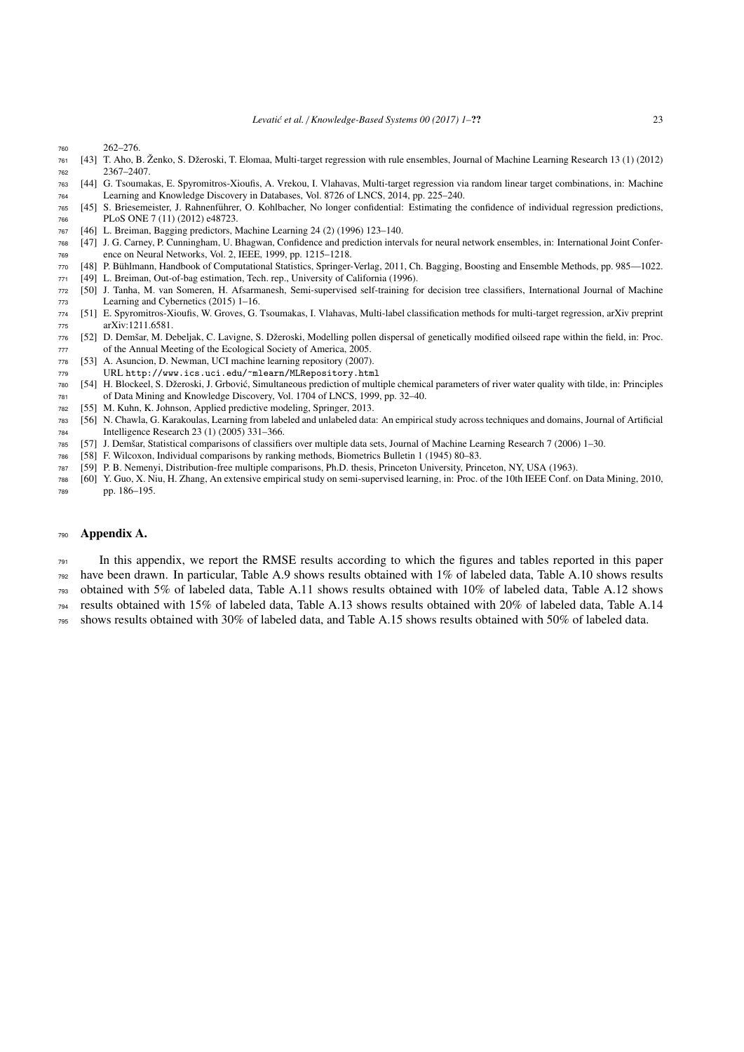- 262–276.
- <span id="page-22-0"></span>761 [43] T. Aho, B. Ženko, S. Džeroski, T. Elomaa, Multi-target regression with rule ensembles, Journal of Machine Learning Research 13 (1) (2012) 2367–2407.
- <span id="page-22-1"></span> [44] G. Tsoumakas, E. Spyromitros-Xioufis, A. Vrekou, I. Vlahavas, Multi-target regression via random linear target combinations, in: Machine Learning and Knowledge Discovery in Databases, Vol. 8726 of LNCS, 2014, pp. 225–240.
- <span id="page-22-2"></span> [45] S. Briesemeister, J. Rahnenfuhrer, O. Kohlbacher, No longer confidential: Estimating the confidence of individual regression predictions, ¨ PLoS ONE 7 (11) (2012) e48723.
- <span id="page-22-3"></span>[46] L. Breiman, Bagging predictors, Machine Learning 24 (2) (1996) 123–140.
- <span id="page-22-4"></span> [47] J. G. Carney, P. Cunningham, U. Bhagwan, Confidence and prediction intervals for neural network ensembles, in: International Joint Confer-ence on Neural Networks, Vol. 2, IEEE, 1999, pp. 1215–1218.
- <span id="page-22-5"></span>[48] P. Buhlmann, Handbook of Computational Statistics, Springer-Verlag, 2011, Ch. Bagging, Boosting and Ensemble Methods, pp. 985—1022. ¨
- <span id="page-22-6"></span>[49] L. Breiman, Out-of-bag estimation, Tech. rep., University of California (1996).
- <span id="page-22-7"></span> [50] J. Tanha, M. van Someren, H. Afsarmanesh, Semi-supervised self-training for decision tree classifiers, International Journal of Machine Learning and Cybernetics (2015) 1–16.
- <span id="page-22-9"></span> [51] E. Spyromitros-Xioufis, W. Groves, G. Tsoumakas, I. Vlahavas, Multi-label classification methods for multi-target regression, arXiv preprint arXiv:1211.6581.
- <span id="page-22-10"></span> [52] D. Demšar, M. Debeljak, C. Lavigne, S. Džeroski, Modelling pollen dispersal of genetically modified oilseed rape within the field, in: Proc. of the Annual Meeting of the Ecological Society of America, 2005.
- <span id="page-22-11"></span>[53] A. Asuncion, D. Newman, [UCI machine learning repository](http://www.ics.uci.edu/~mlearn/MLRepository.html) (2007).
- URL <http://www.ics.uci.edu/~mlearn/MLRepository.html>
- <span id="page-22-12"></span>[54] H. Blockeel, S. Džeroski, J. Grbović, Simultaneous prediction of multiple chemical parameters of river water quality with tilde, in: Principles of Data Mining and Knowledge Discovery, Vol. 1704 of LNCS, 1999, pp. 32–40.
- <span id="page-22-8"></span>[55] M. Kuhn, K. Johnson, Applied predictive modeling, Springer, 2013.
- <span id="page-22-13"></span> [56] N. Chawla, G. Karakoulas, Learning from labeled and unlabeled data: An empirical study across techniques and domains, Journal of Artificial Intelligence Research 23 (1) (2005) 331–366.
- <span id="page-22-14"></span>785 [57] J. Demšar, Statistical comparisons of classifiers over multiple data sets, Journal of Machine Learning Research 7 (2006) 1-30.
- <span id="page-22-15"></span>[58] F. Wilcoxon, Individual comparisons by ranking methods, Biometrics Bulletin 1 (1945) 80–83.
- <span id="page-22-16"></span>[59] P. B. Nemenyi, Distribution-free multiple comparisons, Ph.D. thesis, Princeton University, Princeton, NY, USA (1963).
- <span id="page-22-18"></span> [60] Y. Guo, X. Niu, H. Zhang, An extensive empirical study on semi-supervised learning, in: Proc. of the 10th IEEE Conf. on Data Mining, 2010, pp. 186–195.

# <span id="page-22-17"></span>Appendix A.

 $_{791}$  In this appendix, we report the RMSE results according to which the figures and tables reported in this paper

have been drawn. In particular, Table [A.9](#page-23-0) shows results obtained with 1% of labeled data, Table [A.10](#page-24-0) shows results

obtained with 5% of labeled data, Table [A.11](#page-25-0) shows results obtained with 10% of labeled data, Table [A.12](#page-26-0) shows

results obtained with 15% of labeled data, Table [A.13](#page-27-0) shows results obtained with 20% of labeled data, Table [A.14](#page-28-0)

shows results obtained with 30% of labeled data, and Table [A.15](#page-29-0) shows results obtained with 50% of labeled data.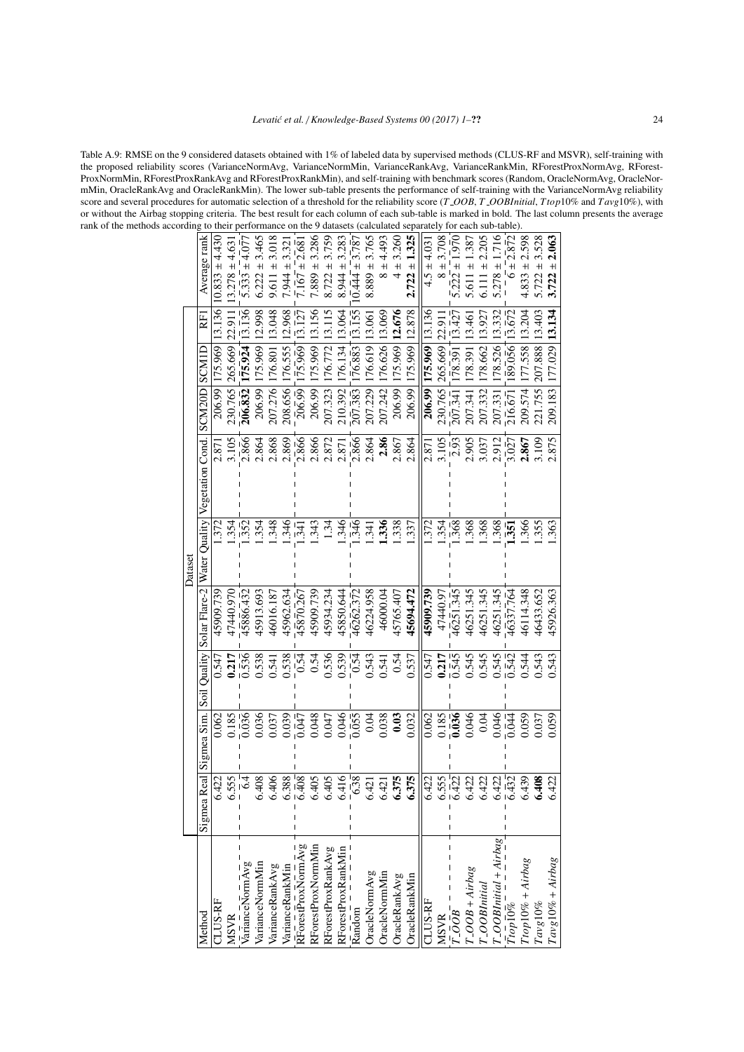<span id="page-23-0"></span>Table A.9: RMSE on the 9 considered datasets obtained with 1% of labeled data by supervised methods (CLUS-RF and MSVR), self-training with the proposed reliability scores (VarianceNormAvg, VarianceNormMin, VarianceRankAvg, VarianceRankMin, RForestProxNormAvg, RForest-ProxNormMin, RForestProxRankAvg and RForestProxRankMin), and self-training with benchmark scores (Random, OracleNormAvg, OracleNormMin, OracleRankAvg and OracleRankMin). The lower sub-table presents the performance of self-training with the VarianceNormAvg reliability score and several procedures for automatic selection of a threshold for the reliability score (*T OOB*, *T OOBInitial*, *Ttop*10% and *T avg*10%), with or without the Airbag stopping criteria. The best result for each column of each sub-table is marked in bold. The last column presents the average rank of the methods according to the 9 datasets (calculated separately for  $\frac{1}{2}$ 

| 207.276<br>230.765<br>208.656<br>207.323<br>206.832<br>206.99<br>206.99<br>206.99<br>206.99<br>210.392<br>Solar Flare-2   Water Quality   Vegetation Cond.<br>3.105<br>$2.\overline{866}$<br>2.868<br>2.866<br>2.866<br>2.872<br>2.869<br>2.864<br>2.871<br>2.87<br>$-352$<br>.348<br>.343<br>346<br>1.354<br>.354<br>.346<br>1.34<br>.372<br>$\ddot{3}$<br>45913.693<br>45962.634<br>45909.739<br>45934.234<br>45909.739<br>47440.970<br>45886.432<br>46016.187<br>45870.267<br>45850.644 | 207.229<br>$\frac{1}{207.383}$<br>2.866<br>2.864<br>$-346$<br>341<br>46224.958<br>46262.372 | 207.242<br>2.86<br>1.338<br>1.336<br>46000.04 |
|--------------------------------------------------------------------------------------------------------------------------------------------------------------------------------------------------------------------------------------------------------------------------------------------------------------------------------------------------------------------------------------------------------------------------------------------------------------------------------------------|---------------------------------------------------------------------------------------------|-----------------------------------------------|
|                                                                                                                                                                                                                                                                                                                                                                                                                                                                                            |                                                                                             |                                               |
|                                                                                                                                                                                                                                                                                                                                                                                                                                                                                            |                                                                                             |                                               |
|                                                                                                                                                                                                                                                                                                                                                                                                                                                                                            |                                                                                             |                                               |
|                                                                                                                                                                                                                                                                                                                                                                                                                                                                                            |                                                                                             |                                               |
|                                                                                                                                                                                                                                                                                                                                                                                                                                                                                            |                                                                                             |                                               |
| 0.541                                                                                                                                                                                                                                                                                                                                                                                                                                                                                      |                                                                                             |                                               |
| 0.536<br>0.538<br>0.539<br>$\bar{0.54}$<br>0.54                                                                                                                                                                                                                                                                                                                                                                                                                                            | 0.54<br>0.543                                                                               | 0.54<br>0.541                                 |
| 0.048<br>0.046<br>$-647$<br>0.047                                                                                                                                                                                                                                                                                                                                                                                                                                                          | $\bar{0}.\bar{0}5$                                                                          | 0.038<br>0.03<br>0.04                         |
| 65<br>$\ddot{6}$<br>$\overline{5}$<br>6.4<br>6.4<br>6.4                                                                                                                                                                                                                                                                                                                                                                                                                                    | $\overline{38}$<br>$\dot{\circ}$                                                            | 6.375<br>6.421<br>6.421                       |
|                                                                                                                                                                                                                                                                                                                                                                                                                                                                                            |                                                                                             |                                               |
|                                                                                                                                                                                                                                                                                                                                                                                                                                                                                            |                                                                                             |                                               |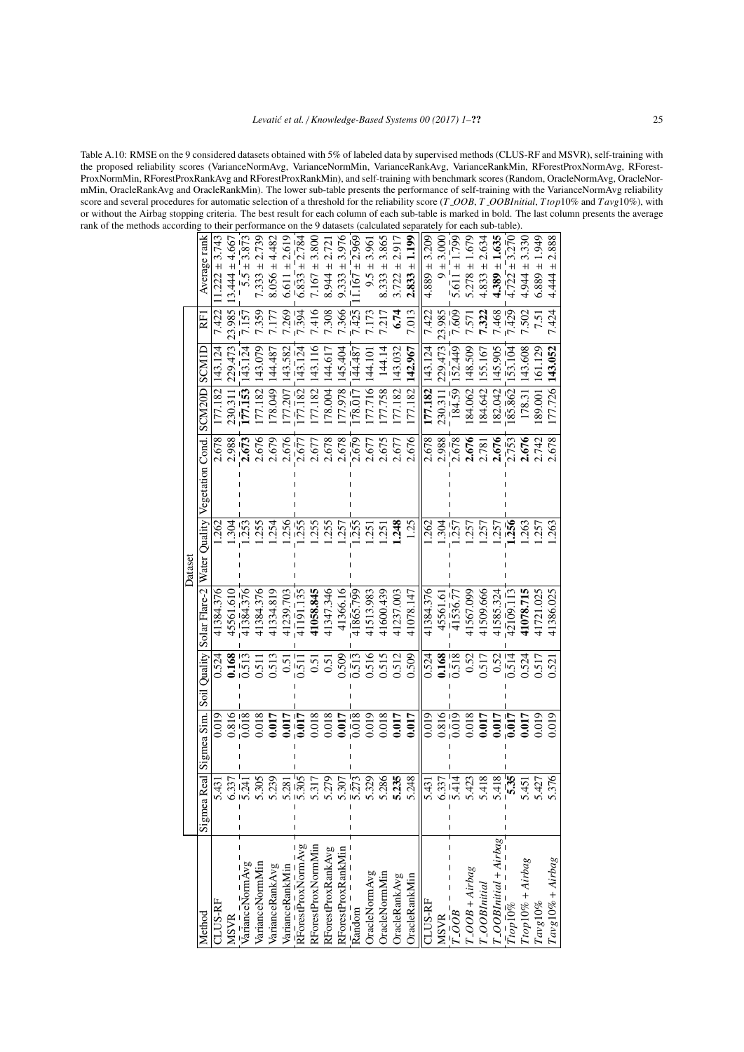<span id="page-24-0"></span>Table A.10: RMSE on the 9 considered datasets obtained with 5% of labeled data by supervised methods (CLUS-RF and MSVR), self-training with the proposed reliability scores (VarianceNormAvg, VarianceNormMin, VarianceRankAvg, VarianceRankMin, RForestProxNormAvg, RForest-ProxNormMin, RForestProxRankAvg and RForestProxRankMin), and self-training with benchmark scores (Random, OracleNormAvg, OracleNormMin, OracleRankAvg and OracleRankMin). The lower sub-table presents the performance of self-training with the VarianceNormAvg reliability score and several procedures for automatic selection of a threshold for the reliability score (*T OOB*, *T OOBInitial*, *Ttop*10% and *T avg*10%), with or without the Airbag stopping criteria. The best result for each column of each sub-table is marked in bold. The last column presents the average rank of the methods according to their performance on the 9 datasets (calculated separately for each sub-table).

|        | Average rank                          | $1.222 \pm 3.743$ | $3.444 \pm 4.667$ | $5.5 \pm 3.873$               | $7.333 \pm 2.739$ | $8.056 \pm 4.482$                  | 2.619           | $\frac{1}{6.833}$ = 2.78 <sup>2</sup>                            | 3.800              | $8.944 \pm 2.72$   | 3.976              | $.167 \pm 2.969$   | 3.961     | 3.865                          | 2.917<br>$\overline{+}$ | 1.199<br>$\overline{+}$ | $4.889 \pm 3.209$  | $9 + 3.000$       | 1.799              | $5.278 \pm 1.679$ | $4.833 \pm 2.634$ | 1.635                                       | $4.722 + 3.270$           | 3.330                 | 1.949       | 2.888              |
|--------|---------------------------------------|-------------------|-------------------|-------------------------------|-------------------|------------------------------------|-----------------|------------------------------------------------------------------|--------------------|--------------------|--------------------|--------------------|-----------|--------------------------------|-------------------------|-------------------------|--------------------|-------------------|--------------------|-------------------|-------------------|---------------------------------------------|---------------------------|-----------------------|-------------|--------------------|
|        |                                       |                   |                   |                               |                   |                                    | $6.611 \pm$     |                                                                  | $7.167 \pm$        |                    | $9.333 \pm$        |                    | $9.5 \pm$ | $8.333 \pm$                    | 3.722                   | 2.833                   |                    |                   | $5.611 \pm$        |                   |                   | $4.389 +$                                   |                           | $4.944 \pm$           | $6.889 \pm$ | $4.444 \pm$        |
|        | E                                     | 7.422             | 23.985            | 7.157                         | .359              | 7.177                              | 7.269           | 7.394                                                            | 7.416              | 7.308              | 7.366              | 7.425              | 7.173     | 7.217                          | 6.74                    | 7.013                   | 7.422              | 23.985            | 1.609              | <b>.57</b>        | 7.322             | 7.468                                       | (429)                     | 7.502                 | 7.51        | 7.424              |
|        | SCMIL                                 | 143.124           | 229.473           | 143.124                       | 143.079           | 144.487                            | 143.582         | (43.124)                                                         | 143.116            | 144.617            | 145.404            | 144.487            | 144.10    | 144.14                         | 143.032                 | 142.967                 | 143.124            | 229.473           | 52.449             | 148.509           | 155.167           | 145.905                                     | 153.104                   | 143.608               | 161.129     | 143.052            |
|        |                                       | 177.182           | 230.311           | 177.153                       | 77.182            | 78.049                             | 77.207          | 177.182                                                          | 77.182             | 78.004             | 77.978             | 78.017             | 77.716    | 77.758                         | 77.182                  | 77.182                  | 177.182            | 230.311           | 184.59             | 84.062            | 84.642            | 182.042                                     | 185.862                   | 178.31                | 89.001      | 77.726             |
|        |                                       | 2.678             | 2.988             | 2.673                         | 2.676             | 2.679                              | 2.676           | 2.677                                                            | 2.677              | 2.678              | 2.678              | 2.679              | 2.677     | 2.675                          | 2.677                   | 2.676                   | 2.678              | 2.988             | 2.678              | 2.676             | 2.781             | 2.676                                       | 2.753                     | 2.676                 | 2.742       | 2.678              |
|        | Water Quality Vegetation Cond. SCM20D |                   |                   |                               |                   |                                    |                 |                                                                  |                    |                    |                    |                    |           |                                |                         |                         |                    |                   |                    |                   |                   |                                             |                           |                       |             |                    |
|        |                                       | 262               | .304              | $-253$                        | .255              | .254                               | .256            | $-255$                                                           | .255               | .255               | .257               | $-255$             | .251      | .251                           | 1.248                   | 1.25                    | 262                | .304              | $-257$             | .257              | 1.257             | 1.257                                       | 1.256                     | .263                  | .257        | 263                |
| Datase |                                       |                   |                   |                               |                   |                                    |                 |                                                                  |                    |                    |                    |                    |           |                                |                         |                         |                    |                   |                    |                   |                   |                                             |                           |                       |             |                    |
|        | Solar Flare-2                         | 41384.376         | 45561.610         | 41384.376                     | 41384.376         | 41334.819                          | 41239.703       | $4\overline{1}\overline{9}\overline{1}.\overline{1}\overline{3}$ | 41058.845          | 41347.346          | 41366.16           | 41865.799          | 41513.983 | 41600.439                      | 41237.003               | 41078.147               | 41384.376          | 45561.6           | 41536.77           | 41567.099         | 41509.666         | 41585.324                                   | 42109.113                 | 41078.715             | 41721.025   | 41386.025          |
|        |                                       | 0.524             | 0.168             | $\overline{0.513}$            | 0.511             | 0.513                              | 0.51            | 511                                                              | 0.51               | 0.51               | 0.509              | 513                | 0.516     | 0.515                          | 0.512                   | 0.509                   | 0.524              | 0.168             | $\overline{0.518}$ | 0.52              | 0.517             | 0.52                                        | $-514$                    | .524                  | 0.517       | 0.521              |
|        | Soil Quality                          |                   |                   |                               |                   |                                    |                 |                                                                  |                    |                    |                    |                    |           |                                |                         |                         |                    |                   |                    |                   |                   |                                             |                           |                       |             |                    |
|        | Sigmea Sim.                           | 0.019             | 0.816             | $0.\overline{0}1\overline{8}$ | 0.018             | 0.017                              | 0.017           | 0.017                                                            | 0.018              | 0.018              | 0.017              | 0.018              | 0.019     | 0.018                          | 0.017                   | 0.017                   | 0.019              | $\frac{610}{919}$ |                    | 0.018             | 0.017             | 0.017                                       | 0.017                     | 1.017                 | 0.019       | 0.019              |
|        |                                       |                   |                   |                               |                   |                                    |                 |                                                                  |                    |                    |                    |                    |           |                                |                         |                         |                    |                   |                    |                   |                   |                                             |                           |                       |             |                    |
|        | $\overline{a}$<br>Sigmea R            | ನ                 | 37                | $\overline{5.241}$            | 305               | 239                                | $\overline{81}$ | $\frac{1}{5.305}$                                                | 317                | 579<br>5.2         | 507<br>53          | $\frac{1}{5}$ .273 | 29        | 86                             | 5.235                   | 5.248                   | $\ddot{31}$<br>5.4 | 37<br>6.3         | $\frac{1}{11}$     | $\ddot{c}$<br>5.4 | 118<br>54         | 118                                         | $\bar{\mathbf{35}}$<br>ın | $\overline{5}$<br>5.4 | 27<br>5.4   | 76                 |
|        |                                       |                   |                   |                               |                   |                                    |                 |                                                                  |                    |                    |                    |                    |           |                                |                         |                         |                    |                   |                    |                   |                   |                                             |                           |                       |             |                    |
|        |                                       |                   |                   |                               |                   |                                    |                 |                                                                  |                    |                    |                    |                    |           |                                |                         |                         |                    |                   |                    |                   |                   |                                             |                           |                       |             | $Tavg10% + Airbag$ |
|        |                                       | CLUS-RF           |                   | VarianceNormAvg               | VarianceNormMin   | VarianceRankAvg<br>VarianceRankMin |                 | RForestProxNormAvg                                               | RForestProxNormMin | RForestProxRankAvg | RForestProxRankMin |                    |           | OracleNormAvg<br>OracleNormMin | <b>OracleRankAvg</b>    | OracleRankMin           | CLUS-RF            |                   |                    | $T$ -OOB + Airbag | T_OOBInitial      | $\frac{T\_OOBInitial + Airbag}{T top 10\%}$ |                           | $Ttop10\% + Airbag$   |             |                    |
|        | Method                                |                   | <b>MSVR</b>       |                               |                   |                                    |                 |                                                                  |                    |                    |                    | Random             |           |                                |                         |                         |                    | <b>MSVR</b>       | 1.00B              |                   |                   |                                             |                           |                       | $Tavg10\%$  |                    |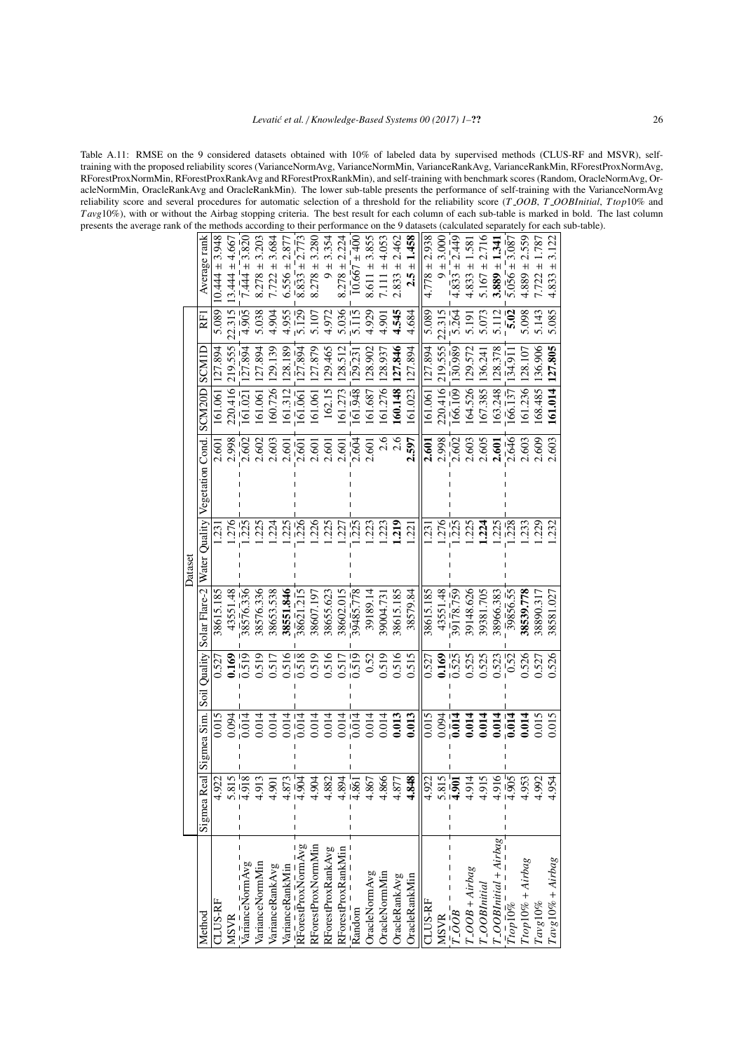<span id="page-25-0"></span>Table A.11: RMSE on the 9 considered datasets obtained with 10% of labeled data by supervised methods (CLUS-RF and MSVR), selftraining with the proposed reliability scores (VarianceNormAvg, VarianceNormMin, VarianceRankAvg, VarianceRankMin, RForestProxNormAvg, RForestProxNormMin, RForestProxRankAvg and RForestProxRankMin), and self-training with benchmark scores (Random, OracleNormAvg, OracleNormMin, OracleRankAvg and OracleRankMin). The lower sub-table presents the performance of self-training with the VarianceNormAvg reliability score and several procedures for automatic selection of a threshold for the reliability score (*T OOB*, *T OOBInitial*, *Ttop*10% and *T avg*10%), with or without the Airbag stopping criteria. The best result for each column of each sub-table is marked in bold. The last column presents the average rank of the methods according to their performance on the 9 datasets (calculated separately for each sub-table).

| $8.278 \pm$<br>$8.611 \pm$<br>$8.278 \pm$<br>$8.833 \pm$<br>$+$<br>$\ddot{+}$<br>$\ddot{}$<br>$\overline{+}$<br>10.667<br>4.889<br>7.722<br>2.833<br>2.5<br>4.833<br>7.111<br>5.089<br>4.545<br>5.085<br>5.038<br>4.955<br>$\sqrt{25}$<br>5.036<br>$\frac{1}{5}$ $\frac{1}{15}$<br>4.929<br>.264<br>5.098<br>4.905<br>4.904<br>4.972<br>5.089<br>22.315<br>5.073<br>5.112<br>5.02<br>5.143<br>5.107<br>4.684<br>5.191<br>4.90<br>219.555<br>219.555<br>127.879<br>129.465<br>127.846<br>127.894<br>136.906<br>161.014 127.805<br>127.894<br>127.894<br>128.189<br>130.989<br>129.139<br>128.512<br>128.902<br>127.894<br>129.572<br>128.378<br>127.894<br>127.894<br>128.937<br>128.107<br>134.91<br>129.23<br>136.241<br>160.726<br>160.148<br>220.416<br>164.526<br>163.248<br>162.15<br>161.276<br>166.109<br>161.236<br>168.485<br>220,416<br>161.948<br>161.687<br>61.023<br>167.385<br>$\frac{1}{66.137}$<br>161.312<br>161.273<br>161.061<br>161.061<br>161.061<br>$16\overline{1}02\overline{1}$<br>161.061<br>$\frac{1}{61.061}$<br>2.646<br>2.998<br>2.603<br>2.604<br>2.6<br>2.602<br>2.6<br>2.597<br>2.998<br>2.602<br>2.603<br>2.605<br>2.609<br>2.603<br>2.602<br>2.603<br>2.601<br>2.601<br>2.601<br>2.601<br>2.601<br>2.601<br>2.601<br>$\frac{1}{2.601}$<br>2.601<br>$\frac{1}{2}$ 25<br>.225<br>.225<br>226<br>.225<br>$\frac{1}{2}$ 25<br>219<br>276<br>$-225$<br>.225<br>$-228$<br>.229<br>.276<br>$\frac{1}{226}$<br>223<br>.225<br>.233<br>.232<br>.224<br>.227<br>.223<br>.224<br>221<br>231<br>$\tilde{\mathfrak{Z}}$<br>38615.185<br>43551.48<br>38576.336<br>38576.336<br>38551.846<br>39485.778<br>38615.185<br>39178.759<br>39148.626<br>39856.55<br>38539.778<br>38653.538<br>38621.215<br>38655.623<br>38579.84<br>38615.185<br>43551.48<br>39381.705<br>38966.383<br>38581.027<br>38607.197<br>38602.015<br>39189.14<br>38890.317<br>39004.73<br>518<br>0.516<br>0.516<br>0.515<br>0.519<br>0.516<br>0.519<br>$\bar{6}1\bar{5}$<br>525<br>0.525<br>1.525<br>0.526<br>0.519<br>0.517<br>0.517<br>0.52<br>0.519<br>0.169<br>0.523<br>1.526<br>1.527<br>1.169<br>0.527<br>0.52<br>0.527<br>0.013<br>0.015<br>0.014<br>0.014<br>0.013<br>0.015<br>0.015<br>0.014<br>0.014<br>0.014<br>0.014<br>$\overline{0.014}$<br>0.014<br>0.014<br>0.014<br><b>1.014</b><br>0.015<br>$\frac{1}{014}$<br>0.014<br>0.014<br>0.014<br>0.014<br>0.094<br>.014<br>0.094<br>$\frac{815}{218}$<br>$rac{1}{204}$<br>$\overline{4.861}$<br>$rac{5.815}{4.901}$<br>$\frac{1}{4.905}$<br>848<br>516<br>6 <sup>16</sup><br>913<br>882<br>4.866<br>4.922<br>4.914<br>4.992<br>4.922<br>$\approx$<br>894<br>4.867<br>4.877<br>953<br>54<br>$\overline{5}$<br>$\frac{T\_OOBInitial + Airbag}{T top10\%}$<br>RForestProxNormAvg<br>RForestProxNormMin<br>RForestProxRankAvg<br>RForestProxRankMin<br>$Tavg10\% + Airbag$<br>$Ttop10\% + Airbag$<br>varianceNormAvg<br>VarianceNormMin<br>VarianceRankAvg<br>VarianceRankMin<br>$-OOB + Airbag$<br><b>OracleNormAvg</b><br><b>OracleNormMin</b><br>OracleRankAvg<br><b>DracleRankMin</b><br>$T_$ OBInitial<br>LUS-RF<br><b>CLUS-RF</b><br>$Tavg10\%$<br>$\overline{R}$ andom<br>$\overline{OOB}$<br><b>MSVR</b><br>Method<br><b>MSVR</b> |             |             |              |               | Dataset       |                  |        |       |     |                      |
|----------------------------------------------------------------------------------------------------------------------------------------------------------------------------------------------------------------------------------------------------------------------------------------------------------------------------------------------------------------------------------------------------------------------------------------------------------------------------------------------------------------------------------------------------------------------------------------------------------------------------------------------------------------------------------------------------------------------------------------------------------------------------------------------------------------------------------------------------------------------------------------------------------------------------------------------------------------------------------------------------------------------------------------------------------------------------------------------------------------------------------------------------------------------------------------------------------------------------------------------------------------------------------------------------------------------------------------------------------------------------------------------------------------------------------------------------------------------------------------------------------------------------------------------------------------------------------------------------------------------------------------------------------------------------------------------------------------------------------------------------------------------------------------------------------------------------------------------------------------------------------------------------------------------------------------------------------------------------------------------------------------------------------------------------------------------------------------------------------------------------------------------------------------------------------------------------------------------------------------------------------------------------------------------------------------------------------------------------------------------------------------------------------------------------------------------------------------------------------------------------------------------------------------------------------------------------------------------------------------------------------------------------------------------------------------------------------------------------------------------------------------------------------------------------------------------------------------------------------------------------------------------------------------------------------------------------------------------------------------------------------------------------------------------------------------------------------------------------------------------------------------------------------------------------------------|-------------|-------------|--------------|---------------|---------------|------------------|--------|-------|-----|----------------------|
|                                                                                                                                                                                                                                                                                                                                                                                                                                                                                                                                                                                                                                                                                                                                                                                                                                                                                                                                                                                                                                                                                                                                                                                                                                                                                                                                                                                                                                                                                                                                                                                                                                                                                                                                                                                                                                                                                                                                                                                                                                                                                                                                                                                                                                                                                                                                                                                                                                                                                                                                                                                                                                                                                                                                                                                                                                                                                                                                                                                                                                                                                                                                                                                        | Sigmea Real | Sigmea Sim. | Soil Quality | Solar Flare-2 | Water Quality | Vegetation Cond. | SCM20D | SCMID | RFI | Average rank         |
|                                                                                                                                                                                                                                                                                                                                                                                                                                                                                                                                                                                                                                                                                                                                                                                                                                                                                                                                                                                                                                                                                                                                                                                                                                                                                                                                                                                                                                                                                                                                                                                                                                                                                                                                                                                                                                                                                                                                                                                                                                                                                                                                                                                                                                                                                                                                                                                                                                                                                                                                                                                                                                                                                                                                                                                                                                                                                                                                                                                                                                                                                                                                                                                        |             |             |              |               |               |                  |        |       |     | $0.444 \pm 3.948$    |
|                                                                                                                                                                                                                                                                                                                                                                                                                                                                                                                                                                                                                                                                                                                                                                                                                                                                                                                                                                                                                                                                                                                                                                                                                                                                                                                                                                                                                                                                                                                                                                                                                                                                                                                                                                                                                                                                                                                                                                                                                                                                                                                                                                                                                                                                                                                                                                                                                                                                                                                                                                                                                                                                                                                                                                                                                                                                                                                                                                                                                                                                                                                                                                                        |             |             |              |               |               |                  |        |       |     | $3.444 \pm 4.667$    |
|                                                                                                                                                                                                                                                                                                                                                                                                                                                                                                                                                                                                                                                                                                                                                                                                                                                                                                                                                                                                                                                                                                                                                                                                                                                                                                                                                                                                                                                                                                                                                                                                                                                                                                                                                                                                                                                                                                                                                                                                                                                                                                                                                                                                                                                                                                                                                                                                                                                                                                                                                                                                                                                                                                                                                                                                                                                                                                                                                                                                                                                                                                                                                                                        |             |             |              |               |               |                  |        |       |     | $7.444 \pm 3.820$    |
|                                                                                                                                                                                                                                                                                                                                                                                                                                                                                                                                                                                                                                                                                                                                                                                                                                                                                                                                                                                                                                                                                                                                                                                                                                                                                                                                                                                                                                                                                                                                                                                                                                                                                                                                                                                                                                                                                                                                                                                                                                                                                                                                                                                                                                                                                                                                                                                                                                                                                                                                                                                                                                                                                                                                                                                                                                                                                                                                                                                                                                                                                                                                                                                        |             |             |              |               |               |                  |        |       |     | 3.203                |
|                                                                                                                                                                                                                                                                                                                                                                                                                                                                                                                                                                                                                                                                                                                                                                                                                                                                                                                                                                                                                                                                                                                                                                                                                                                                                                                                                                                                                                                                                                                                                                                                                                                                                                                                                                                                                                                                                                                                                                                                                                                                                                                                                                                                                                                                                                                                                                                                                                                                                                                                                                                                                                                                                                                                                                                                                                                                                                                                                                                                                                                                                                                                                                                        |             |             |              |               |               |                  |        |       |     | $7.722 \pm 3.684$    |
|                                                                                                                                                                                                                                                                                                                                                                                                                                                                                                                                                                                                                                                                                                                                                                                                                                                                                                                                                                                                                                                                                                                                                                                                                                                                                                                                                                                                                                                                                                                                                                                                                                                                                                                                                                                                                                                                                                                                                                                                                                                                                                                                                                                                                                                                                                                                                                                                                                                                                                                                                                                                                                                                                                                                                                                                                                                                                                                                                                                                                                                                                                                                                                                        |             |             |              |               |               |                  |        |       |     | $6.556 \pm 2.87$     |
|                                                                                                                                                                                                                                                                                                                                                                                                                                                                                                                                                                                                                                                                                                                                                                                                                                                                                                                                                                                                                                                                                                                                                                                                                                                                                                                                                                                                                                                                                                                                                                                                                                                                                                                                                                                                                                                                                                                                                                                                                                                                                                                                                                                                                                                                                                                                                                                                                                                                                                                                                                                                                                                                                                                                                                                                                                                                                                                                                                                                                                                                                                                                                                                        |             |             |              |               |               |                  |        |       |     |                      |
|                                                                                                                                                                                                                                                                                                                                                                                                                                                                                                                                                                                                                                                                                                                                                                                                                                                                                                                                                                                                                                                                                                                                                                                                                                                                                                                                                                                                                                                                                                                                                                                                                                                                                                                                                                                                                                                                                                                                                                                                                                                                                                                                                                                                                                                                                                                                                                                                                                                                                                                                                                                                                                                                                                                                                                                                                                                                                                                                                                                                                                                                                                                                                                                        |             |             |              |               |               |                  |        |       |     | 3.280                |
|                                                                                                                                                                                                                                                                                                                                                                                                                                                                                                                                                                                                                                                                                                                                                                                                                                                                                                                                                                                                                                                                                                                                                                                                                                                                                                                                                                                                                                                                                                                                                                                                                                                                                                                                                                                                                                                                                                                                                                                                                                                                                                                                                                                                                                                                                                                                                                                                                                                                                                                                                                                                                                                                                                                                                                                                                                                                                                                                                                                                                                                                                                                                                                                        |             |             |              |               |               |                  |        |       |     | $9 + 3.354$          |
|                                                                                                                                                                                                                                                                                                                                                                                                                                                                                                                                                                                                                                                                                                                                                                                                                                                                                                                                                                                                                                                                                                                                                                                                                                                                                                                                                                                                                                                                                                                                                                                                                                                                                                                                                                                                                                                                                                                                                                                                                                                                                                                                                                                                                                                                                                                                                                                                                                                                                                                                                                                                                                                                                                                                                                                                                                                                                                                                                                                                                                                                                                                                                                                        |             |             |              |               |               |                  |        |       |     | 2.224<br>$8.278 \pm$ |
|                                                                                                                                                                                                                                                                                                                                                                                                                                                                                                                                                                                                                                                                                                                                                                                                                                                                                                                                                                                                                                                                                                                                                                                                                                                                                                                                                                                                                                                                                                                                                                                                                                                                                                                                                                                                                                                                                                                                                                                                                                                                                                                                                                                                                                                                                                                                                                                                                                                                                                                                                                                                                                                                                                                                                                                                                                                                                                                                                                                                                                                                                                                                                                                        |             |             |              |               |               |                  |        |       |     | $\pm 400$            |
|                                                                                                                                                                                                                                                                                                                                                                                                                                                                                                                                                                                                                                                                                                                                                                                                                                                                                                                                                                                                                                                                                                                                                                                                                                                                                                                                                                                                                                                                                                                                                                                                                                                                                                                                                                                                                                                                                                                                                                                                                                                                                                                                                                                                                                                                                                                                                                                                                                                                                                                                                                                                                                                                                                                                                                                                                                                                                                                                                                                                                                                                                                                                                                                        |             |             |              |               |               |                  |        |       |     | 3.855                |
|                                                                                                                                                                                                                                                                                                                                                                                                                                                                                                                                                                                                                                                                                                                                                                                                                                                                                                                                                                                                                                                                                                                                                                                                                                                                                                                                                                                                                                                                                                                                                                                                                                                                                                                                                                                                                                                                                                                                                                                                                                                                                                                                                                                                                                                                                                                                                                                                                                                                                                                                                                                                                                                                                                                                                                                                                                                                                                                                                                                                                                                                                                                                                                                        |             |             |              |               |               |                  |        |       |     | ± 4.05               |
|                                                                                                                                                                                                                                                                                                                                                                                                                                                                                                                                                                                                                                                                                                                                                                                                                                                                                                                                                                                                                                                                                                                                                                                                                                                                                                                                                                                                                                                                                                                                                                                                                                                                                                                                                                                                                                                                                                                                                                                                                                                                                                                                                                                                                                                                                                                                                                                                                                                                                                                                                                                                                                                                                                                                                                                                                                                                                                                                                                                                                                                                                                                                                                                        |             |             |              |               |               |                  |        |       |     | 2.462                |
|                                                                                                                                                                                                                                                                                                                                                                                                                                                                                                                                                                                                                                                                                                                                                                                                                                                                                                                                                                                                                                                                                                                                                                                                                                                                                                                                                                                                                                                                                                                                                                                                                                                                                                                                                                                                                                                                                                                                                                                                                                                                                                                                                                                                                                                                                                                                                                                                                                                                                                                                                                                                                                                                                                                                                                                                                                                                                                                                                                                                                                                                                                                                                                                        |             |             |              |               |               |                  |        |       |     | 1.458                |
|                                                                                                                                                                                                                                                                                                                                                                                                                                                                                                                                                                                                                                                                                                                                                                                                                                                                                                                                                                                                                                                                                                                                                                                                                                                                                                                                                                                                                                                                                                                                                                                                                                                                                                                                                                                                                                                                                                                                                                                                                                                                                                                                                                                                                                                                                                                                                                                                                                                                                                                                                                                                                                                                                                                                                                                                                                                                                                                                                                                                                                                                                                                                                                                        |             |             |              |               |               |                  |        |       |     | $4.778 \pm 2.938$    |
|                                                                                                                                                                                                                                                                                                                                                                                                                                                                                                                                                                                                                                                                                                                                                                                                                                                                                                                                                                                                                                                                                                                                                                                                                                                                                                                                                                                                                                                                                                                                                                                                                                                                                                                                                                                                                                                                                                                                                                                                                                                                                                                                                                                                                                                                                                                                                                                                                                                                                                                                                                                                                                                                                                                                                                                                                                                                                                                                                                                                                                                                                                                                                                                        |             |             |              |               |               |                  |        |       |     | $9 + 3.000$          |
|                                                                                                                                                                                                                                                                                                                                                                                                                                                                                                                                                                                                                                                                                                                                                                                                                                                                                                                                                                                                                                                                                                                                                                                                                                                                                                                                                                                                                                                                                                                                                                                                                                                                                                                                                                                                                                                                                                                                                                                                                                                                                                                                                                                                                                                                                                                                                                                                                                                                                                                                                                                                                                                                                                                                                                                                                                                                                                                                                                                                                                                                                                                                                                                        |             |             |              |               |               |                  |        |       |     | $4.833 \pm 2.449$    |
|                                                                                                                                                                                                                                                                                                                                                                                                                                                                                                                                                                                                                                                                                                                                                                                                                                                                                                                                                                                                                                                                                                                                                                                                                                                                                                                                                                                                                                                                                                                                                                                                                                                                                                                                                                                                                                                                                                                                                                                                                                                                                                                                                                                                                                                                                                                                                                                                                                                                                                                                                                                                                                                                                                                                                                                                                                                                                                                                                                                                                                                                                                                                                                                        |             |             |              |               |               |                  |        |       |     | $4.833 \pm 1.58$     |
|                                                                                                                                                                                                                                                                                                                                                                                                                                                                                                                                                                                                                                                                                                                                                                                                                                                                                                                                                                                                                                                                                                                                                                                                                                                                                                                                                                                                                                                                                                                                                                                                                                                                                                                                                                                                                                                                                                                                                                                                                                                                                                                                                                                                                                                                                                                                                                                                                                                                                                                                                                                                                                                                                                                                                                                                                                                                                                                                                                                                                                                                                                                                                                                        |             |             |              |               |               |                  |        |       |     | $5.167 \pm 2.716$    |
|                                                                                                                                                                                                                                                                                                                                                                                                                                                                                                                                                                                                                                                                                                                                                                                                                                                                                                                                                                                                                                                                                                                                                                                                                                                                                                                                                                                                                                                                                                                                                                                                                                                                                                                                                                                                                                                                                                                                                                                                                                                                                                                                                                                                                                                                                                                                                                                                                                                                                                                                                                                                                                                                                                                                                                                                                                                                                                                                                                                                                                                                                                                                                                                        |             |             |              |               |               |                  |        |       |     | $3.889 \pm 1.34$     |
|                                                                                                                                                                                                                                                                                                                                                                                                                                                                                                                                                                                                                                                                                                                                                                                                                                                                                                                                                                                                                                                                                                                                                                                                                                                                                                                                                                                                                                                                                                                                                                                                                                                                                                                                                                                                                                                                                                                                                                                                                                                                                                                                                                                                                                                                                                                                                                                                                                                                                                                                                                                                                                                                                                                                                                                                                                                                                                                                                                                                                                                                                                                                                                                        |             |             |              |               |               |                  |        |       |     | $5.056 \pm 3.087$    |
|                                                                                                                                                                                                                                                                                                                                                                                                                                                                                                                                                                                                                                                                                                                                                                                                                                                                                                                                                                                                                                                                                                                                                                                                                                                                                                                                                                                                                                                                                                                                                                                                                                                                                                                                                                                                                                                                                                                                                                                                                                                                                                                                                                                                                                                                                                                                                                                                                                                                                                                                                                                                                                                                                                                                                                                                                                                                                                                                                                                                                                                                                                                                                                                        |             |             |              |               |               |                  |        |       |     | 2.559<br>$\ddot{+}$  |
|                                                                                                                                                                                                                                                                                                                                                                                                                                                                                                                                                                                                                                                                                                                                                                                                                                                                                                                                                                                                                                                                                                                                                                                                                                                                                                                                                                                                                                                                                                                                                                                                                                                                                                                                                                                                                                                                                                                                                                                                                                                                                                                                                                                                                                                                                                                                                                                                                                                                                                                                                                                                                                                                                                                                                                                                                                                                                                                                                                                                                                                                                                                                                                                        |             |             |              |               |               |                  |        |       |     | 1.787                |
|                                                                                                                                                                                                                                                                                                                                                                                                                                                                                                                                                                                                                                                                                                                                                                                                                                                                                                                                                                                                                                                                                                                                                                                                                                                                                                                                                                                                                                                                                                                                                                                                                                                                                                                                                                                                                                                                                                                                                                                                                                                                                                                                                                                                                                                                                                                                                                                                                                                                                                                                                                                                                                                                                                                                                                                                                                                                                                                                                                                                                                                                                                                                                                                        |             |             |              |               |               |                  |        |       |     | 3.122                |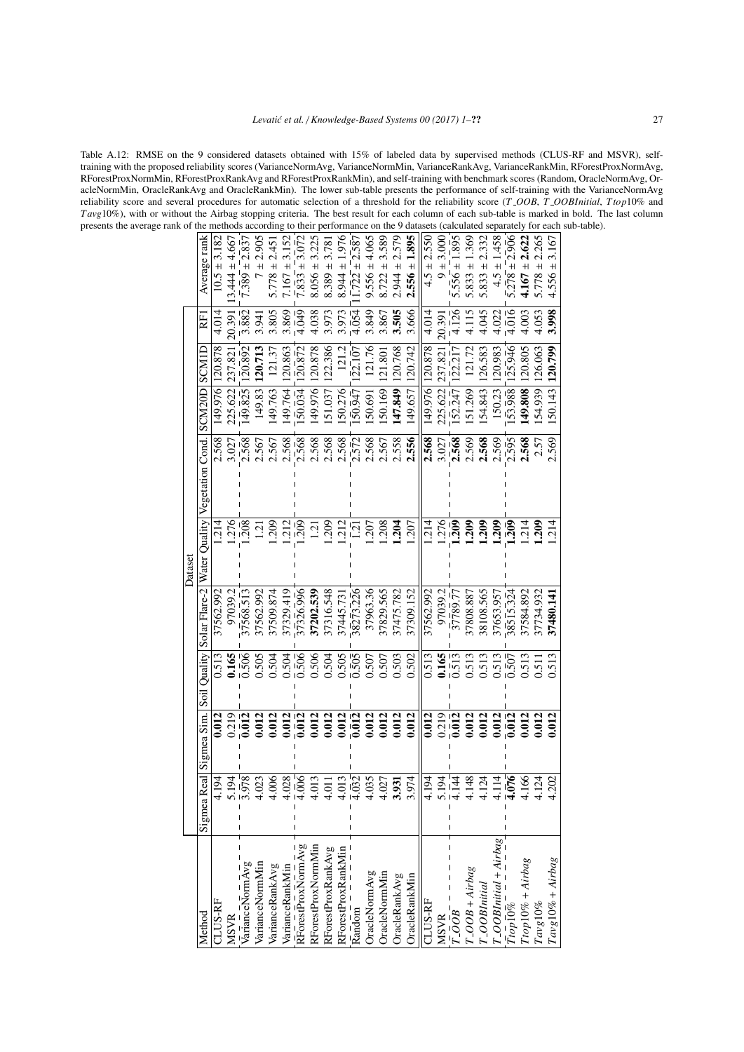<span id="page-26-0"></span>Table A.12: RMSE on the 9 considered datasets obtained with 15% of labeled data by supervised methods (CLUS-RF and MSVR), selftraining with the proposed reliability scores (VarianceNormAvg, VarianceNormMin, VarianceRankAvg, VarianceRankMin, RForestProxNormAvg, RForestProxNormMin, RForestProxRankAvg and RForestProxRankMin), and self-training with benchmark scores (Random, OracleNormAvg, OracleNormMin, OracleRankAvg and OracleRankMin). The lower sub-table presents the performance of self-training with the VarianceNormAvg reliability score and several procedures for automatic selection of a threshold for the reliability score (*T OOB*, *T OOBInitial*, *Ttop*10% and *T avg*10%), with or without the Airbag stopping criteria. The best result for each column of each sub-table is marked in bold. The last column presents the average rank of the methods according to their performance on the 9 datasets (calculated separately for each sub-table).

|         | Average rank               | $10.5 \pm 3.182$ | $3.444 \pm 4.667$ | $7.389 \pm 2.837$                            | 2.905<br>$\ddot{}$ | $5.778 \pm 2.45$ | $7.167 \pm 3.152$ | $\sqrt{7.833} \pm 3.072$ | $8.056 \pm 3.225$  | $8.389 \pm 3.78$   | 1.976<br>$8.944 \pm$ | $\sqrt{.722 \pm 2.587}$  | $9.556 \pm 4.065$ | 3.589<br>$8.722 \pm$ | 2.579<br>$2.944 \pm$  | 1.895<br>$2.556 \pm$ | $4.5 \pm 2.550$ | $9 + 3.000$ | 1.895<br>$5.556 \pm$    | 1.369<br>5.833 $\pm$ | 2.332<br>$5.833 \pm$ | 1.458<br>$4.5 \pm$         | $5.278 \pm 2.906$                                          | 2.622<br>$4.167 \pm$ | 2.265<br>$5.778 \pm$ | 3.167<br>$4.556 \pm$ |
|---------|----------------------------|------------------|-------------------|----------------------------------------------|--------------------|------------------|-------------------|--------------------------|--------------------|--------------------|----------------------|--------------------------|-------------------|----------------------|-----------------------|----------------------|-----------------|-------------|-------------------------|----------------------|----------------------|----------------------------|------------------------------------------------------------|----------------------|----------------------|----------------------|
|         | E                          | 4.014            | 20.391            | 3.882                                        | 3.941              | 3.805            | 3.869             | $\frac{6}{4.049}$        | 4.038              | 3.973              | 3.973                | $\frac{1}{4.054}$        | 3.849             | 3.867                | 3.505                 | 3.666                | 4.014           | 20.391      | 4.126                   | 4.115                | 4.045                | 4.022                      | $\frac{1}{4.016}$                                          | 4.003                | 4.053                | 3.998                |
|         | SCMIL                      | 120.878          | 237.821           | 120.892                                      | 120.713            | 121.37           | 20.863            | 20.872                   | 20.878             | 122.386            | 121.2                | 22.107                   | 121.76            | 1.80                 | 120.768               | 120.742              | 120.878         | 237.82      | 22.217                  | 121.72               | 126.583              | 120.983                    | $\frac{1}{25.946}$                                         | 20.805               | 126.063              | 120.799              |
|         |                            | 149.976          | 225.622           | 149.825                                      | 149.83             | 49.763           | 149.764           | 50.034                   | 49.976             | 51.037             | 50.276               | 50.947                   | 50.691            | 50.169               | 47.849                | 49.657               | 149.976         | 225.622     | 152.247                 | 51.269               | 154.843              | 150.23                     | 153.988                                                    | 49.808               | 54.939               | 50.143               |
|         | Vegetation Cond. SCM20D    | 2.568            | 3.027             | 2.568                                        | 2.567              | 2.567            | 2.568             | 2.568                    | 2.568              | 2.568              | 2.568                | 2.572                    | 2.568             | 2.567                | 2.558                 | 2.556                | 2.568           | 3.027       | 2.568                   | 2.569                | 2.568                | 2.569                      | 2.595                                                      | 2.568                | 2.57                 | 2.569                |
| Dataset | Water Quality              | ्र<br>२१         | 276               | $\frac{1}{208}$                              | $\Xi$              | 209              | 212               | $\frac{1}{209}$          | 1.21               | 209                | 212                  | $\overline{12}$          | .207              | .208                 | 1.204                 | .207                 | $\frac{214}{5}$ |             | $\frac{276}{209}$       | 209                  | .209                 | 209                        | $\overline{2}0\overline{9}$                                | 214                  | 209                  | 214                  |
|         | Solar Flare-2              | 37562.992        | 97039.2           | 37568.513                                    | 37562.992          | 37509.874        | 37329.419         | 37326.996                | 37202.539          | 37316.548          | 37445.73             | 38273.226                | 37963.36          | 37829.565            | 37475.782             | 37309.152            | 37562.992       | 97039.2     | 37789.77                | 37808.887            | 38108.565            | 37653.957                  | 38515.324                                                  | 37584.892            | 37734.932            | 37480.141            |
|         | Soil Quality               | 0.513            | 0.165             | $\frac{905}{200}$                            | 1.505              | 0.504            | 0.504             | $-506$                   | 0.506              | 0.504              | 0.505                | $\overline{505}$         | 0.507             | 0.507                | 0.503                 | 0.502                | 0.513           | 0.165       | 513                     | 0.513                | 0.513                | 0.513                      | 5.507                                                      | 1.513                | 0.511                | 0.513                |
|         | Sigmea Sim.                | 0.012            | 0.219             | $\bar{0.012}$                                | 0.012              | 0.012            | 0.012             | .012                     | 0.012              | 0.012              | 0.012                | 0.012                    | 0.012             | 0.012                | 0.012                 | 0.012                | 0.012           | 0.219       | $\bar{0.012}$           | 0.012                | 0.012                | 0.012                      | .012                                                       | 0.012                | 0.012                | 0.012                |
|         | $\overline{a}$<br>Sigmea R | 54               | 54                | $\frac{8\overline{L}}{2}$                    | 23                 | 80               | 28                | àςi                      | 13                 |                    | 13                   | $\overline{32}$          | 35                | 27<br>$rac{1}{4}$    | $\overline{5}$<br>3.9 | $\overline{74}$      | $\frac{4}{5}$   | $2^{14}$    |                         | 48                   | $\overline{c}$       | $\overline{4}$             | $\overline{56}$                                            | 89                   | $\overline{24}$      | $\mathcal{O}$        |
|         | Method                     | <b>ILUS-RF</b>   | <b>MSVR</b>       | $\overline{V}$ arianceNorm $\overline{A}$ vg | VarianceNormMir    | VarianceRankAvg  | VarianceRankMin   | RForestProxNormAvg       | RForestProxNormMin | RForestProxRankAvg | RForestProxRankMir   | $\bar{\mathrm{R}}$ andom | OracleNormAvg     | OracleNormMin        | OracleRankAvg         | <b>OracleRankMin</b> | <b>TLUS-RF</b>  | <b>MSVR</b> | $\bar{r}$ .00 $\bar{B}$ | $-OOB + Airbag$      | $"$ _OOBInitial      | $I_{-}OOBInitial + Airbag$ | $\bar{T} \bar{i} \bar{o} \bar{p} \bar{1} \bar{0} \bar{\%}$ | $Ttop10\% + Airbag$  | $Tavg10\%$           | $Tavg10% + Airbag$   |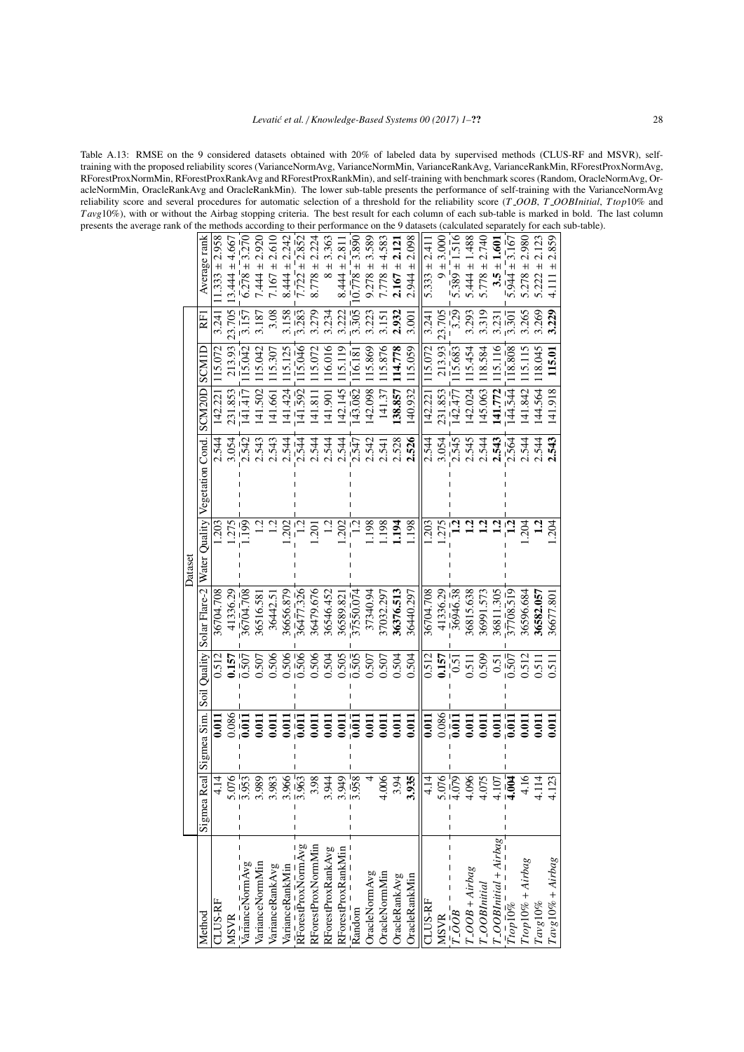<span id="page-27-0"></span>Table A.13: RMSE on the 9 considered datasets obtained with 20% of labeled data by supervised methods (CLUS-RF and MSVR), selftraining with the proposed reliability scores (VarianceNormAvg, VarianceNormMin, VarianceRankAvg, VarianceRankMin, RForestProxNormAvg, RForestProxNormMin, RForestProxRankAvg and RForestProxRankMin), and self-training with benchmark scores (Random, OracleNormAvg, OracleNormMin, OracleRankAvg and OracleRankMin). The lower sub-table presents the performance of self-training with the VarianceNormAvg reliability score and several procedures for automatic selection of a threshold for the reliability score (*T OOB*, *T OOBInitial*, *Ttop*10% and *T avg*10%), with or without the Airbag stopping criteria. The best result for each column of each sub-table is marked in bold. The last column presents the average rank of the methods according to their performance on the 9 datasets (calculated separately for each sub-table).

|                                            |                       |                          |                             |           | Dataset                       |                  |                                  |                     |                 |                                           |
|--------------------------------------------|-----------------------|--------------------------|-----------------------------|-----------|-------------------------------|------------------|----------------------------------|---------------------|-----------------|-------------------------------------------|
| Method                                     | <br>Sigmea R          | Sigmea Sim. Soil Quality |                             |           | Solar Flare-2   Water Quality | Vegetation Cond. | SCM20D                           | SCMIL               | E               | Average rank                              |
| LUS-RF                                     |                       | $\mathbf{S}$             | 0.512                       | 36704.708 | 203                           | 2.544            | 142.22                           | 15.072              | 3.241           | $.333 \pm 2.958$                          |
| <b>MSVR</b>                                | $\frac{176}{153}$     | 0.086                    | 0.157                       | 41336.29  | 275                           | 3.054            | 231.853                          | 213.93              | 23.705          | $3.444 \pm 4.667$                         |
| VarianceNormAvg                            |                       | $\bar{0}$                | $\overline{5}0\overline{7}$ | 36704.708 | $\frac{1}{2}$                 | 2.542            | 141.417                          | 15.042              | 3.157           | $6.278 \pm 3.270$                         |
| VarianceNormMin                            | 989                   | $\overline{0.011}$       | 0.507                       | 36516.58  | $\frac{1}{2}$                 | 2.543            | 502<br>$\Xi$                     | 15.042              | 3.187           | 2.920<br>$1.444 \pm$                      |
| VarianceRankAvg                            | 983                   | 0.011                    | 0.506                       | 36442.5   | 1.2                           | 2.543            | 41.661                           | 15.307              | 3.08            | $1167 \pm 2.610$                          |
| VarianceRankMin                            | $\frac{3.966}{3.963}$ | $\overline{0.01}$        | 0.506                       | 36656.879 | .202                          | 2.544            | 1.424<br>$\overline{4}$          | 15.125              | 3.158           | 2.242<br>$8.444 \pm$                      |
| RForestProxNormAvg                         |                       | $\overline{5}$           | $-506$                      | 36477.326 |                               | 2.544            | 1.592<br>$\exists$               | 15.046              | $\frac{1}{283}$ | $7.722 \pm 2.852$                         |
| RForestProxNormMin                         | 86.1                  | $\overline{0.011}$       | 0.506                       | 36479.676 | $\overline{0}$                | 2.544            | $\overline{18}$<br>$\frac{1}{4}$ | 15.072              | 3.279           | 2.224<br>$8.778 \pm$                      |
| RForestProxRankAvg                         | 944                   | 0.011                    | 0.504                       | 36546.452 | $\frac{1}{2}$                 | 2.544            | (41.90)                          | 16.016              | 3.234           | 3.363<br>$\frac{1}{8}$                    |
| RForestProxRankMin                         | 949                   | 0.011                    | 0.505                       | 36589.82  | 202                           | 2.544            | 142.145                          | 15.119              | 3.222           | 2.81<br>$8.444 \pm$                       |
| $\overline{R}$ andom                       | $-58$                 | $\overline{0.011}$       | $\overline{0.505}$          | 37550.074 | $\frac{1}{2}$                 | 2.547            | 143.082                          | $\overline{16.181}$ | $\frac{1}{305}$ | $0.778 \pm 3.890$                         |
| OracleNormAvg                              | 4                     | 0.011                    | 0.507                       | 37340.94  | .198                          | 2.542            | 42.098                           | 15.869              | 3.223           | 3.589<br>$9.278 \pm$                      |
| OracleNormMin                              | 006                   | 0.011                    | 0.507                       | 37032.297 | .198                          | 2.541            | 141.37                           | 15.876              | 151             | 4.583<br>$7.778 \pm$                      |
| OracleRankAvg                              | 1.94                  | 0.011                    | 0.504                       | 36376.513 | 1.194                         | 2.528            | 138.857                          | 114.778             | 2.932           | 2,12<br>$2.167 \pm$                       |
| <b>DracleRankMin</b>                       | 935                   | 0.011                    | 0.504                       | 36440.297 | 1.198                         | 2.526            | 140.932                          | 15.059              | 3.001           | 2.098<br>$2.944 \pm$                      |
| <b>TLUS-RF</b>                             | $\vec{=}$             | 0.011                    | 0.512                       | 36704.708 | <b>203</b>                    | 2.544            | 142.221                          | 115.072             | 3.241           | $5.333 \pm 2.41$                          |
| <b>MSVR</b>                                | $rac{5.076}{4.079}$   | $0.086$<br>$0.011$       | $\frac{0.157}{0.51}$        | 41336.29  | 275                           | 3.054            | 231.853                          | 213.93              | 23.705          | $9 + 3.000$                               |
| $7.00B^{-}$                                |                       |                          |                             | 36946.38  |                               | 2.545            | 142.477                          | 15.683              | 3.29            | 1.516<br>$5.389 \pm 1$                    |
| $-OOB + Airbag$                            | 096                   | 0.011                    | 0.511                       | 36815.638 |                               | 2.545            | 42.024                           | 15.454              | 3.293           | $5.444 \pm 1.488$                         |
| T_OOBInitial                               | 075                   | 0.011                    | 0.509                       | 36991.573 | $\overline{5}$                | 2.544            | 45.063                           | 18.584              | 3.319           | 2.740<br>$5.778 \pm$                      |
| $\frac{T\_OOBInitial + Airbag}{T top10\%}$ | 107                   | 50 <sub>1</sub>          | 0.51                        | 36811.305 |                               | 2.543            | 41.772                           | 15.116              | 3.231           | 1.601<br>$3.5 \pm$                        |
|                                            | $\bar{5}$             | $\overline{0.011}$       | $\overline{0.507}$          | 37708.519 |                               | 2.564            | 144.544                          | 18.808              | $\frac{1}{301}$ | $5.944 \pm 3.167$                         |
| $Ttop10\% + Airbag$                        | 61.16                 | 0.011                    | 0.512                       | 36596.684 | 204                           | 2.544            | 41.842                           | 15.115              | 3.265           | 2.980<br>$5.278 \pm$                      |
| $Tavg10\%$                                 | $\overline{14}$       | $\overline{0.01}$        | 0.511                       | 36582.057 | $\mathbf{r}_1$                | 2.544            | 144.564                          | 18.045              | 3.269           | 2.123<br>$\overline{+}$<br>5.222          |
| $Tavg10\% + Airbag$                        | 23                    | 0.011                    | 0.511                       | 36677.801 | 204                           | 2.543            | 141.918                          | 115.01              | 3.229           | 2.859<br>$\overline{+}$<br>$\frac{11}{4}$ |
|                                            |                       |                          |                             |           |                               |                  |                                  |                     |                 |                                           |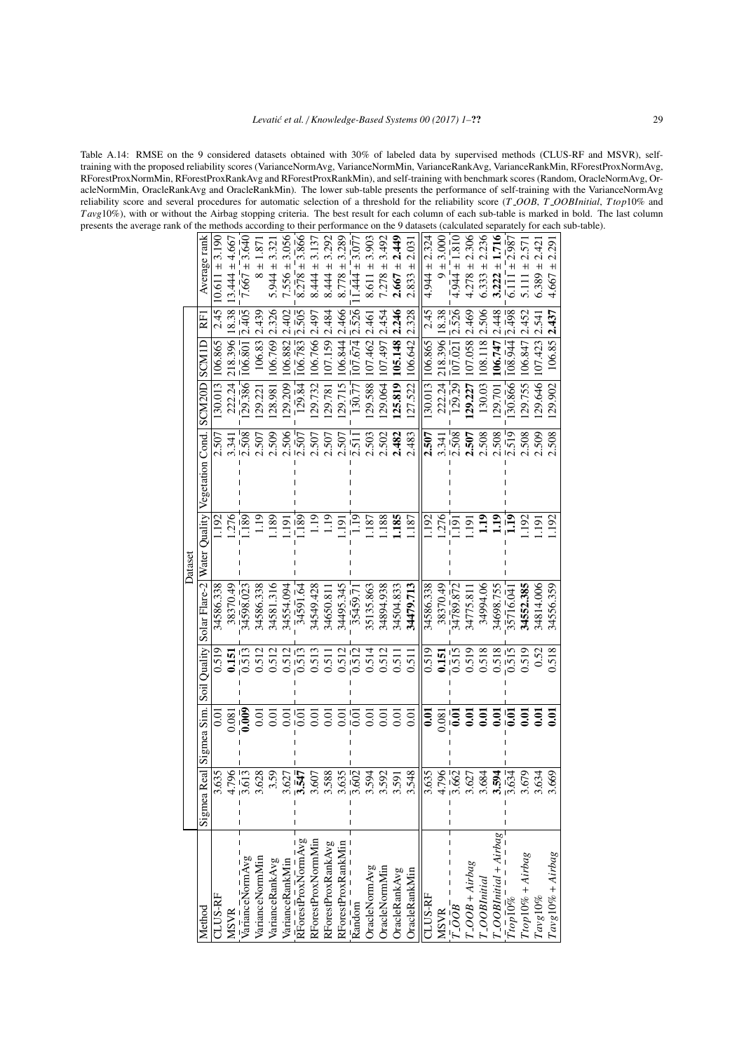<span id="page-28-0"></span>Table A.14: RMSE on the 9 considered datasets obtained with 30% of labeled data by supervised methods (CLUS-RF and MSVR), selftraining with the proposed reliability scores (VarianceNormAvg, VarianceNormMin, VarianceRankAvg, VarianceRankMin, RForestProxNormAvg, RForestProxNormMin, RForestProxRankAvg and RForestProxRankMin), and self-training with benchmark scores (Random, OracleNormAvg, OracleNormMin, OracleRankAvg and OracleRankMin). The lower sub-table presents the performance of self-training with the VarianceNormAvg reliability score and several procedures for automatic selection of a threshold for the reliability score (*T OOB*, *T OOBInitial*, *Ttop*10% and *T avg*10%), with or without the Airbag stopping criteria. The best result for each column of each sub-table is marked in bold. The last column presents the average rank of the methods according to their performance on the 9 datasets (calculated separately for each sub-table).

|                                             |                         |                   |                    |                      | Dataset                       |                   |                               |                     |                   |                                   |  |
|---------------------------------------------|-------------------------|-------------------|--------------------|----------------------|-------------------------------|-------------------|-------------------------------|---------------------|-------------------|-----------------------------------|--|
| Method                                      | Real<br>Sigmea          | Sigmea Sim.       | Soil Quality       |                      | Solar Flare-2   Water Quality | Vegetation Cond.  | SCM <sub>20</sub> D           | SCMID               | RFI               | Average rank                      |  |
| CLUS-RF                                     | 635                     | 5<br>Ö            | 0.519              | 34586.338            | <b>192</b>                    | 2.507             | 130.013                       | 106.865             | 2.45              | $10.611 \pm 3.190$                |  |
| <b>MSVR</b>                                 | 796                     | 0.081             | 0.151              | 38370.49             | .276                          | 3.341             | 222.24                        | 218.396             | 18.38             | $3.444 \pm 4.667$                 |  |
| varianceNormAvg                             | $\frac{1}{613}$         | $\bar{0.00}$      | $-513$             | 34598.023            | .189'                         | $\frac{1}{2.508}$ | $\sqrt{29.386}$               | $\frac{1}{106.801}$ | 2.405             | $1.667 + 3.640$                   |  |
| VarianceNormMin                             | 628                     | 0.01              | 0.512              | 34586.338            | 1.19                          | 2.507             | 29.221                        | 106.83              | 2.439             | $8 \pm 1.87$                      |  |
| VarianceRankAvg                             | 3.59                    | 0.01              | 0.512              | 34581.316            | .189                          | 2.509             | 128.981                       | 106.769             | 2.326             | $5.944 \pm 3.32$                  |  |
| VarianceRankMin                             | .627                    | 0.01              | 0.512              | 34554.094            | ēŗ                            | 2.506             | 29.209                        | 106.882             | 2.402             | $7.556 \pm 3.056$                 |  |
| RForestProxNormAvg                          | $\bar{54}$              | Iō.ō              | 0.513              | 34591.64             | $\frac{180}{1}$               | .507              | $\frac{1}{29.84}$             | $\frac{1}{106.783}$ | $\bar{5}0\bar{5}$ | $8.278 \pm 3.866$                 |  |
| RForestProxNormMin                          | .607                    | 0.01              | 0.513              | 34549.428            | 1.19                          | 2.507             | 129.732                       | 106.766             | 2.497             | $8.444 \pm 3.137$                 |  |
| RForestProxRankAvg                          | 588                     | 0.01              | 0.511              | 34650.81             | 1.19                          | 2.507             | 29.781                        | 107.159             | 2.484             | $8.444 \pm 3.292$                 |  |
| RForestProxRankMin                          | 635                     | $\overline{0.0}$  | 0.512              | 34495.345            | iói                           | .507              | 29.715                        | 06.844              | 2.466             | $8.778 \pm 3.289$                 |  |
| Random                                      | $\overline{602}$        | $\overline{0.01}$ | $\overline{0.512}$ | $\frac{1}{3}$ 5459.7 | $1.\overline{1}9$             |                   | $\frac{130.77}{}$             | $\frac{1}{07.674}$  | 526               | $.444 \pm 3.07$                   |  |
| OracleNormAvg                               | 594                     | 0.01              | 0.514              | 35135.863            | .187                          | 2.503             | 29.588                        | 107.462             | 2.461             | $8.611 \pm 3.903$                 |  |
| OracleNormMin                               | 592                     | 0.01              | 0.512              | 34894.938            | 188                           | 2.502             | 129.064                       | 167.497             | 2.454             | 3.492<br>$7.278 \pm$              |  |
| OracleRankAvg                               | 591                     | 0.01              | 0.511              | 34504.833            | 1.185                         | 2.482             | 125.819                       | 105.148             | 2.246             | <b>2.49</b><br>$\ddot{}$<br>2.667 |  |
| <b>OracleRankMin</b>                        | 548                     | 0.01              | 0.511              | 34479.713            | 187                           | 2.483             | 127.522                       | 106.642             | 2.328             | 2.031<br>$\ddot{}$<br>2.833       |  |
| <b>CLUS-RF</b>                              | 635                     | 5.<br>0.          | 0.519              | 34586.338            | 1.192                         | 2.507             | 130.013                       | 106.865             | 2.45              | $4.944 \pm 2.324$                 |  |
| <b>MSVR</b>                                 | 796<br>662              | 0.081             | 0.151              | 38370.49             | .276                          | 3.341             | 222.24                        | 218.396             | 18.38             | $9 + 3.000$                       |  |
| 100B                                        |                         | $\overline{0.01}$ | 0.515              | 34789.872            | $\overline{191}$              | $\frac{1}{2.508}$ | $\frac{1}{29}$ $\frac{1}{29}$ | $\frac{1}{107.021}$ | 2.526             | $4.944 \pm 1.810$                 |  |
| $r\_OOB + Airbag$                           | .627                    | $\overline{0.01}$ | 0.519              | 34775.81             | iói                           | 2.507             | 29.227                        | 07.058              | 2.469             | $4.278 \pm 2.306$                 |  |
| r_OOBInitial                                | 684                     | $\overline{0.01}$ | 0.518              | 34994.06             | $\frac{2}{11}$                | 2.508             | 130.03                        | 108.118             | 506               | $6.333 \pm 2.236$                 |  |
| $\frac{T\_OOBInitial + Airbag}{T top 10\%}$ | 594                     | $\bar{6}$         | 0.518              | 34698.755            | $\frac{2}{1}$                 | 508               | 29.701                        | 106.747             | 2.448             | $3.222 \pm 1.716$                 |  |
|                                             | $\bar{6}\bar{3}\bar{4}$ |                   | $\bar{5}15$        | 35716.04             | $\mathbf{H}^{-1}$             | $-519$            | 30.866                        | $\frac{1}{108.944}$ | $-498$            | $\overline{6.111}$ = 2.987        |  |
| $Ttop10\% + Airbag$                         | 679                     | $\rm \Xi$         | 0.519              | 34552.385            | 192                           | 508               | 29.755                        | 06.847              | .452              | 2.57<br>$\ddot{+}$<br>5.111       |  |
| $Tavg10\%$                                  | 634                     | $\bar{6}$         | 0.52               | 34814.006            | $\overline{19}$               | 2.509             | 129.646                       | 107,423             | 2.541             | 2.421<br>$\ddot{}$<br>6.389:      |  |
| $Tavg10% + Airbag$                          | 669                     | $\overline{5}$    | 0.518              | 34556.359            | 192                           | 2.508             | 129.902                       | 106.85              | 2.437             | 2.291<br>$\overline{+}$<br>4.667  |  |
|                                             |                         |                   |                    |                      |                               |                   |                               |                     |                   |                                   |  |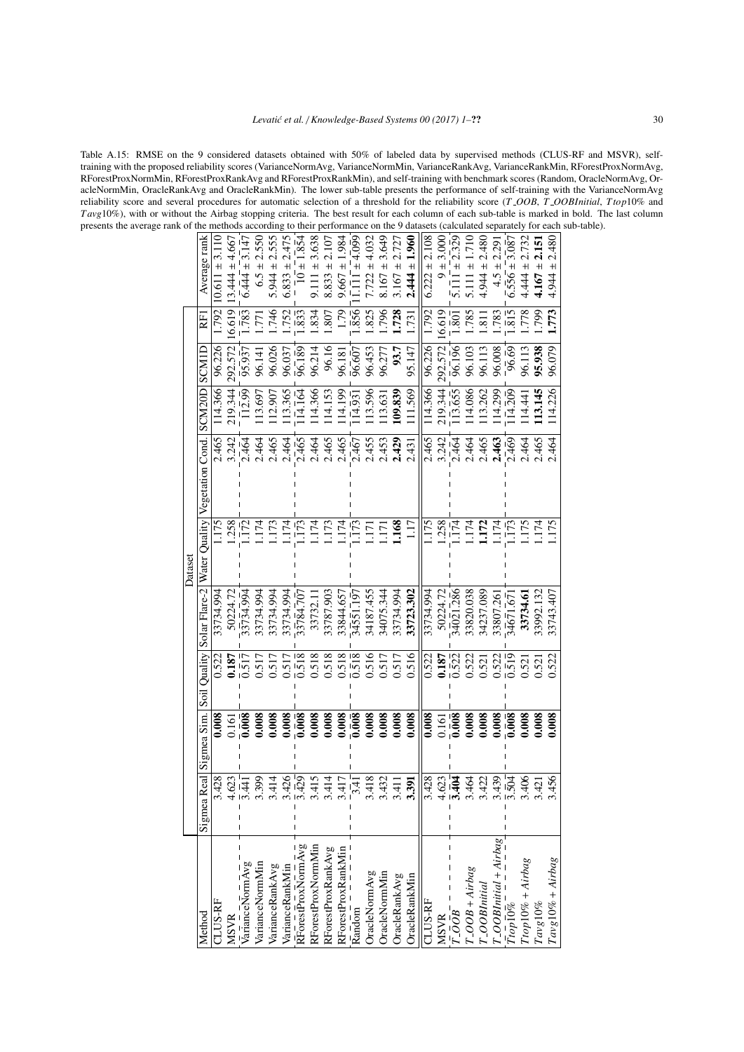<span id="page-29-0"></span>Table A.15: RMSE on the 9 considered datasets obtained with 50% of labeled data by supervised methods (CLUS-RF and MSVR), selftraining with the proposed reliability scores (VarianceNormAvg, VarianceNormMin, VarianceRankAvg, VarianceRankMin, RForestProxNormAvg, RForestProxNormMin, RForestProxRankAvg and RForestProxRankMin), and self-training with benchmark scores (Random, OracleNormAvg, OracleNormMin, OracleRankAvg and OracleRankMin). The lower sub-table presents the performance of self-training with the VarianceNormAvg reliability score and several procedures for automatic selection of a threshold for the reliability score (*T OOB*, *T OOBInitial*, *Ttop*10% and *T avg*10%), with or without the Airbag stopping criteria. The best result for each column of each sub-table is marked in bold. The last column presents the average rank of the methods according to their performance on the 9 datasets (calculated separately for each sub-table).

|        |                               |                    |                    |                                       | 2.550           |                   |                   |                    |                    |                    | 1.984                       |                      |                   |                   | 2.727         | 1.960         |                   | 3.000          |                           | 1.710                 |                   |                            |                                                  | 2.732               | 2.151                  |                     |
|--------|-------------------------------|--------------------|--------------------|---------------------------------------|-----------------|-------------------|-------------------|--------------------|--------------------|--------------------|-----------------------------|----------------------|-------------------|-------------------|---------------|---------------|-------------------|----------------|---------------------------|-----------------------|-------------------|----------------------------|--------------------------------------------------|---------------------|------------------------|---------------------|
|        | Average rank                  | $\ddot{}$<br>10.61 | $13.444 \pm 4.667$ | $\overline{6.444} + \overline{3.147}$ | $6.5 \pm$       | $5.944 \pm 2.555$ | $6.833 \pm 2.475$ | $10 \pm 1.854$     | ± 3.638<br>9.111   | $8.833 \pm 2.107$  | $9.667 \pm$                 | $\pm 4.099$<br>$\Xi$ | $7.722 \pm 4.032$ | $8.167 \pm 3.649$ | $3.167 \pm$   | $2.444 \pm$   | $6.222 \pm 2.108$ | $\overline{+}$ | $5.111 \pm 2.329$         | $\pm$<br>5.111        | $4.944 \pm 2.480$ | $4.5 \pm 2.29$             | $6.556 \pm 3.087$                                | $4.444 \pm$         | $\ddot{+}$<br>4.167    |                     |
|        | RFI                           | 1.792              | 16.619             | $1.\overline{783}$                    | Ϊ.              | .746              | .752              | $\frac{8}{3}$      | .834               | 807                | (79)                        | $\frac{1}{856}$      | .825              | .796              | 1.728         | 1731          | 1.792             | 16.619         | 801                       | .785                  | $\overline{13}$   | .783                       | $\frac{5}{815}$                                  | .778                | <b>66L</b>             | .773                |
|        | SCMIL                         | 96.226             | 292.572            | 95.937                                | 96.141          | 96.026            | 96.037            | $\frac{1}{96.189}$ | 96.214             | 96.16              | 96.181                      | $\frac{6}{96.607}$   | 96.453            | 96.277            | 93.7          | 95.147        | 96.226            | 292.572        | 96.196                    | 96.103                | 96.113            | 96.008                     | $-96.69$                                         | 96.113              | 95.938                 |                     |
|        |                               | 14.366             | 219.344            | $\frac{1}{112.99}$                    | 13.697          | 12.907            | 13.365            | 14.164             | 14.366             | 14.153             | 14.199                      | $\frac{1}{114.931}$  | 13.596            | 13.63             | 109.839       | 11.569        | 14.366            | 219.344        | 13.655                    | 14.086                | 13.262            | 14.299                     | $114.\overline{209}$                             | 14.44               | 13.145                 |                     |
|        | Vegetation Cond. SCM20D       | 2.465              | 3.242              | 2464                                  | 2.464           | 2.465             | 2.464             | 2.465              | 2.464              | 2.465              | 2.465                       | 2.467                | 2.455             | 2.453             | 2.429         | 2.431         | 2.465             | 3.242          | 2.464                     | 2.464                 | 2.465             | 2.463                      | 2469                                             | 2.464               | 2.465                  |                     |
| Datase | Solar Flare-2   Water Quality | <b>L175</b>        | .258               | $\frac{1}{1}$                         | 1.174           | 1.173             | 174               | $\frac{1}{173}$    | 1.174              | .173               | 174                         | $\frac{1}{173}$      | 171               | $\overline{17}$ . | 1.168         | 1.17          | 1.175             | 1.258          | $\frac{1}{174}$           | 174                   | 1.172             | 174                        | $\frac{1}{173}$                                  | 1.175               | 174                    | .175                |
|        |                               | 33734.994          | 50224.72           | $\frac{1}{3}$ 3734.994                | 33734.994       | 33734.994         | 33734.994         | 33784.707          | 33732.1            | 33787.903          | 33844.657                   | 34551.197            | 34187.455         | 34075.344         | 33734.994     | 33723.302     | 33734.994         | 50224.72       | 34021.286                 | 33820.038             | 34237.089         | 33807.261                  | 34671.671                                        | 33734.61            | 33992.132              |                     |
|        |                               | 0.522              | 0.187              | $\overline{517}$                      | 0.517           | 0.517             | 517               | $\frac{1}{518}$    | 0.518              | 0.518              | 518                         | $\overline{518}$     | 0.516             | 0.517             | 0.517         | 0.516         | 0.522             | 0.187          | 522                       | 0.522                 | 0.521             | $\frac{0.522}{0.519}$      |                                                  | 0.521               | 0.52                   | 0.522               |
|        | Sigmea Sim. Soil Quality      | 0.008              | 0.161              | 0.008                                 | 0.008           | 0.008             | 0.008             | $\frac{1}{2}$      | 0.008              | 0.008              | 0.008                       | $\bar{0.008}$        | 0.008             | 0.008             | 0.008         | 0.008         | 0.008             | 0.161          | $\bar{0.008}$             | 0.008                 | 0.008             | 0.008                      | .008                                             | 0.008               | 0.008                  | 0.008               |
|        | Sigmea Real                   | 3.428              |                    | $\frac{4.623}{3.441}$                 | 99              | $\frac{14}{1}$    | $2^{12}_{12}$     |                    | $\overline{115}$   | $\frac{14}{1}$     | $\frac{1}{2}$ $\frac{1}{4}$ |                      | 18<br>2.i         | 32<br>3.4         | 3.4           | 3.391         | 3.428             |                | $\mathbb{Z}$ $\mathbb{Z}$ | $\overline{6}$<br>3.4 |                   | $\frac{21}{2} \frac{8}{2}$ |                                                  | $\mathfrak{g}$      | $\overline{21}$<br>3.4 | 56                  |
|        | Method                        | CLUS-RF            | <b>MSVR</b>        | VarianceNormAvg                       | VarianceNormMin | VarianceRankAvg   | VarianceRankMin   | RForestProxNormAvg | RForestProxNormMin | RForestProxRankAvg | RForestProxRankMin          | Random               | OracleNormAvg     | OracleNormMin     | OracleRankAvg | OracleRankMin | CLUS-RF           | <b>MSVR</b>    | $T$ -OOB                  | $T$ -OOB + Airbag     | T_OOBInitial      | $T_{-}OOBInitial+Airbag$   | $\tau i\bar{o} \bar{p} \bar{1} \bar{0} \bar{\%}$ | $Ttop10\% + Airbag$ | $Tavg10\%$             | $Tavg10\% + Airbag$ |